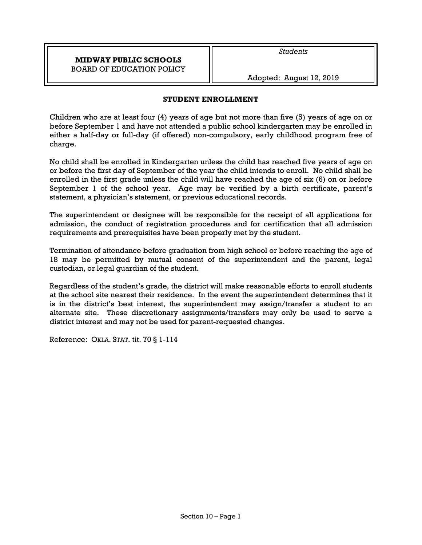# **MIDWAY PUBLIC SCHOOLS**  BOARD OF EDUCATION POLICY

*Students* 

Adopted: August 12, 2019

# **STUDENT ENROLLMENT**

Children who are at least four (4) years of age but not more than five (5) years of age on or before September 1 and have not attended a public school kindergarten may be enrolled in either a half-day or full-day (if offered) non-compulsory, early childhood program free of charge.

No child shall be enrolled in Kindergarten unless the child has reached five years of age on or before the first day of September of the year the child intends to enroll. No child shall be enrolled in the first grade unless the child will have reached the age of six (6) on or before September 1 of the school year. Age may be verified by a birth certificate, parent's statement, a physician's statement, or previous educational records.

The superintendent or designee will be responsible for the receipt of all applications for admission, the conduct of registration procedures and for certification that all admission requirements and prerequisites have been properly met by the student.

Termination of attendance before graduation from high school or before reaching the age of 18 may be permitted by mutual consent of the superintendent and the parent, legal custodian, or legal guardian of the student.

Regardless of the student's grade, the district will make reasonable efforts to enroll students at the school site nearest their residence. In the event the superintendent determines that it is in the district's best interest, the superintendent may assign/transfer a student to an alternate site. These discretionary assignments/transfers may only be used to serve a district interest and may not be used for parent-requested changes.

Reference: OKLA. STAT. tit. 70 § 1-114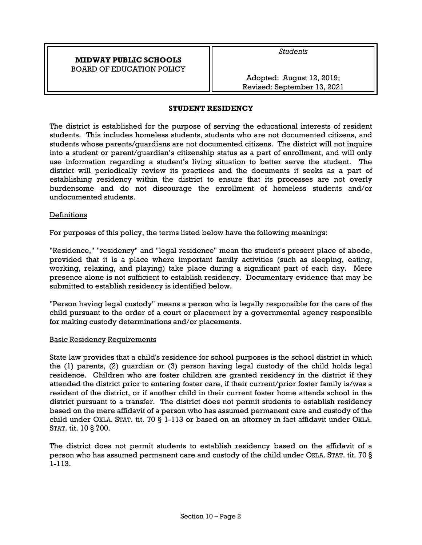# **MIDWAY PUBLIC SCHOOLS**  BOARD OF EDUCATION POLICY

*Students* 

Adopted: August 12, 2019; Revised: September 13, 2021

### **STUDENT RESIDENCY**

The district is established for the purpose of serving the educational interests of resident students. This includes homeless students, students who are not documented citizens, and students whose parents/guardians are not documented citizens. The district will not inquire into a student or parent/guardian's citizenship status as a part of enrollment, and will only use information regarding a student's living situation to better serve the student. The district will periodically review its practices and the documents it seeks as a part of establishing residency within the district to ensure that its processes are not overly burdensome and do not discourage the enrollment of homeless students and/or undocumented students.

### **Definitions**

For purposes of this policy, the terms listed below have the following meanings:

"Residence," "residency" and "legal residence" mean the student's present place of abode, provided that it is a place where important family activities (such as sleeping, eating, working, relaxing, and playing) take place during a significant part of each day. Mere presence alone is not sufficient to establish residency. Documentary evidence that may be submitted to establish residency is identified below.

"Person having legal custody" means a person who is legally responsible for the care of the child pursuant to the order of a court or placement by a governmental agency responsible for making custody determinations and/or placements.

### Basic Residency Requirements

State law provides that a child's residence for school purposes is the school district in which the (1) parents, (2) guardian or (3) person having legal custody of the child holds legal residence. Children who are foster children are granted residency in the district if they attended the district prior to entering foster care, if their current/prior foster family is/was a resident of the district, or if another child in their current foster home attends school in the district pursuant to a transfer. The district does not permit students to establish residency based on the mere affidavit of a person who has assumed permanent care and custody of the child under OKLA. STAT. tit. 70 § 1-113 or based on an attorney in fact affidavit under OKLA. STAT. tit. 10 § 700.

The district does not permit students to establish residency based on the affidavit of a person who has assumed permanent care and custody of the child under OKLA. STAT. tit. 70 § 1-113.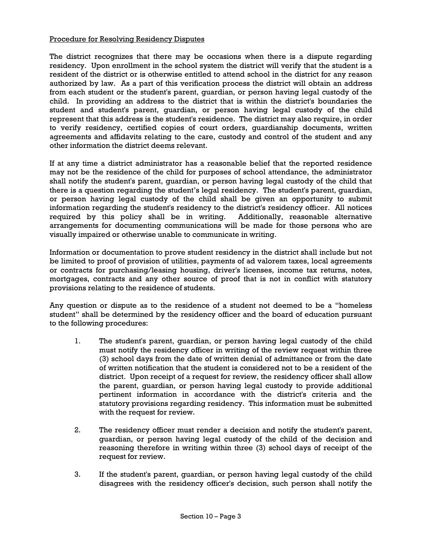## Procedure for Resolving Residency Disputes

The district recognizes that there may be occasions when there is a dispute regarding residency. Upon enrollment in the school system the district will verify that the student is a resident of the district or is otherwise entitled to attend school in the district for any reason authorized by law. As a part of this verification process the district will obtain an address from each student or the student's parent, guardian, or person having legal custody of the child. In providing an address to the district that is within the district's boundaries the student and student's parent, guardian, or person having legal custody of the child represent that this address is the student's residence. The district may also require, in order to verify residency, certified copies of court orders, guardianship documents, written agreements and affidavits relating to the care, custody and control of the student and any other information the district deems relevant.

If at any time a district administrator has a reasonable belief that the reported residence may not be the residence of the child for purposes of school attendance, the administrator shall notify the student's parent, guardian, or person having legal custody of the child that there is a question regarding the student's legal residency. The student's parent, guardian, or person having legal custody of the child shall be given an opportunity to submit information regarding the student's residency to the district's residency officer. All notices required by this policy shall be in writing. Additionally, reasonable alternative arrangements for documenting communications will be made for those persons who are visually impaired or otherwise unable to communicate in writing.

Information or documentation to prove student residency in the district shall include but not be limited to proof of provision of utilities, payments of ad valorem taxes, local agreements or contracts for purchasing/leasing housing, driver's licenses, income tax returns, notes, mortgages, contracts and any other source of proof that is not in conflict with statutory provisions relating to the residence of students.

Any question or dispute as to the residence of a student not deemed to be a "homeless student" shall be determined by the residency officer and the board of education pursuant to the following procedures:

- 1. The student's parent, guardian, or person having legal custody of the child must notify the residency officer in writing of the review request within three (3) school days from the date of written denial of admittance or from the date of written notification that the student is considered not to be a resident of the district. Upon receipt of a request for review, the residency officer shall allow the parent, guardian, or person having legal custody to provide additional pertinent information in accordance with the district's criteria and the statutory provisions regarding residency. This information must be submitted with the request for review.
- 2. The residency officer must render a decision and notify the student's parent, guardian, or person having legal custody of the child of the decision and reasoning therefore in writing within three (3) school days of receipt of the request for review.
- 3. If the student's parent, guardian, or person having legal custody of the child disagrees with the residency officer's decision, such person shall notify the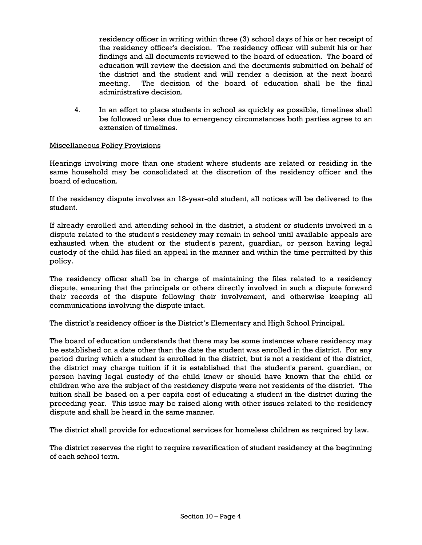residency officer in writing within three (3) school days of his or her receipt of the residency officer's decision. The residency officer will submit his or her findings and all documents reviewed to the board of education. The board of education will review the decision and the documents submitted on behalf of the district and the student and will render a decision at the next board meeting. The decision of the board of education shall be the final administrative decision.

4. In an effort to place students in school as quickly as possible, timelines shall be followed unless due to emergency circumstances both parties agree to an extension of timelines.

# Miscellaneous Policy Provisions

Hearings involving more than one student where students are related or residing in the same household may be consolidated at the discretion of the residency officer and the board of education.

If the residency dispute involves an 18-year-old student, all notices will be delivered to the student.

If already enrolled and attending school in the district, a student or students involved in a dispute related to the student's residency may remain in school until available appeals are exhausted when the student or the student's parent, guardian, or person having legal custody of the child has filed an appeal in the manner and within the time permitted by this policy.

The residency officer shall be in charge of maintaining the files related to a residency dispute, ensuring that the principals or others directly involved in such a dispute forward their records of the dispute following their involvement, and otherwise keeping all communications involving the dispute intact.

The district's residency officer is the District's Elementary and High School Principal.

The board of education understands that there may be some instances where residency may be established on a date other than the date the student was enrolled in the district. For any period during which a student is enrolled in the district, but is not a resident of the district, the district may charge tuition if it is established that the student's parent, guardian, or person having legal custody of the child knew or should have known that the child or children who are the subject of the residency dispute were not residents of the district. The tuition shall be based on a per capita cost of educating a student in the district during the preceding year. This issue may be raised along with other issues related to the residency dispute and shall be heard in the same manner.

The district shall provide for educational services for homeless children as required by law.

The district reserves the right to require reverification of student residency at the beginning of each school term.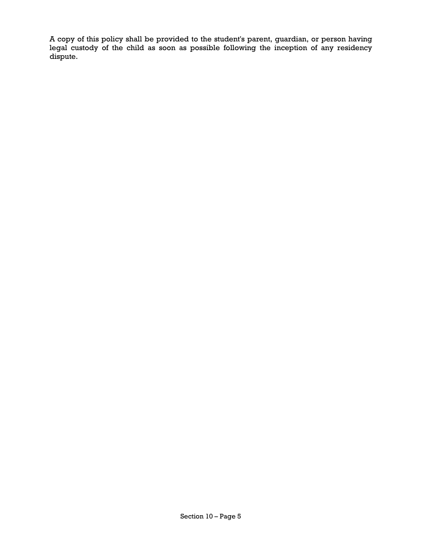A copy of this policy shall be provided to the student's parent, guardian, or person having legal custody of the child as soon as possible following the inception of any residency dispute.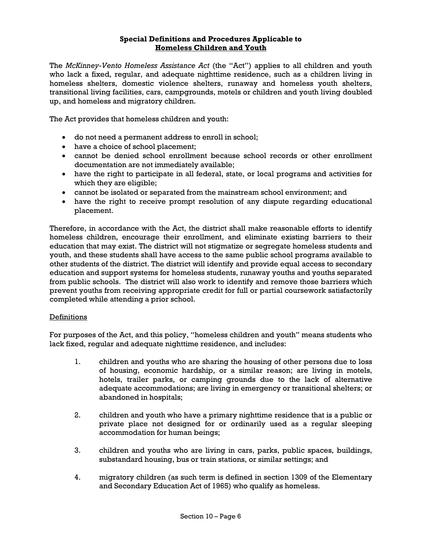## **Special Definitions and Procedures Applicable to Homeless Children and Youth**

The *McKinney-Vento Homeless Assistance Act* (the "Act") applies to all children and youth who lack a fixed, regular, and adequate nighttime residence, such as a children living in homeless shelters, domestic violence shelters, runaway and homeless youth shelters, transitional living facilities, cars, campgrounds, motels or children and youth living doubled up, and homeless and migratory children.

The Act provides that homeless children and youth:

- do not need a permanent address to enroll in school;
- have a choice of school placement;
- cannot be denied school enrollment because school records or other enrollment documentation are not immediately available;
- have the right to participate in all federal, state, or local programs and activities for which they are eligible;
- cannot be isolated or separated from the mainstream school environment; and
- have the right to receive prompt resolution of any dispute regarding educational placement.

Therefore, in accordance with the Act, the district shall make reasonable efforts to identify homeless children, encourage their enrollment, and eliminate existing barriers to their education that may exist. The district will not stigmatize or segregate homeless students and youth, and these students shall have access to the same public school programs available to other students of the district. The district will identify and provide equal access to secondary education and support systems for homeless students, runaway youths and youths separated from public schools. The district will also work to identify and remove those barriers which prevent youths from receiving appropriate credit for full or partial coursework satisfactorily completed while attending a prior school.

### Definitions

For purposes of the Act, and this policy, "homeless children and youth" means students who lack fixed, regular and adequate nighttime residence, and includes:

- 1. children and youths who are sharing the housing of other persons due to loss of housing, economic hardship, or a similar reason; are living in motels, hotels, trailer parks, or camping grounds due to the lack of alternative adequate accommodations; are living in emergency or transitional shelters; or abandoned in hospitals;
- 2. children and youth who have a primary nighttime residence that is a public or private place not designed for or ordinarily used as a regular sleeping accommodation for human beings;
- 3. children and youths who are living in cars, parks, public spaces, buildings, substandard housing, bus or train stations, or similar settings; and
- 4. migratory children (as such term is defined in section 1309 of the Elementary and Secondary Education Act of 1965) who qualify as homeless.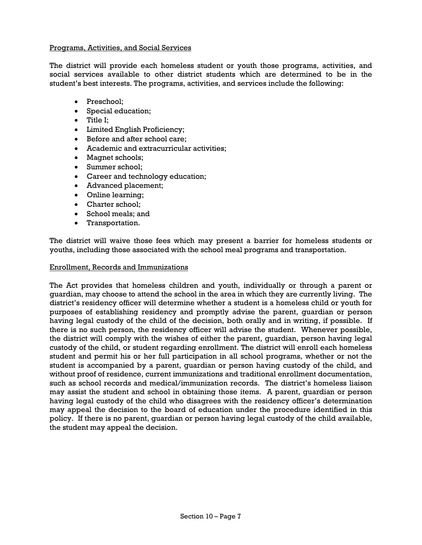## Programs, Activities, and Social Services

The district will provide each homeless student or youth those programs, activities, and social services available to other district students which are determined to be in the student's best interests. The programs, activities, and services include the following:

- Preschool;
- Special education;
- Title I:
- Limited English Proficiency;
- Before and after school care;
- Academic and extracurricular activities;
- Magnet schools;
- Summer school;
- Career and technology education;
- Advanced placement;
- Online learning;
- Charter school;
- School meals; and
- Transportation.

The district will waive those fees which may present a barrier for homeless students or youths, including those associated with the school meal programs and transportation.

### Enrollment, Records and Immunizations

The Act provides that homeless children and youth, individually or through a parent or guardian, may choose to attend the school in the area in which they are currently living. The district's residency officer will determine whether a student is a homeless child or youth for purposes of establishing residency and promptly advise the parent, guardian or person having legal custody of the child of the decision, both orally and in writing, if possible. If there is no such person, the residency officer will advise the student. Whenever possible, the district will comply with the wishes of either the parent, guardian, person having legal custody of the child, or student regarding enrollment. The district will enroll each homeless student and permit his or her full participation in all school programs, whether or not the student is accompanied by a parent, guardian or person having custody of the child, and without proof of residence, current immunizations and traditional enrollment documentation, such as school records and medical/immunization records. The district's homeless liaison may assist the student and school in obtaining those items. A parent, guardian or person having legal custody of the child who disagrees with the residency officer's determination may appeal the decision to the board of education under the procedure identified in this policy. If there is no parent, guardian or person having legal custody of the child available, the student may appeal the decision.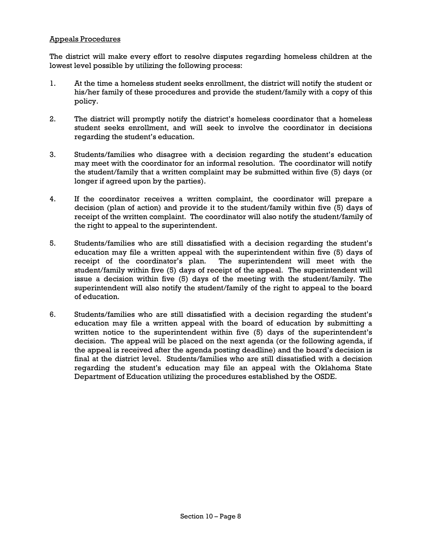# Appeals Procedures

The district will make every effort to resolve disputes regarding homeless children at the lowest level possible by utilizing the following process:

- 1. At the time a homeless student seeks enrollment, the district will notify the student or his/her family of these procedures and provide the student/family with a copy of this policy.
- 2. The district will promptly notify the district's homeless coordinator that a homeless student seeks enrollment, and will seek to involve the coordinator in decisions regarding the student's education.
- 3. Students/families who disagree with a decision regarding the student's education may meet with the coordinator for an informal resolution. The coordinator will notify the student/family that a written complaint may be submitted within five (5) days (or longer if agreed upon by the parties).
- 4. If the coordinator receives a written complaint, the coordinator will prepare a decision (plan of action) and provide it to the student/family within five (5) days of receipt of the written complaint. The coordinator will also notify the student/family of the right to appeal to the superintendent.
- 5. Students/families who are still dissatisfied with a decision regarding the student's education may file a written appeal with the superintendent within five (5) days of receipt of the coordinator's plan. The superintendent will meet with the student/family within five (5) days of receipt of the appeal. The superintendent will issue a decision within five (5) days of the meeting with the student/family. The superintendent will also notify the student/family of the right to appeal to the board of education.
- 6. Students/families who are still dissatisfied with a decision regarding the student's education may file a written appeal with the board of education by submitting a written notice to the superintendent within five (5) days of the superintendent's decision. The appeal will be placed on the next agenda (or the following agenda, if the appeal is received after the agenda posting deadline) and the board's decision is final at the district level. Students/families who are still dissatisfied with a decision regarding the student's education may file an appeal with the Oklahoma State Department of Education utilizing the procedures established by the OSDE.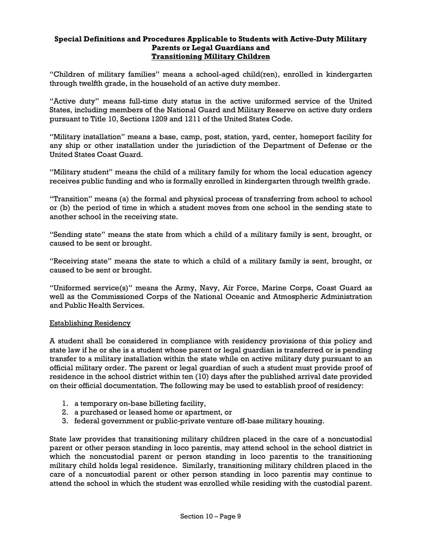# **Special Definitions and Procedures Applicable to Students with Active-Duty Military Parents or Legal Guardians and Transitioning Military Children**

"Children of military families" means a school-aged child(ren), enrolled in kindergarten through twelfth grade, in the household of an active duty member.

"Active duty" means full-time duty status in the active uniformed service of the United States, including members of the National Guard and Military Reserve on active duty orders pursuant to Title 10, Sections 1209 and 1211 of the United States Code.

"Military installation" means a base, camp, post, station, yard, center, homeport facility for any ship or other installation under the jurisdiction of the Department of Defense or the United States Coast Guard.

"Military student" means the child of a military family for whom the local education agency receives public funding and who is formally enrolled in kindergarten through twelfth grade.

"Transition" means (a) the formal and physical process of transferring from school to school or (b) the period of time in which a student moves from one school in the sending state to another school in the receiving state.

"Sending state" means the state from which a child of a military family is sent, brought, or caused to be sent or brought.

"Receiving state" means the state to which a child of a military family is sent, brought, or caused to be sent or brought.

"Uniformed service(s)" means the Army, Navy, Air Force, Marine Corps, Coast Guard as well as the Commissioned Corps of the National Oceanic and Atmospheric Administration and Public Health Services.

### Establishing Residency

A student shall be considered in compliance with residency provisions of this policy and state law if he or she is a student whose parent or legal guardian is transferred or is pending transfer to a military installation within the state while on active military duty pursuant to an official military order. The parent or legal guardian of such a student must provide proof of residence in the school district within ten (10) days after the published arrival date provided on their official documentation. The following may be used to establish proof of residency:

- 1. a temporary on-base billeting facility,
- 2. a purchased or leased home or apartment, or
- 3. federal government or public-private venture off-base military housing.

State law provides that transitioning military children placed in the care of a noncustodial parent or other person standing in loco parentis, may attend school in the school district in which the noncustodial parent or person standing in loco parentis to the transitioning military child holds legal residence. Similarly, transitioning military children placed in the care of a noncustodial parent or other person standing in loco parentis may continue to attend the school in which the student was enrolled while residing with the custodial parent.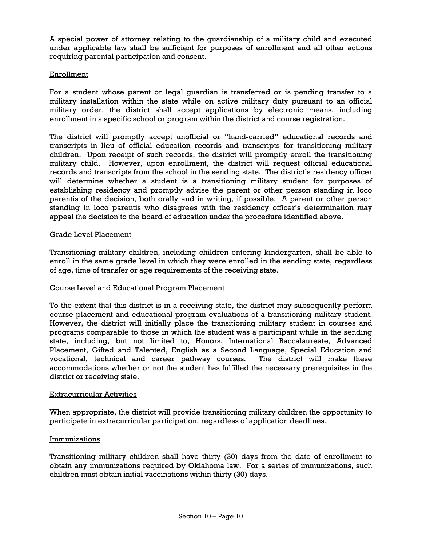A special power of attorney relating to the guardianship of a military child and executed under applicable law shall be sufficient for purposes of enrollment and all other actions requiring parental participation and consent.

### Enrollment

For a student whose parent or legal guardian is transferred or is pending transfer to a military installation within the state while on active military duty pursuant to an official military order, the district shall accept applications by electronic means, including enrollment in a specific school or program within the district and course registration.

The district will promptly accept unofficial or "hand-carried" educational records and transcripts in lieu of official education records and transcripts for transitioning military children. Upon receipt of such records, the district will promptly enroll the transitioning military child. However, upon enrollment, the district will request official educational records and transcripts from the school in the sending state. The district's residency officer will determine whether a student is a transitioning military student for purposes of establishing residency and promptly advise the parent or other person standing in loco parentis of the decision, both orally and in writing, if possible. A parent or other person standing in loco parentis who disagrees with the residency officer's determination may appeal the decision to the board of education under the procedure identified above.

# Grade Level Placement

Transitioning military children, including children entering kindergarten, shall be able to enroll in the same grade level in which they were enrolled in the sending state, regardless of age, time of transfer or age requirements of the receiving state.

### Course Level and Educational Program Placement

To the extent that this district is in a receiving state, the district may subsequently perform course placement and educational program evaluations of a transitioning military student. However, the district will initially place the transitioning military student in courses and programs comparable to those in which the student was a participant while in the sending state, including, but not limited to, Honors, International Baccalaureate, Advanced Placement, Gifted and Talented, English as a Second Language, Special Education and vocational, technical and career pathway courses. The district will make these accommodations whether or not the student has fulfilled the necessary prerequisites in the district or receiving state.

### Extracurricular Activities

When appropriate, the district will provide transitioning military children the opportunity to participate in extracurricular participation, regardless of application deadlines.

### Immunizations

Transitioning military children shall have thirty (30) days from the date of enrollment to obtain any immunizations required by Oklahoma law. For a series of immunizations, such children must obtain initial vaccinations within thirty (30) days.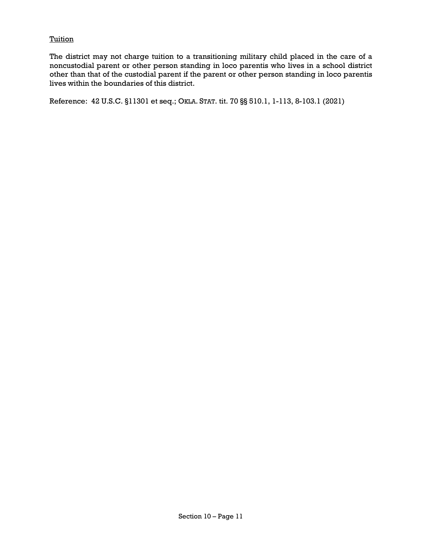## Tuition

The district may not charge tuition to a transitioning military child placed in the care of a noncustodial parent or other person standing in loco parentis who lives in a school district other than that of the custodial parent if the parent or other person standing in loco parentis lives within the boundaries of this district.

Reference: 42 U.S.C. §11301 et seq.; OKLA. STAT. tit. 70 §§ 510.1, 1-113, 8-103.1 (2021)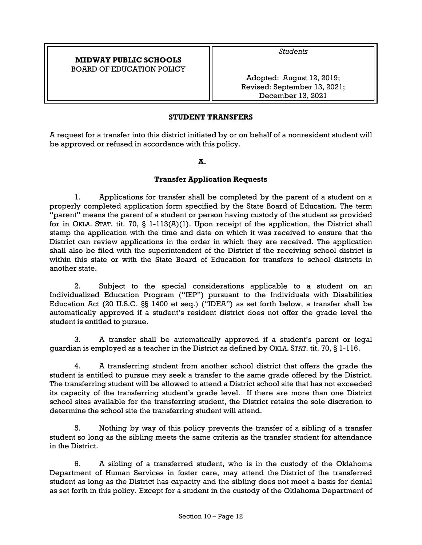# **MIDWAY PUBLIC SCHOOLS**  BOARD OF EDUCATION POLICY

*Students* 

Adopted: August 12, 2019; Revised: September 13, 2021; December 13, 2021

# **STUDENT TRANSFERS**

A request for a transfer into this district initiated by or on behalf of a nonresident student will be approved or refused in accordance with this policy.

### **A.**

# **Transfer Application Requests**

1. Applications for transfer shall be completed by the parent of a student on a properly completed application form specified by the State Board of Education. The term "parent" means the parent of a student or person having custody of the student as provided for in OKLA. STAT. tit. 70,  $\S$  1-113(A)(1). Upon receipt of the application, the District shall stamp the application with the time and date on which it was received to ensure that the District can review applications in the order in which they are received. The application shall also be filed with the superintendent of the District if the receiving school district is within this state or with the State Board of Education for transfers to school districts in another state.

2. Subject to the special considerations applicable to a student on an Individualized Education Program ("IEP") pursuant to the Individuals with Disabilities Education Act (20 U.S.C. §§ 1400 et seq.) ("IDEA") as set forth below, a transfer shall be automatically approved if a student's resident district does not offer the grade level the student is entitled to pursue.

3. A transfer shall be automatically approved if a student's parent or legal guardian is employed as a teacher in the District as defined by OKLA. STAT. tit. 70, § 1-116.

4. A transferring student from another school district that offers the grade the student is entitled to pursue may seek a transfer to the same grade offered by the District. The transferring student will be allowed to attend a District school site that has not exceeded its capacity of the transferring student's grade level. If there are more than one District school sites available for the transferring student, the District retains the sole discretion to determine the school site the transferring student will attend.

5. Nothing by way of this policy prevents the transfer of a sibling of a transfer student so long as the sibling meets the same criteria as the transfer student for attendance in the District.

6. A sibling of a transferred student, who is in the custody of the Oklahoma Department of Human Services in foster care, may attend the District of the transferred student as long as the District has capacity and the sibling does not meet a basis for denial as set forth in this policy. Except for a student in the custody of the Oklahoma Department of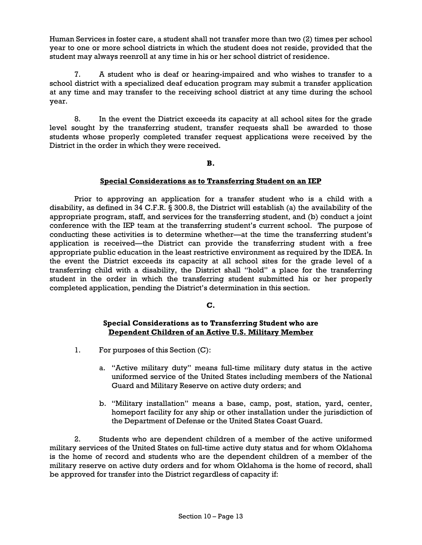Human Services in foster care, a student shall not transfer more than two (2) times per school year to one or more school districts in which the student does not reside, provided that the student may always reenroll at any time in his or her school district of residence.

7. A student who is deaf or hearing-impaired and who wishes to transfer to a school district with a specialized deaf education program may submit a transfer application at any time and may transfer to the receiving school district at any time during the school year.

8. In the event the District exceeds its capacity at all school sites for the grade level sought by the transferring student, transfer requests shall be awarded to those students whose properly completed transfer request applications were received by the District in the order in which they were received.

### **B.**

# **Special Considerations as to Transferring Student on an IEP**

Prior to approving an application for a transfer student who is a child with a disability, as defined in 34 C.F.R. § 300.8, the District will establish (a) the availability of the appropriate program, staff, and services for the transferring student, and (b) conduct a joint conference with the IEP team at the transferring student's current school. The purpose of conducting these activities is to determine whether—at the time the transferring student's application is received—the District can provide the transferring student with a free appropriate public education in the least restrictive environment as required by the IDEA. In the event the District exceeds its capacity at all school sites for the grade level of a transferring child with a disability, the District shall "hold" a place for the transferring student in the order in which the transferring student submitted his or her properly completed application, pending the District's determination in this section.

# **C.**

# **Special Considerations as to Transferring Student who are Dependent Children of an Active U.S. Military Member**

- 1. For purposes of this Section (C):
	- a. "Active military duty" means full-time military duty status in the active uniformed service of the United States including members of the National Guard and Military Reserve on active duty orders; and
	- b. "Military installation" means a base, camp, post, station, yard, center, homeport facility for any ship or other installation under the jurisdiction of the Department of Defense or the United States Coast Guard.

2. Students who are dependent children of a member of the active uniformed military services of the United States on full-time active duty status and for whom Oklahoma is the home of record and students who are the dependent children of a member of the military reserve on active duty orders and for whom Oklahoma is the home of record, shall be approved for transfer into the District regardless of capacity if: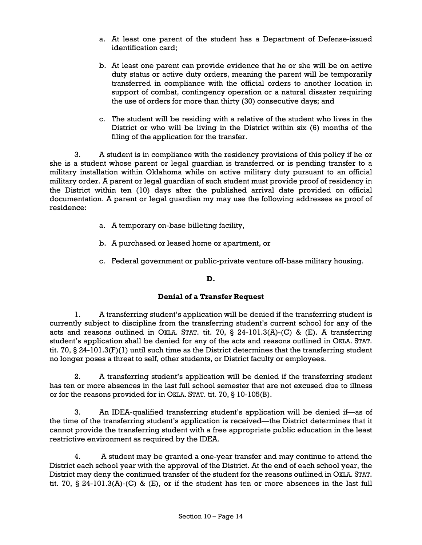- a. At least one parent of the student has a Department of Defense-issued identification card;
- b. At least one parent can provide evidence that he or she will be on active duty status or active duty orders, meaning the parent will be temporarily transferred in compliance with the official orders to another location in support of combat, contingency operation or a natural disaster requiring the use of orders for more than thirty (30) consecutive days; and
- c. The student will be residing with a relative of the student who lives in the District or who will be living in the District within six (6) months of the filing of the application for the transfer.

3. A student is in compliance with the residency provisions of this policy if he or she is a student whose parent or legal guardian is transferred or is pending transfer to a military installation within Oklahoma while on active military duty pursuant to an official military order. A parent or legal guardian of such student must provide proof of residency in the District within ten (10) days after the published arrival date provided on official documentation. A parent or legal guardian my may use the following addresses as proof of residence:

- a. A temporary on-base billeting facility,
- b. A purchased or leased home or apartment, or
- c. Federal government or public-private venture off-base military housing.

# **D.**

# **Denial of a Transfer Request**

1. A transferring student's application will be denied if the transferring student is currently subject to discipline from the transferring student's current school for any of the acts and reasons outlined in OKLA. STAT. tit. 70, § 24-101.3(A)-(C) & (E). A transferring student's application shall be denied for any of the acts and reasons outlined in OKLA. STAT. tit. 70, § 24-101.3(F)(1) until such time as the District determines that the transferring student no longer poses a threat to self, other students, or District faculty or employees.

2. A transferring student's application will be denied if the transferring student has ten or more absences in the last full school semester that are not excused due to illness or for the reasons provided for in OKLA. STAT. tit. 70, § 10-105(B).

3. An IDEA-qualified transferring student's application will be denied if—as of the time of the transferring student's application is received—the District determines that it cannot provide the transferring student with a free appropriate public education in the least restrictive environment as required by the IDEA.

4. A student may be granted a one-year transfer and may continue to attend the District each school year with the approval of the District. At the end of each school year, the District may deny the continued transfer of the student for the reasons outlined in OKLA. STAT. tit. 70, § 24-101.3(A)-(C) & (E), or if the student has ten or more absences in the last full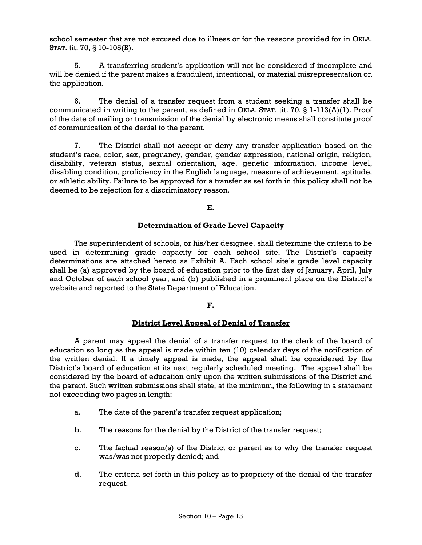school semester that are not excused due to illness or for the reasons provided for in OKLA. STAT. tit. 70, § 10-105(B).

5. A transferring student's application will not be considered if incomplete and will be denied if the parent makes a fraudulent, intentional, or material misrepresentation on the application.

6. The denial of a transfer request from a student seeking a transfer shall be communicated in writing to the parent, as defined in OKLA. STAT. tit. 70, § 1-113(A)(1). Proof of the date of mailing or transmission of the denial by electronic means shall constitute proof of communication of the denial to the parent.

7. The District shall not accept or deny any transfer application based on the student's race, color, sex, pregnancy, gender, gender expression, national origin, religion, disability, veteran status, sexual orientation, age, genetic information, income level, disabling condition, proficiency in the English language, measure of achievement, aptitude, or athletic ability. Failure to be approved for a transfer as set forth in this policy shall not be deemed to be rejection for a discriminatory reason.

**E.** 

# **Determination of Grade Level Capacity**

The superintendent of schools, or his/her designee, shall determine the criteria to be used in determining grade capacity for each school site. The District's capacity determinations are attached hereto as Exhibit A. Each school site's grade level capacity shall be (a) approved by the board of education prior to the first day of January, April, July and October of each school year, and (b) published in a prominent place on the District's website and reported to the State Department of Education.

### **F.**

### **District Level Appeal of Denial of Transfer**

A parent may appeal the denial of a transfer request to the clerk of the board of education so long as the appeal is made within ten (10) calendar days of the notification of the written denial. If a timely appeal is made, the appeal shall be considered by the District's board of education at its next regularly scheduled meeting. The appeal shall be considered by the board of education only upon the written submissions of the District and the parent. Such written submissions shall state, at the minimum, the following in a statement not exceeding two pages in length:

- a. The date of the parent's transfer request application;
- b. The reasons for the denial by the District of the transfer request;
- c. The factual reason(s) of the District or parent as to why the transfer request was/was not properly denied; and
- d. The criteria set forth in this policy as to propriety of the denial of the transfer request.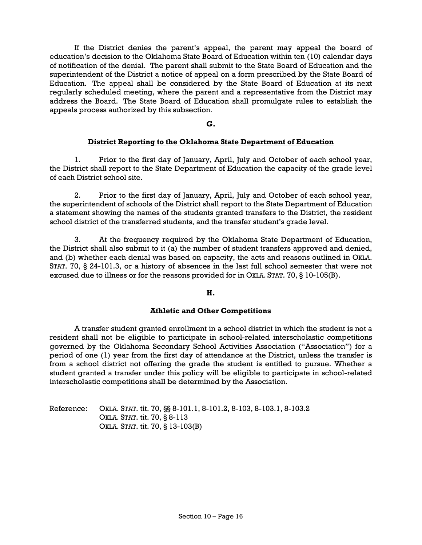If the District denies the parent's appeal, the parent may appeal the board of education's decision to the Oklahoma State Board of Education within ten (10) calendar days of notification of the denial. The parent shall submit to the State Board of Education and the superintendent of the District a notice of appeal on a form prescribed by the State Board of Education. The appeal shall be considered by the State Board of Education at its next regularly scheduled meeting, where the parent and a representative from the District may address the Board. The State Board of Education shall promulgate rules to establish the appeals process authorized by this subsection.

**G.** 

### **District Reporting to the Oklahoma State Department of Education**

1. Prior to the first day of January, April, July and October of each school year, the District shall report to the State Department of Education the capacity of the grade level of each District school site.

2. Prior to the first day of January, April, July and October of each school year, the superintendent of schools of the District shall report to the State Department of Education a statement showing the names of the students granted transfers to the District, the resident school district of the transferred students, and the transfer student's grade level.

3. At the frequency required by the Oklahoma State Department of Education, the District shall also submit to it (a) the number of student transfers approved and denied, and (b) whether each denial was based on capacity, the acts and reasons outlined in OKLA. STAT. 70, § 24-101.3, or a history of absences in the last full school semester that were not excused due to illness or for the reasons provided for in OKLA. STAT. 70, § 10-105(B).

### **H.**

### **Athletic and Other Competitions**

A transfer student granted enrollment in a school district in which the student is not a resident shall not be eligible to participate in school-related interscholastic competitions governed by the Oklahoma Secondary School Activities Association ("Association") for a period of one (1) year from the first day of attendance at the District, unless the transfer is from a school district not offering the grade the student is entitled to pursue. Whether a student granted a transfer under this policy will be eligible to participate in school-related interscholastic competitions shall be determined by the Association.

Reference: OKLA. STAT. tit. 70, §§ 8-101.1, 8-101.2, 8-103, 8-103.1, 8-103.2 OKLA. STAT. tit. 70, § 8-113 OKLA. STAT. tit. 70, § 13-103(B)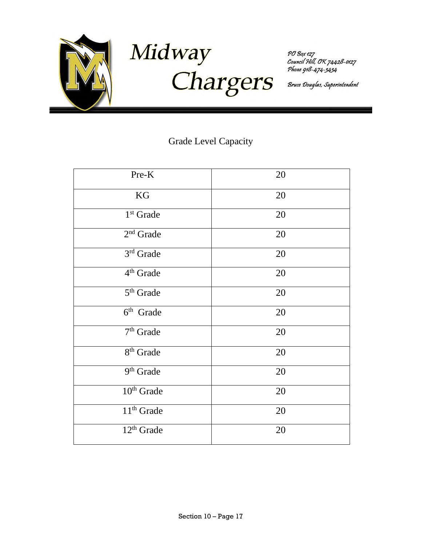

Midway Chargers

PO Box 127<br>Council Hill, OK 74428-0127<br>Phone 918-474-3434

Bruce Douglas, Superintendent

# Grade Level Capacity

| Pre-K                              | 20 |
|------------------------------------|----|
| KG                                 | 20 |
| 1 <sup>st</sup> Grade              | 20 |
| $2nd$ Grade                        | 20 |
| 3rd Grade                          | 20 |
| 4 <sup>th</sup> Grade              | 20 |
| 5 <sup>th</sup> Grade              | 20 |
| $\overline{6}$ <sup>th</sup> Grade | 20 |
| 7 <sup>th</sup> Grade              | 20 |
| $8th$ Grade                        | 20 |
| 9 <sup>th</sup> Grade              | 20 |
| 10 <sup>th</sup> Grade             | 20 |
| 11 <sup>th</sup> Grade             | 20 |
| $12th$ Grade                       | 20 |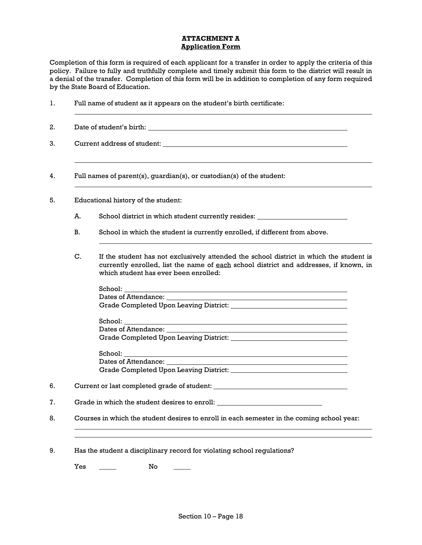### **ATTACHMENT A Application Form**

Completion of this form is required of each applicant for a transfer in order to apply the criteria of this policy. Failure to fully and truthfully complete and timely submit this form to the district will result in a denial of the transfer. Completion of this form will be in addition to completion of any form required by the State Board of Education.

|    | Full names of parent(s), guardian(s), or custodian(s) of the student:                                                                                                                                                     |
|----|---------------------------------------------------------------------------------------------------------------------------------------------------------------------------------------------------------------------------|
|    | Educational history of the student:                                                                                                                                                                                       |
| A. | School district in which student currently resides: ____________________________                                                                                                                                          |
| В. | School in which the student is currently enrolled, if different from above.                                                                                                                                               |
| C. | If the student has not exclusively attended the school district in which the student is<br>currently enrolled, list the name of each school district and addresses, if known, in<br>which student has ever been enrolled: |
|    | School: <b>School</b>                                                                                                                                                                                                     |
|    |                                                                                                                                                                                                                           |
|    |                                                                                                                                                                                                                           |
|    |                                                                                                                                                                                                                           |
|    |                                                                                                                                                                                                                           |
|    |                                                                                                                                                                                                                           |
|    |                                                                                                                                                                                                                           |
|    | <u> 1989 - Johann Barn, mars eta bainar eta baina eta baina eta baina eta baina eta baina eta baina eta baina e</u>                                                                                                       |
|    |                                                                                                                                                                                                                           |
|    |                                                                                                                                                                                                                           |
|    | Grade in which the student desires to enroll: __________________________________                                                                                                                                          |
|    | Courses in which the student desires to enroll in each semester in the coming school year:                                                                                                                                |

 $Yes \t\t — \tNo$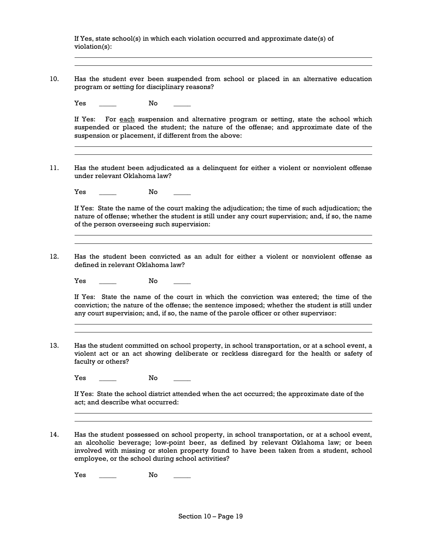If Yes, state school(s) in which each violation occurred and approximate date(s) of violation(s): 10. Has the student ever been suspended from school or placed in an alternative education program or setting for disciplinary reasons? Yes \_\_\_\_\_\_ No \_\_\_\_ If Yes: For each suspension and alternative program or setting, state the school which suspended or placed the student; the nature of the offense; and approximate date of the suspension or placement, if different from the above: 11. Has the student been adjudicated as a delinquent for either a violent or nonviolent offense under relevant Oklahoma law? Yes \_\_\_\_\_\_ No \_\_\_\_ If Yes: State the name of the court making the adjudication; the time of such adjudication; the nature of offense; whether the student is still under any court supervision; and, if so, the name of the person overseeing such supervision: 12. Has the student been convicted as an adult for either a violent or nonviolent offense as defined in relevant Oklahoma law? Yes \_\_\_\_\_\_ No \_\_\_\_ If Yes: State the name of the court in which the conviction was entered; the time of the conviction; the nature of the offense; the sentence imposed; whether the student is still under any court supervision; and, if so, the name of the parole officer or other supervisor: 13. Has the student committed on school property, in school transportation, or at a school event, a violent act or an act showing deliberate or reckless disregard for the health or safety of faculty or others? Yes \_\_\_\_\_\_ No \_\_\_\_ If Yes: State the school district attended when the act occurred; the approximate date of the act; and describe what occurred: 14. Has the student possessed on school property, in school transportation, or at a school event, an alcoholic beverage; low-point beer, as defined by relevant Oklahoma law; or been involved with missing or stolen property found to have been taken from a student, school employee, or the school during school activities? Yes \_\_\_\_\_\_ No \_\_\_\_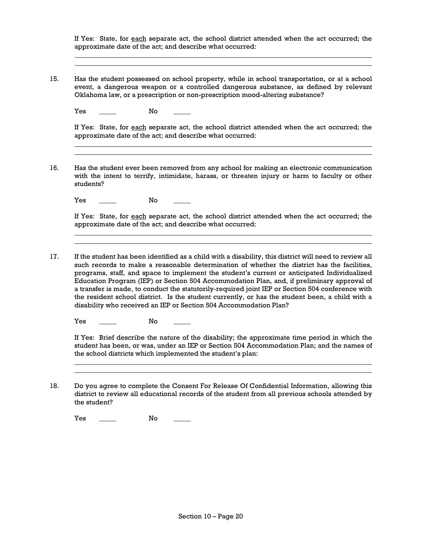If Yes: State, for each separate act, the school district attended when the act occurred; the approximate date of the act; and describe what occurred:

15. Has the student possessed on school property, while in school transportation, or at a school event, a dangerous weapon or a controlled dangerous substance, as defined by relevant Oklahoma law, or a prescription or non-prescription mood-altering substance?

Yes \_\_\_\_\_\_ No \_\_\_\_

If Yes: State, for each separate act, the school district attended when the act occurred; the approximate date of the act; and describe what occurred:

16. Has the student ever been removed from any school for making an electronic communication with the intent to terrify, intimidate, harass, or threaten injury or harm to faculty or other students?

Yes \_\_\_\_\_\_ No

If Yes: State, for each separate act, the school district attended when the act occurred; the approximate date of the act; and describe what occurred:

17. If the student has been identified as a child with a disability, this district will need to review all such records to make a reasonable determination of whether the district has the facilities, programs, staff, and space to implement the student's current or anticipated Individualized Education Program (IEP) or Section 504 Accommodation Plan, and, if preliminary approval of a transfer is made, to conduct the statutorily-required joint IEP or Section 504 conference with the resident school district. Is the student currently, or has the student been, a child with a disability who received an IEP or Section 504 Accommodation Plan?

Yes \_\_\_\_\_\_ No \_\_\_\_

If Yes: Brief describe the nature of the disability; the approximate time period in which the student has been, or was, under an IEP or Section 504 Accommodation Plan; and the names of the school districts which implemented the student's plan:

18. Do you agree to complete the Consent For Release Of Confidential Information, allowing this district to review all educational records of the student from all previous schools attended by the student?

Yes \_\_\_\_\_\_ No \_\_\_\_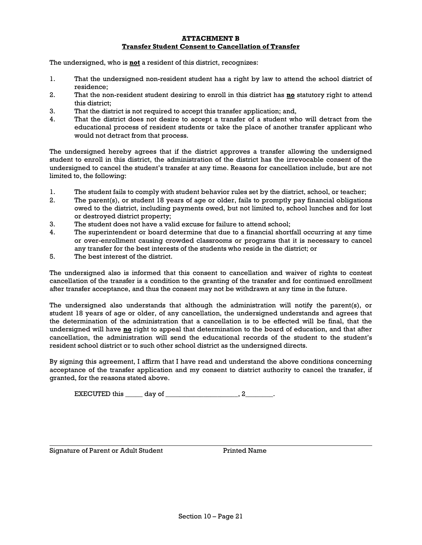### **ATTACHMENT B Transfer Student Consent to Cancellation of Transfer**

The undersigned, who is **not** a resident of this district, recognizes:

- 1. That the undersigned non-resident student has a right by law to attend the school district of residence;
- 2. That the non-resident student desiring to enroll in this district has **no** statutory right to attend this district;
- 3. That the district is not required to accept this transfer application; and,
- 4. That the district does not desire to accept a transfer of a student who will detract from the educational process of resident students or take the place of another transfer applicant who would not detract from that process.

The undersigned hereby agrees that if the district approves a transfer allowing the undersigned student to enroll in this district, the administration of the district has the irrevocable consent of the undersigned to cancel the student's transfer at any time. Reasons for cancellation include, but are not limited to, the following:

- 1. The student fails to comply with student behavior rules set by the district, school, or teacher;
- 2. The parent(s), or student 18 years of age or older, fails to promptly pay financial obligations owed to the district, including payments owed, but not limited to, school lunches and for lost or destroyed district property;
- 3. The student does not have a valid excuse for failure to attend school;
- 4. The superintendent or board determine that due to a financial shortfall occurring at any time or over-enrollment causing crowded classrooms or programs that it is necessary to cancel any transfer for the best interests of the students who reside in the district; or
- 5. The best interest of the district.

The undersigned also is informed that this consent to cancellation and waiver of rights to contest cancellation of the transfer is a condition to the granting of the transfer and for continued enrollment after transfer acceptance, and thus the consent may not be withdrawn at any time in the future.

The undersigned also understands that although the administration will notify the parent(s), or student 18 years of age or older, of any cancellation, the undersigned understands and agrees that the determination of the administration that a cancellation is to be effected will be final, that the undersigned will have **no** right to appeal that determination to the board of education, and that after cancellation, the administration will send the educational records of the student to the student's resident school district or to such other school district as the undersigned directs.

By signing this agreement, I affirm that I have read and understand the above conditions concerning acceptance of the transfer application and my consent to district authority to cancel the transfer, if granted, for the reasons stated above.

 $EXECUTED this$  day of \_\_\_\_\_\_\_\_\_\_\_\_\_\_\_\_\_\_\_\_, 2\_\_\_\_\_\_\_\_.

Signature of Parent or Adult Student Printed Name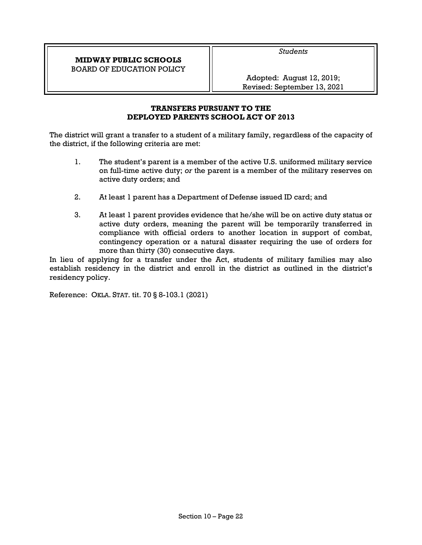**MIDWAY PUBLIC SCHOOLS**  BOARD OF EDUCATION POLICY *Students* 

Adopted: August 12, 2019; Revised: September 13, 2021

# **TRANSFERS PURSUANT TO THE DEPLOYED PARENTS SCHOOL ACT OF 2013**

The district will grant a transfer to a student of a military family, regardless of the capacity of the district, if the following criteria are met:

- 1. The student's parent is a member of the active U.S. uniformed military service on full-time active duty; *or* the parent is a member of the military reserves on active duty orders; and
- 2. At least 1 parent has a Department of Defense issued ID card; and
- 3. At least 1 parent provides evidence that he/she will be on active duty status or active duty orders, meaning the parent will be temporarily transferred in compliance with official orders to another location in support of combat, contingency operation or a natural disaster requiring the use of orders for more than thirty (30) consecutive days.

In lieu of applying for a transfer under the Act, students of military families may also establish residency in the district and enroll in the district as outlined in the district's residency policy.

Reference: OKLA. STAT. tit. 70 § 8-103.1 (2021)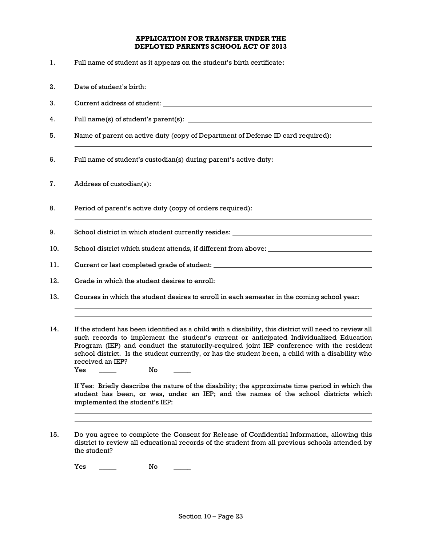### **APPLICATION FOR TRANSFER UNDER THE DEPLOYED PARENTS SCHOOL ACT OF 2013**

- 1. Full name of student as it appears on the student's birth certificate:
- 2. Date of student's birth:
- 3. Current address of student:
- 4. Full name(s) of student's parent(s):
- 5. Name of parent on active duty (copy of Department of Defense ID card required):
- 6. Full name of student's custodian(s) during parent's active duty:
- 7. Address of custodian(s):
- 8. Period of parent's active duty (copy of orders required):
- 9. School district in which student currently resides:
- 10. School district which student attends, if different from above:
- 11. Current or last completed grade of student:
- 12. Grade in which the student desires to enroll:
- 13. Courses in which the student desires to enroll in each semester in the coming school year:
- 14. If the student has been identified as a child with a disability, this district will need to review all such records to implement the student's current or anticipated Individualized Education Program (IEP) and conduct the statutorily-required joint IEP conference with the resident school district. Is the student currently, or has the student been, a child with a disability who received an IEP?
	- Yes \_\_\_\_\_\_\_ No

If Yes: Briefly describe the nature of the disability; the approximate time period in which the student has been, or was, under an IEP; and the names of the school districts which implemented the student's IEP:

15. Do you agree to complete the Consent for Release of Confidential Information, allowing this district to review all educational records of the student from all previous schools attended by the student?

Yes \_\_\_\_\_\_ No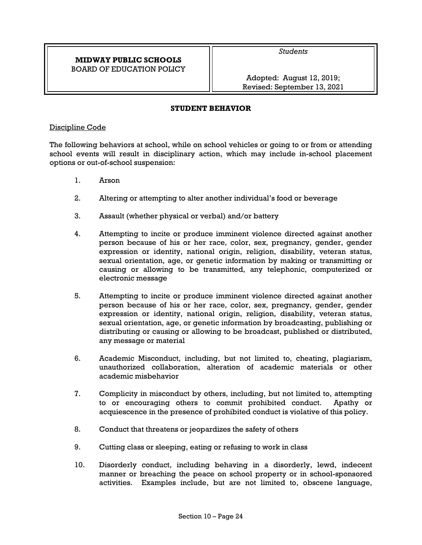# **MIDWAY PUBLIC SCHOOLS**  BOARD OF EDUCATION POLICY

*Students* 

Adopted: August 12, 2019; Revised: September 13, 2021

## **STUDENT BEHAVIOR**

### Discipline Code

The following behaviors at school, while on school vehicles or going to or from or attending school events will result in disciplinary action, which may include in-school placement options or out-of-school suspension:

- 1. Arson
- 2. Altering or attempting to alter another individual's food or beverage
- 3. Assault (whether physical or verbal) and/or battery
- 4. Attempting to incite or produce imminent violence directed against another person because of his or her race, color, sex, pregnancy, gender, gender expression or identity, national origin, religion, disability, veteran status, sexual orientation, age, or genetic information by making or transmitting or causing or allowing to be transmitted, any telephonic, computerized or electronic message
- 5. Attempting to incite or produce imminent violence directed against another person because of his or her race, color, sex, pregnancy, gender, gender expression or identity, national origin, religion, disability, veteran status, sexual orientation, age, or genetic information by broadcasting, publishing or distributing or causing or allowing to be broadcast, published or distributed, any message or material
- 6. Academic Misconduct, including, but not limited to, cheating, plagiarism, unauthorized collaboration, alteration of academic materials or other academic misbehavior
- 7. Complicity in misconduct by others, including, but not limited to, attempting to or encouraging others to commit prohibited conduct. Apathy or acquiescence in the presence of prohibited conduct is violative of this policy.
- 8. Conduct that threatens or jeopardizes the safety of others
- 9. Cutting class or sleeping, eating or refusing to work in class
- 10. Disorderly conduct, including behaving in a disorderly, lewd, indecent manner or breaching the peace on school property or in school-sponsored activities. Examples include, but are not limited to, obscene language,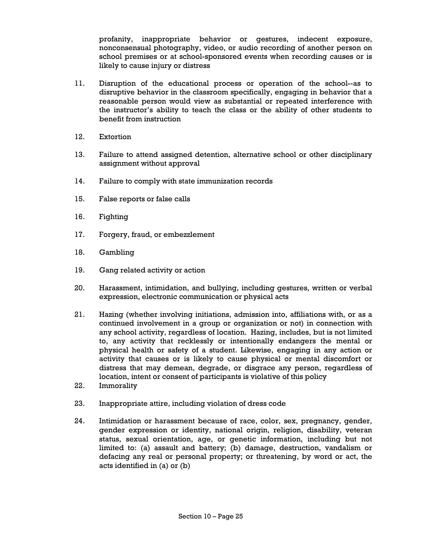profanity, inappropriate behavior or gestures, indecent exposure, nonconsensual photography, video, or audio recording of another person on school premises or at school-sponsored events when recording causes or is likely to cause injury or distress

- 11. Disruption of the educational process or operation of the school--as to disruptive behavior in the classroom specifically, engaging in behavior that a reasonable person would view as substantial or repeated interference with the instructor's ability to teach the class or the ability of other students to benefit from instruction
- 12. Extortion
- 13. Failure to attend assigned detention, alternative school or other disciplinary assignment without approval
- 14. Failure to comply with state immunization records
- 15. False reports or false calls
- 16. Fighting
- 17. Forgery, fraud, or embezzlement
- 18. Gambling
- 19. Gang related activity or action
- 20. Harassment, intimidation, and bullying, including gestures, written or verbal expression, electronic communication or physical acts
- 21. Hazing (whether involving initiations, admission into, affiliations with, or as a continued involvement in a group or organization or not) in connection with any school activity, regardless of location. Hazing, includes, but is not limited to, any activity that recklessly or intentionally endangers the mental or physical health or safety of a student. Likewise, engaging in any action or activity that causes or is likely to cause physical or mental discomfort or distress that may demean, degrade, or disgrace any person, regardless of location, intent or consent of participants is violative of this policy
- 22. Immorality
- 23. Inappropriate attire, including violation of dress code
- 24. Intimidation or harassment because of race, color, sex, pregnancy, gender, gender expression or identity, national origin, religion, disability, veteran status, sexual orientation, age, or genetic information, including but not limited to: (a) assault and battery; (b) damage, destruction, vandalism or defacing any real or personal property; or threatening, by word or act, the acts identified in (a) or (b)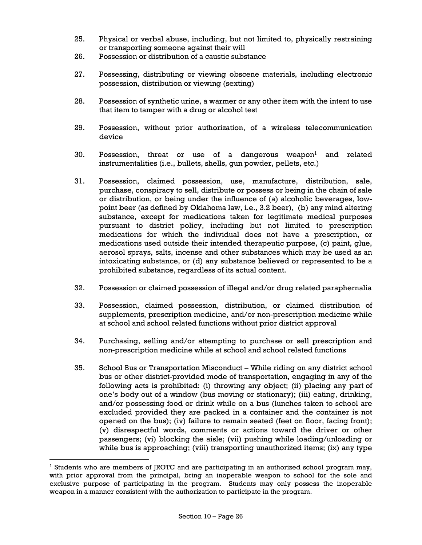- 25. Physical or verbal abuse, including, but not limited to, physically restraining or transporting someone against their will
- 26. Possession or distribution of a caustic substance
- 27. Possessing, distributing or viewing obscene materials, including electronic possession, distribution or viewing (sexting)
- 28. Possession of synthetic urine, a warmer or any other item with the intent to use that item to tamper with a drug or alcohol test
- 29. Possession, without prior authorization, of a wireless telecommunication device
- 30. Possession, threat or use of a dangerous weapon<sup>1</sup> and related instrumentalities (i.e., bullets, shells, gun powder, pellets, etc.)
- 31. Possession, claimed possession, use, manufacture, distribution, sale, purchase, conspiracy to sell, distribute or possess or being in the chain of sale or distribution, or being under the influence of (a) alcoholic beverages, lowpoint beer (as defined by Oklahoma law, i.e., 3.2 beer), (b) any mind altering substance, except for medications taken for legitimate medical purposes pursuant to district policy, including but not limited to prescription medications for which the individual does not have a prescription, or medications used outside their intended therapeutic purpose, (c) paint, glue, aerosol sprays, salts, incense and other substances which may be used as an intoxicating substance, or (d) any substance believed or represented to be a prohibited substance, regardless of its actual content.
- 32. Possession or claimed possession of illegal and/or drug related paraphernalia
- 33. Possession, claimed possession, distribution, or claimed distribution of supplements, prescription medicine, and/or non-prescription medicine while at school and school related functions without prior district approval
- 34. Purchasing, selling and/or attempting to purchase or sell prescription and non-prescription medicine while at school and school related functions
- 35. School Bus or Transportation Misconduct While riding on any district school bus or other district-provided mode of transportation, engaging in any of the following acts is prohibited: (i) throwing any object; (ii) placing any part of one's body out of a window (bus moving or stationary); (iii) eating, drinking, and/or possessing food or drink while on a bus (lunches taken to school are excluded provided they are packed in a container and the container is not opened on the bus); (iv) failure to remain seated (feet on floor, facing front); (v) disrespectful words, comments or actions toward the driver or other passengers; (vi) blocking the aisle; (vii) pushing while loading/unloading or while bus is approaching; (viii) transporting unauthorized items; (ix) any type

<sup>&</sup>lt;sup>1</sup> Students who are members of JROTC and are participating in an authorized school program may, with prior approval from the principal, bring an inoperable weapon to school for the sole and exclusive purpose of participating in the program. Students may only possess the inoperable weapon in a manner consistent with the authorization to participate in the program.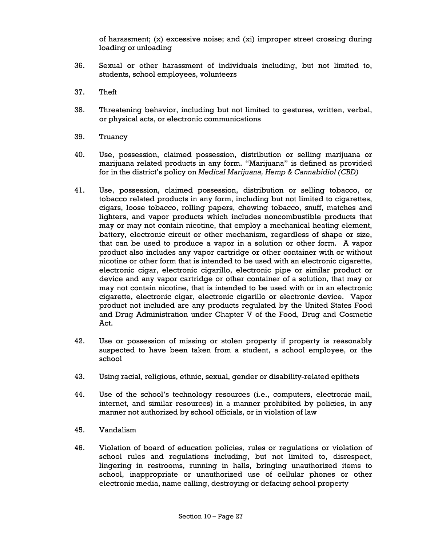of harassment;  $(x)$  excessive noise; and  $(xi)$  improper street crossing during loading or unloading

- 36. Sexual or other harassment of individuals including, but not limited to, students, school employees, volunteers
- 37. Theft
- 38. Threatening behavior, including but not limited to gestures, written, verbal, or physical acts, or electronic communications
- 39. Truancy
- 40. Use, possession, claimed possession, distribution or selling marijuana or marijuana related products in any form. "Marijuana" is defined as provided for in the district's policy on *Medical Marijuana, Hemp & Cannabidiol (CBD)*
- 41. Use, possession, claimed possession, distribution or selling tobacco, or tobacco related products in any form, including but not limited to cigarettes, cigars, loose tobacco, rolling papers, chewing tobacco, snuff, matches and lighters, and vapor products which includes noncombustible products that may or may not contain nicotine, that employ a mechanical heating element, battery, electronic circuit or other mechanism, regardless of shape or size, that can be used to produce a vapor in a solution or other form. A vapor product also includes any vapor cartridge or other container with or without nicotine or other form that is intended to be used with an electronic cigarette, electronic cigar, electronic cigarillo, electronic pipe or similar product or device and any vapor cartridge or other container of a solution, that may or may not contain nicotine, that is intended to be used with or in an electronic cigarette, electronic cigar, electronic cigarillo or electronic device. Vapor product not included are any products regulated by the United States Food and Drug Administration under Chapter V of the Food, Drug and Cosmetic Act.
- 42. Use or possession of missing or stolen property if property is reasonably suspected to have been taken from a student, a school employee, or the school
- 43. Using racial, religious, ethnic, sexual, gender or disability-related epithets
- 44. Use of the school's technology resources (i.e., computers, electronic mail, internet, and similar resources) in a manner prohibited by policies, in any manner not authorized by school officials, or in violation of law
- 45. Vandalism
- 46. Violation of board of education policies, rules or regulations or violation of school rules and regulations including, but not limited to, disrespect, lingering in restrooms, running in halls, bringing unauthorized items to school, inappropriate or unauthorized use of cellular phones or other electronic media, name calling, destroying or defacing school property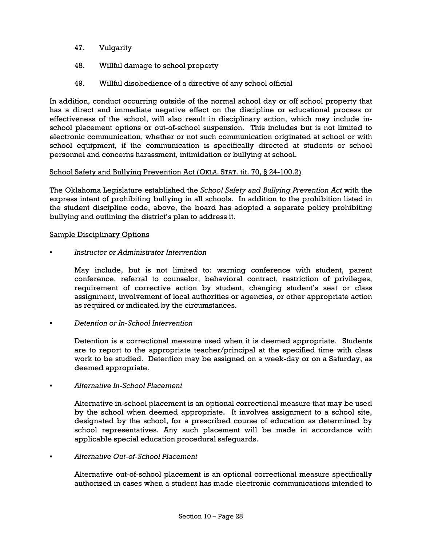- 47. Vulgarity
- 48. Willful damage to school property
- 49. Willful disobedience of a directive of any school official

In addition, conduct occurring outside of the normal school day or off school property that has a direct and immediate negative effect on the discipline or educational process or effectiveness of the school, will also result in disciplinary action, which may include inschool placement options or out-of-school suspension. This includes but is not limited to electronic communication, whether or not such communication originated at school or with school equipment, if the communication is specifically directed at students or school personnel and concerns harassment, intimidation or bullying at school.

# School Safety and Bullying Prevention Act (OKLA. STAT. tit. 70, § 24-100.2)

The Oklahoma Legislature established the *School Safety and Bullying Prevention Act* with the express intent of prohibiting bullying in all schools. In addition to the prohibition listed in the student discipline code, above, the board has adopted a separate policy prohibiting bullying and outlining the district's plan to address it.

# Sample Disciplinary Options

*▪ Instructor or Administrator Intervention* 

May include, but is not limited to: warning conference with student, parent conference, referral to counselor, behavioral contract, restriction of privileges, requirement of corrective action by student, changing student's seat or class assignment, involvement of local authorities or agencies, or other appropriate action as required or indicated by the circumstances.

### *▪ Detention or In-School Intervention*

Detention is a correctional measure used when it is deemed appropriate. Students are to report to the appropriate teacher/principal at the specified time with class work to be studied. Detention may be assigned on a week-day or on a Saturday, as deemed appropriate.

### *▪ Alternative In-School Placement*

Alternative in-school placement is an optional correctional measure that may be used by the school when deemed appropriate. It involves assignment to a school site, designated by the school, for a prescribed course of education as determined by school representatives. Any such placement will be made in accordance with applicable special education procedural safeguards.

### *▪ Alternative Out-of-School Placement*

Alternative out-of-school placement is an optional correctional measure specifically authorized in cases when a student has made electronic communications intended to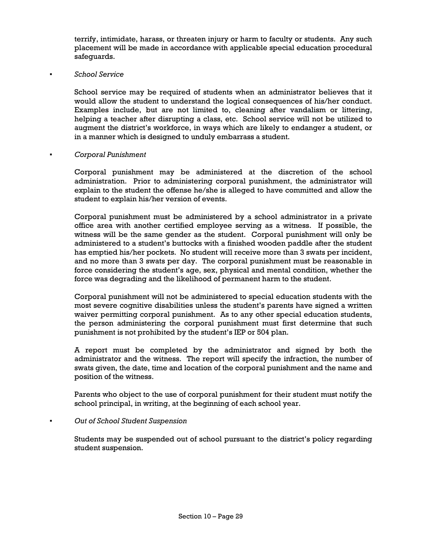terrify, intimidate, harass, or threaten injury or harm to faculty or students. Any such placement will be made in accordance with applicable special education procedural safeguards.

### *▪ School Service*

School service may be required of students when an administrator believes that it would allow the student to understand the logical consequences of his/her conduct. Examples include, but are not limited to, cleaning after vandalism or littering, helping a teacher after disrupting a class, etc. School service will not be utilized to augment the district's workforce, in ways which are likely to endanger a student, or in a manner which is designed to unduly embarrass a student.

### *▪ Corporal Punishment*

Corporal punishment may be administered at the discretion of the school administration. Prior to administering corporal punishment, the administrator will explain to the student the offense he/she is alleged to have committed and allow the student to explain his/her version of events.

Corporal punishment must be administered by a school administrator in a private office area with another certified employee serving as a witness. If possible, the witness will be the same gender as the student. Corporal punishment will only be administered to a student's buttocks with a finished wooden paddle after the student has emptied his/her pockets. No student will receive more than 3 swats per incident, and no more than 3 swats per day. The corporal punishment must be reasonable in force considering the student's age, sex, physical and mental condition, whether the force was degrading and the likelihood of permanent harm to the student.

Corporal punishment will not be administered to special education students with the most severe cognitive disabilities unless the student's parents have signed a written waiver permitting corporal punishment. As to any other special education students, the person administering the corporal punishment must first determine that such punishment is not prohibited by the student's IEP or 504 plan.

A report must be completed by the administrator and signed by both the administrator and the witness. The report will specify the infraction, the number of swats given, the date, time and location of the corporal punishment and the name and position of the witness.

Parents who object to the use of corporal punishment for their student must notify the school principal, in writing, at the beginning of each school year.

### *Out of School Student Suspension*

Students may be suspended out of school pursuant to the district's policy regarding student suspension.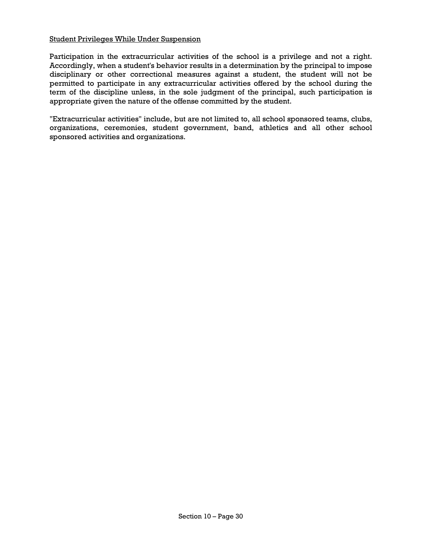### Student Privileges While Under Suspension

Participation in the extracurricular activities of the school is a privilege and not a right. Accordingly, when a student's behavior results in a determination by the principal to impose disciplinary or other correctional measures against a student, the student will not be permitted to participate in any extracurricular activities offered by the school during the term of the discipline unless, in the sole judgment of the principal, such participation is appropriate given the nature of the offense committed by the student.

"Extracurricular activities" include, but are not limited to, all school sponsored teams, clubs, organizations, ceremonies, student government, band, athletics and all other school sponsored activities and organizations.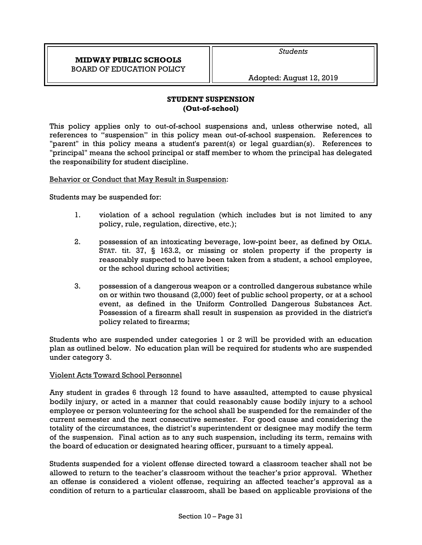# **MIDWAY PUBLIC SCHOOLS**  BOARD OF EDUCATION POLICY

*Students* 

Adopted: August 12, 2019

# **STUDENT SUSPENSION (Out-of-school)**

This policy applies only to out-of-school suspensions and, unless otherwise noted, all references to "suspension" in this policy mean out-of-school suspension. References to "parent" in this policy means a student's parent(s) or legal guardian(s). References to "principal" means the school principal or staff member to whom the principal has delegated the responsibility for student discipline.

Behavior or Conduct that May Result in Suspension:

Students may be suspended for:

- 1. violation of a school regulation (which includes but is not limited to any policy, rule, regulation, directive, etc.);
- 2. possession of an intoxicating beverage, low-point beer, as defined by OKLA. STAT. tit. 37, § 163.2, or missing or stolen property if the property is reasonably suspected to have been taken from a student, a school employee, or the school during school activities;
- 3. possession of a dangerous weapon or a controlled dangerous substance while on or within two thousand (2,000) feet of public school property, or at a school event, as defined in the Uniform Controlled Dangerous Substances Act. Possession of a firearm shall result in suspension as provided in the district's policy related to firearms;

Students who are suspended under categories 1 or 2 will be provided with an education plan as outlined below. No education plan will be required for students who are suspended under category 3.

### Violent Acts Toward School Personnel

Any student in grades 6 through 12 found to have assaulted, attempted to cause physical bodily injury, or acted in a manner that could reasonably cause bodily injury to a school employee or person volunteering for the school shall be suspended for the remainder of the current semester and the next consecutive semester. For good cause and considering the totality of the circumstances, the district's superintendent or designee may modify the term of the suspension. Final action as to any such suspension, including its term, remains with the board of education or designated hearing officer, pursuant to a timely appeal.

Students suspended for a violent offense directed toward a classroom teacher shall not be allowed to return to the teacher's classroom without the teacher's prior approval. Whether an offense is considered a violent offense, requiring an affected teacher's approval as a condition of return to a particular classroom, shall be based on applicable provisions of the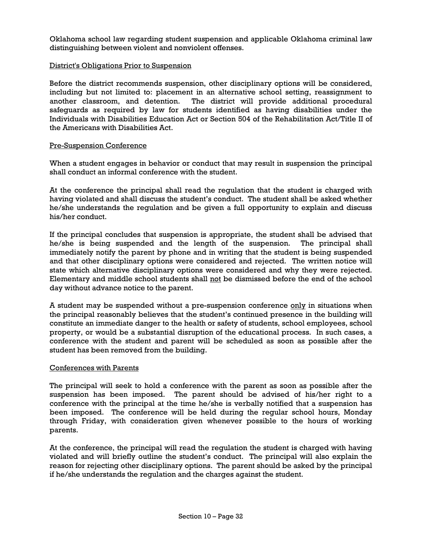Oklahoma school law regarding student suspension and applicable Oklahoma criminal law distinguishing between violent and nonviolent offenses.

### District's Obligations Prior to Suspension

Before the district recommends suspension, other disciplinary options will be considered, including but not limited to: placement in an alternative school setting, reassignment to another classroom, and detention. The district will provide additional procedural safeguards as required by law for students identified as having disabilities under the Individuals with Disabilities Education Act or Section 504 of the Rehabilitation Act/Title II of the Americans with Disabilities Act.

### Pre-Suspension Conference

When a student engages in behavior or conduct that may result in suspension the principal shall conduct an informal conference with the student.

At the conference the principal shall read the regulation that the student is charged with having violated and shall discuss the student's conduct. The student shall be asked whether he/she understands the regulation and be given a full opportunity to explain and discuss his/her conduct.

If the principal concludes that suspension is appropriate, the student shall be advised that he/she is being suspended and the length of the suspension. The principal shall immediately notify the parent by phone and in writing that the student is being suspended and that other disciplinary options were considered and rejected. The written notice will state which alternative disciplinary options were considered and why they were rejected. Elementary and middle school students shall not be dismissed before the end of the school day without advance notice to the parent.

A student may be suspended without a pre-suspension conference only in situations when the principal reasonably believes that the student's continued presence in the building will constitute an immediate danger to the health or safety of students, school employees, school property, or would be a substantial disruption of the educational process. In such cases, a conference with the student and parent will be scheduled as soon as possible after the student has been removed from the building.

### Conferences with Parents

The principal will seek to hold a conference with the parent as soon as possible after the suspension has been imposed. The parent should be advised of his/her right to a conference with the principal at the time he/she is verbally notified that a suspension has been imposed. The conference will be held during the regular school hours, Monday through Friday, with consideration given whenever possible to the hours of working parents.

At the conference, the principal will read the regulation the student is charged with having violated and will briefly outline the student's conduct. The principal will also explain the reason for rejecting other disciplinary options. The parent should be asked by the principal if he/she understands the regulation and the charges against the student.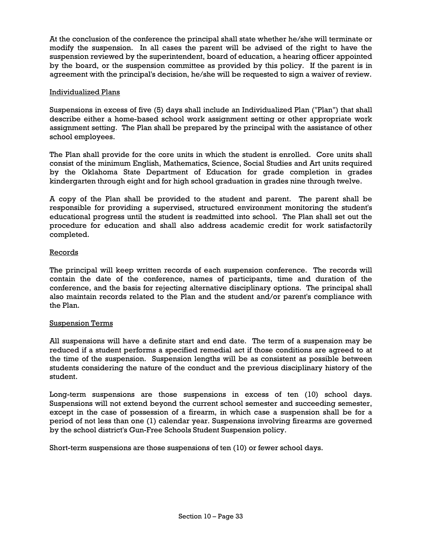At the conclusion of the conference the principal shall state whether he/she will terminate or modify the suspension. In all cases the parent will be advised of the right to have the suspension reviewed by the superintendent, board of education, a hearing officer appointed by the board, or the suspension committee as provided by this policy. If the parent is in agreement with the principal's decision, he/she will be requested to sign a waiver of review.

# Individualized Plans

Suspensions in excess of five (5) days shall include an Individualized Plan ("Plan") that shall describe either a home-based school work assignment setting or other appropriate work assignment setting. The Plan shall be prepared by the principal with the assistance of other school employees.

The Plan shall provide for the core units in which the student is enrolled. Core units shall consist of the minimum English, Mathematics, Science, Social Studies and Art units required by the Oklahoma State Department of Education for grade completion in grades kindergarten through eight and for high school graduation in grades nine through twelve.

A copy of the Plan shall be provided to the student and parent. The parent shall be responsible for providing a supervised, structured environment monitoring the student's educational progress until the student is readmitted into school. The Plan shall set out the procedure for education and shall also address academic credit for work satisfactorily completed.

### Records

The principal will keep written records of each suspension conference. The records will contain the date of the conference, names of participants, time and duration of the conference, and the basis for rejecting alternative disciplinary options. The principal shall also maintain records related to the Plan and the student and/or parent's compliance with the Plan.

### Suspension Terms

All suspensions will have a definite start and end date. The term of a suspension may be reduced if a student performs a specified remedial act if those conditions are agreed to at the time of the suspension. Suspension lengths will be as consistent as possible between students considering the nature of the conduct and the previous disciplinary history of the student.

Long-term suspensions are those suspensions in excess of ten (10) school days. Suspensions will not extend beyond the current school semester and succeeding semester, except in the case of possession of a firearm, in which case a suspension shall be for a period of not less than one (1) calendar year. Suspensions involving firearms are governed by the school district's Gun-Free Schools Student Suspension policy.

Short-term suspensions are those suspensions of ten (10) or fewer school days.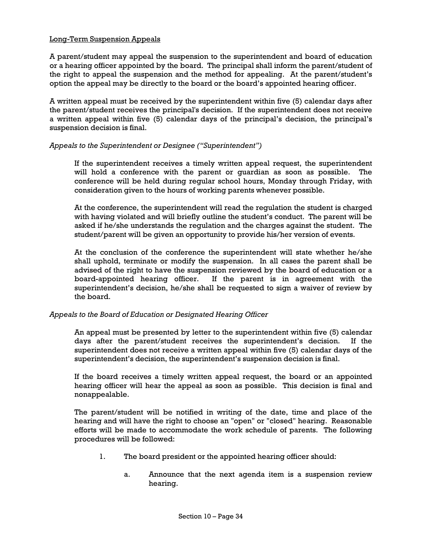# Long-Term Suspension Appeals

A parent/student may appeal the suspension to the superintendent and board of education or a hearing officer appointed by the board. The principal shall inform the parent/student of the right to appeal the suspension and the method for appealing. At the parent/student's option the appeal may be directly to the board or the board's appointed hearing officer.

A written appeal must be received by the superintendent within five (5) calendar days after the parent/student receives the principal's decision. If the superintendent does not receive a written appeal within five (5) calendar days of the principal's decision, the principal's suspension decision is final.

### *Appeals to the Superintendent or Designee ("Superintendent")*

If the superintendent receives a timely written appeal request, the superintendent will hold a conference with the parent or guardian as soon as possible. The conference will be held during regular school hours, Monday through Friday, with consideration given to the hours of working parents whenever possible.

At the conference, the superintendent will read the regulation the student is charged with having violated and will briefly outline the student's conduct. The parent will be asked if he/she understands the regulation and the charges against the student. The student/parent will be given an opportunity to provide his/her version of events.

At the conclusion of the conference the superintendent will state whether he/she shall uphold, terminate or modify the suspension. In all cases the parent shall be advised of the right to have the suspension reviewed by the board of education or a board-appointed hearing officer. If the parent is in agreement with the superintendent's decision, he/she shall be requested to sign a waiver of review by the board.

### *Appeals to the Board of Education or Designated Hearing Officer*

An appeal must be presented by letter to the superintendent within five (5) calendar days after the parent/student receives the superintendent's decision. If the superintendent does not receive a written appeal within five (5) calendar days of the superintendent's decision, the superintendent's suspension decision is final.

If the board receives a timely written appeal request, the board or an appointed hearing officer will hear the appeal as soon as possible. This decision is final and nonappealable.

The parent/student will be notified in writing of the date, time and place of the hearing and will have the right to choose an "open" or "closed" hearing. Reasonable efforts will be made to accommodate the work schedule of parents. The following procedures will be followed:

- 1. The board president or the appointed hearing officer should:
	- a. Announce that the next agenda item is a suspension review hearing.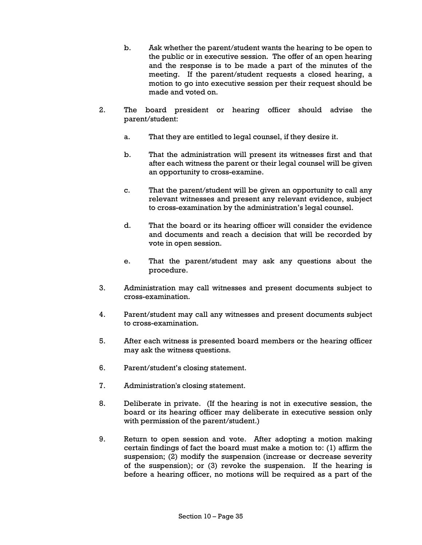- b. Ask whether the parent/student wants the hearing to be open to the public or in executive session. The offer of an open hearing and the response is to be made a part of the minutes of the meeting. If the parent/student requests a closed hearing, a motion to go into executive session per their request should be made and voted on.
- 2. The board president or hearing officer should advise the parent/student:
	- a. That they are entitled to legal counsel, if they desire it.
	- b. That the administration will present its witnesses first and that after each witness the parent or their legal counsel will be given an opportunity to cross-examine.
	- c. That the parent/student will be given an opportunity to call any relevant witnesses and present any relevant evidence, subject to cross-examination by the administration's legal counsel.
	- d. That the board or its hearing officer will consider the evidence and documents and reach a decision that will be recorded by vote in open session.
	- e. That the parent/student may ask any questions about the procedure.
- 3. Administration may call witnesses and present documents subject to cross-examination.
- 4. Parent/student may call any witnesses and present documents subject to cross-examination.
- 5. After each witness is presented board members or the hearing officer may ask the witness questions.
- 6. Parent/student's closing statement.
- 7. Administration's closing statement.
- 8. Deliberate in private. (If the hearing is not in executive session, the board or its hearing officer may deliberate in executive session only with permission of the parent/student.)
- 9. Return to open session and vote. After adopting a motion making certain findings of fact the board must make a motion to: (1) affirm the suspension; (2) modify the suspension (increase or decrease severity of the suspension); or (3) revoke the suspension. If the hearing is before a hearing officer, no motions will be required as a part of the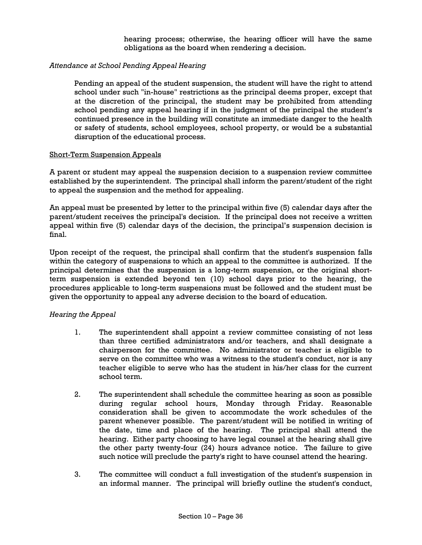hearing process; otherwise, the hearing officer will have the same obligations as the board when rendering a decision.

## *Attendance at School Pending Appeal Hearing*

Pending an appeal of the student suspension, the student will have the right to attend school under such "in-house" restrictions as the principal deems proper, except that at the discretion of the principal, the student may be prohibited from attending school pending any appeal hearing if in the judgment of the principal the student's continued presence in the building will constitute an immediate danger to the health or safety of students, school employees, school property, or would be a substantial disruption of the educational process.

### Short-Term Suspension Appeals

A parent or student may appeal the suspension decision to a suspension review committee established by the superintendent. The principal shall inform the parent/student of the right to appeal the suspension and the method for appealing.

An appeal must be presented by letter to the principal within five (5) calendar days after the parent/student receives the principal's decision. If the principal does not receive a written appeal within five (5) calendar days of the decision, the principal's suspension decision is final.

Upon receipt of the request, the principal shall confirm that the student's suspension falls within the category of suspensions to which an appeal to the committee is authorized. If the principal determines that the suspension is a long-term suspension, or the original shortterm suspension is extended beyond ten (10) school days prior to the hearing, the procedures applicable to long-term suspensions must be followed and the student must be given the opportunity to appeal any adverse decision to the board of education.

### *Hearing the Appeal*

- 1. The superintendent shall appoint a review committee consisting of not less than three certified administrators and/or teachers, and shall designate a chairperson for the committee. No administrator or teacher is eligible to serve on the committee who was a witness to the student's conduct, nor is any teacher eligible to serve who has the student in his/her class for the current school term.
- 2. The superintendent shall schedule the committee hearing as soon as possible during regular school hours, Monday through Friday. Reasonable consideration shall be given to accommodate the work schedules of the parent whenever possible. The parent/student will be notified in writing of the date, time and place of the hearing. The principal shall attend the hearing. Either party choosing to have legal counsel at the hearing shall give the other party twenty-four (24) hours advance notice. The failure to give such notice will preclude the party's right to have counsel attend the hearing.
- 3. The committee will conduct a full investigation of the student's suspension in an informal manner. The principal will briefly outline the student's conduct,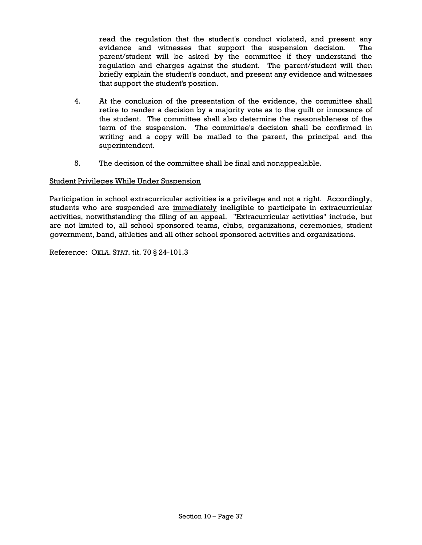read the regulation that the student's conduct violated, and present any evidence and witnesses that support the suspension decision. The parent/student will be asked by the committee if they understand the regulation and charges against the student. The parent/student will then briefly explain the student's conduct, and present any evidence and witnesses that support the student's position.

- 4. At the conclusion of the presentation of the evidence, the committee shall retire to render a decision by a majority vote as to the guilt or innocence of the student. The committee shall also determine the reasonableness of the term of the suspension. The committee's decision shall be confirmed in writing and a copy will be mailed to the parent, the principal and the superintendent.
- 5. The decision of the committee shall be final and nonappealable.

### Student Privileges While Under Suspension

Participation in school extracurricular activities is a privilege and not a right. Accordingly, students who are suspended are immediately ineligible to participate in extracurricular activities, notwithstanding the filing of an appeal. "Extracurricular activities" include, but are not limited to, all school sponsored teams, clubs, organizations, ceremonies, student government, band, athletics and all other school sponsored activities and organizations.

Reference: OKLA. STAT. tit. 70 § 24-101.3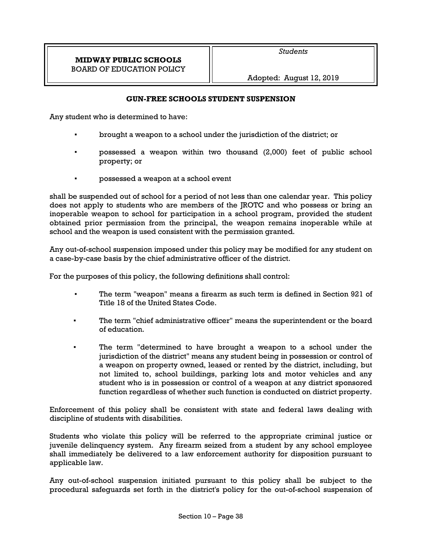## **GUN-FREE SCHOOLS STUDENT SUSPENSION**

Any student who is determined to have:

- brought a weapon to a school under the jurisdiction of the district; or
- possessed a weapon within two thousand (2,000) feet of public school property; or
- possessed a weapon at a school event

shall be suspended out of school for a period of not less than one calendar year. This policy does not apply to students who are members of the JROTC and who possess or bring an inoperable weapon to school for participation in a school program, provided the student obtained prior permission from the principal, the weapon remains inoperable while at school and the weapon is used consistent with the permission granted.

Any out-of-school suspension imposed under this policy may be modified for any student on a case-by-case basis by the chief administrative officer of the district.

For the purposes of this policy, the following definitions shall control:

- The term "weapon" means a firearm as such term is defined in Section 921 of Title 18 of the United States Code.
- The term "chief administrative officer" means the superintendent or the board of education.
- The term "determined to have brought a weapon to a school under the jurisdiction of the district" means any student being in possession or control of a weapon on property owned, leased or rented by the district, including, but not limited to, school buildings, parking lots and motor vehicles and any student who is in possession or control of a weapon at any district sponsored function regardless of whether such function is conducted on district property.

Enforcement of this policy shall be consistent with state and federal laws dealing with discipline of students with disabilities.

Students who violate this policy will be referred to the appropriate criminal justice or juvenile delinquency system. Any firearm seized from a student by any school employee shall immediately be delivered to a law enforcement authority for disposition pursuant to applicable law.

Any out-of-school suspension initiated pursuant to this policy shall be subject to the procedural safeguards set forth in the district's policy for the out-of-school suspension of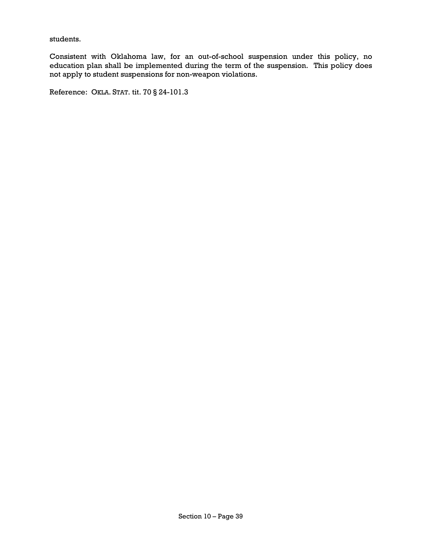students.

Consistent with Oklahoma law, for an out-of-school suspension under this policy, no education plan shall be implemented during the term of the suspension. This policy does not apply to student suspensions for non-weapon violations.

Reference: OKLA. STAT. tit. 70 § 24-101.3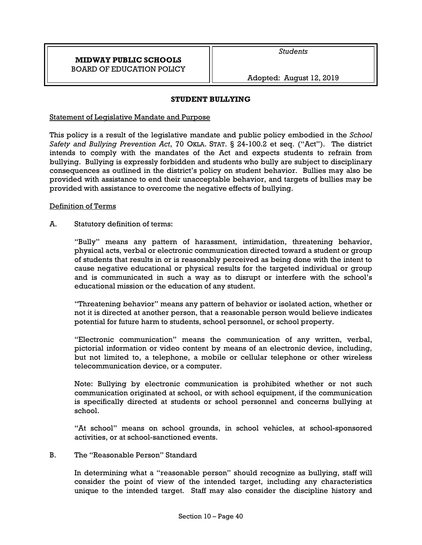### **STUDENT BULLYING**

### Statement of Legislative Mandate and Purpose

This policy is a result of the legislative mandate and public policy embodied in the *School Safety and Bullying Prevention Act*, 70 OKLA. STAT. § 24-100.2 et seq. ("Act"). The district intends to comply with the mandates of the Act and expects students to refrain from bullying. Bullying is expressly forbidden and students who bully are subject to disciplinary consequences as outlined in the district's policy on student behavior. Bullies may also be provided with assistance to end their unacceptable behavior, and targets of bullies may be provided with assistance to overcome the negative effects of bullying.

### Definition of Terms

A. Statutory definition of terms:

"Bully" means any pattern of harassment, intimidation, threatening behavior, physical acts, verbal or electronic communication directed toward a student or group of students that results in or is reasonably perceived as being done with the intent to cause negative educational or physical results for the targeted individual or group and is communicated in such a way as to disrupt or interfere with the school's educational mission or the education of any student.

"Threatening behavior" means any pattern of behavior or isolated action, whether or not it is directed at another person, that a reasonable person would believe indicates potential for future harm to students, school personnel, or school property.

"Electronic communication" means the communication of any written, verbal, pictorial information or video content by means of an electronic device, including, but not limited to, a telephone, a mobile or cellular telephone or other wireless telecommunication device, or a computer.

Note: Bullying by electronic communication is prohibited whether or not such communication originated at school, or with school equipment, if the communication is specifically directed at students or school personnel and concerns bullying at school.

"At school" means on school grounds, in school vehicles, at school-sponsored activities, or at school-sanctioned events.

### B. The "Reasonable Person" Standard

In determining what a "reasonable person" should recognize as bullying, staff will consider the point of view of the intended target, including any characteristics unique to the intended target. Staff may also consider the discipline history and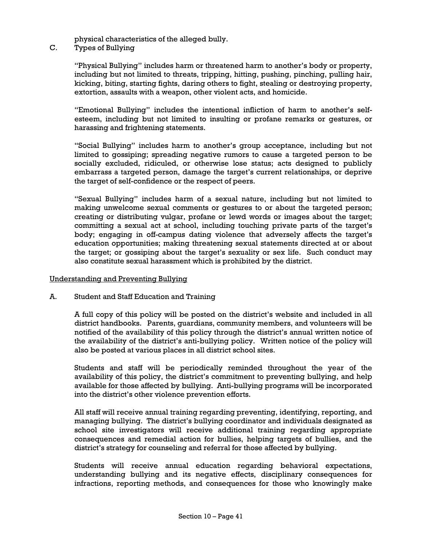physical characteristics of the alleged bully.

C. Types of Bullying

"Physical Bullying" includes harm or threatened harm to another's body or property, including but not limited to threats, tripping, hitting, pushing, pinching, pulling hair, kicking, biting, starting fights, daring others to fight, stealing or destroying property, extortion, assaults with a weapon, other violent acts, and homicide.

"Emotional Bullying" includes the intentional infliction of harm to another's selfesteem, including but not limited to insulting or profane remarks or gestures, or harassing and frightening statements.

"Social Bullying" includes harm to another's group acceptance, including but not limited to gossiping; spreading negative rumors to cause a targeted person to be socially excluded, ridiculed, or otherwise lose status; acts designed to publicly embarrass a targeted person, damage the target's current relationships, or deprive the target of self-confidence or the respect of peers.

"Sexual Bullying" includes harm of a sexual nature, including but not limited to making unwelcome sexual comments or gestures to or about the targeted person; creating or distributing vulgar, profane or lewd words or images about the target; committing a sexual act at school, including touching private parts of the target's body; engaging in off-campus dating violence that adversely affects the target's education opportunities; making threatening sexual statements directed at or about the target; or gossiping about the target's sexuality or sex life. Such conduct may also constitute sexual harassment which is prohibited by the district.

#### Understanding and Preventing Bullying

A. Student and Staff Education and Training

A full copy of this policy will be posted on the district's website and included in all district handbooks. Parents, guardians, community members, and volunteers will be notified of the availability of this policy through the district's annual written notice of the availability of the district's anti-bullying policy. Written notice of the policy will also be posted at various places in all district school sites.

Students and staff will be periodically reminded throughout the year of the availability of this policy, the district's commitment to preventing bullying, and help available for those affected by bullying. Anti-bullying programs will be incorporated into the district's other violence prevention efforts.

All staff will receive annual training regarding preventing, identifying, reporting, and managing bullying. The district's bullying coordinator and individuals designated as school site investigators will receive additional training regarding appropriate consequences and remedial action for bullies, helping targets of bullies, and the district's strategy for counseling and referral for those affected by bullying.

Students will receive annual education regarding behavioral expectations, understanding bullying and its negative effects, disciplinary consequences for infractions, reporting methods, and consequences for those who knowingly make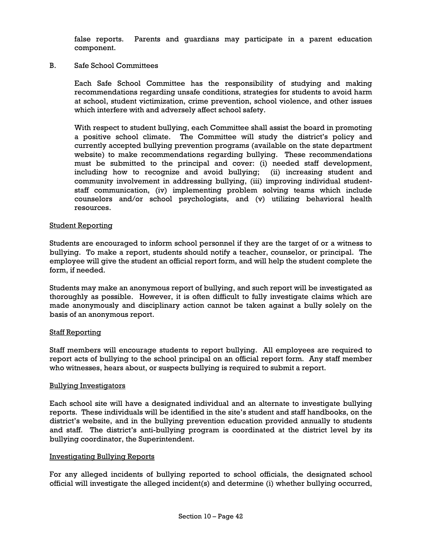false reports. Parents and guardians may participate in a parent education component.

B. Safe School Committees

Each Safe School Committee has the responsibility of studying and making recommendations regarding unsafe conditions, strategies for students to avoid harm at school, student victimization, crime prevention, school violence, and other issues which interfere with and adversely affect school safety.

With respect to student bullying, each Committee shall assist the board in promoting a positive school climate. The Committee will study the district's policy and currently accepted bullying prevention programs (available on the state department website) to make recommendations regarding bullying. These recommendations must be submitted to the principal and cover: (i) needed staff development, including how to recognize and avoid bullying; (ii) increasing student and community involvement in addressing bullying, (iii) improving individual studentstaff communication, (iv) implementing problem solving teams which include counselors and/or school psychologists, and (v) utilizing behavioral health resources.

### Student Reporting

Students are encouraged to inform school personnel if they are the target of or a witness to bullying. To make a report, students should notify a teacher, counselor, or principal. The employee will give the student an official report form, and will help the student complete the form, if needed.

Students may make an anonymous report of bullying, and such report will be investigated as thoroughly as possible. However, it is often difficult to fully investigate claims which are made anonymously and disciplinary action cannot be taken against a bully solely on the basis of an anonymous report.

#### Staff Reporting

Staff members will encourage students to report bullying. All employees are required to report acts of bullying to the school principal on an official report form. Any staff member who witnesses, hears about, or suspects bullying is required to submit a report.

### Bullying Investigators

Each school site will have a designated individual and an alternate to investigate bullying reports. These individuals will be identified in the site's student and staff handbooks, on the district's website, and in the bullying prevention education provided annually to students and staff. The district's anti-bullying program is coordinated at the district level by its bullying coordinator, the Superintendent.

#### Investigating Bullying Reports

For any alleged incidents of bullying reported to school officials, the designated school official will investigate the alleged incident(s) and determine (i) whether bullying occurred,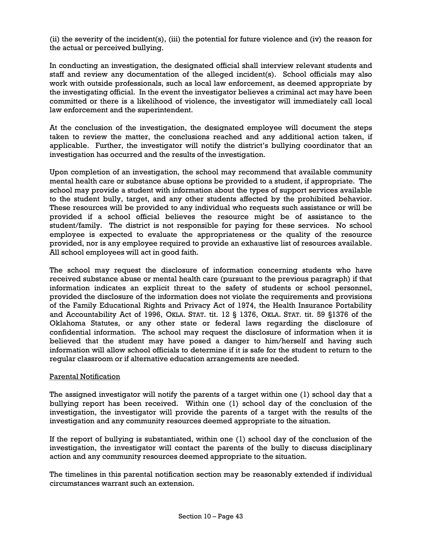(ii) the severity of the incident(s), (iii) the potential for future violence and (iv) the reason for the actual or perceived bullying.

In conducting an investigation, the designated official shall interview relevant students and staff and review any documentation of the alleged incident(s). School officials may also work with outside professionals, such as local law enforcement, as deemed appropriate by the investigating official. In the event the investigator believes a criminal act may have been committed or there is a likelihood of violence, the investigator will immediately call local law enforcement and the superintendent.

At the conclusion of the investigation, the designated employee will document the steps taken to review the matter, the conclusions reached and any additional action taken, if applicable. Further, the investigator will notify the district's bullying coordinator that an investigation has occurred and the results of the investigation.

Upon completion of an investigation, the school may recommend that available community mental health care or substance abuse options be provided to a student, if appropriate. The school may provide a student with information about the types of support services available to the student bully, target, and any other students affected by the prohibited behavior. These resources will be provided to any individual who requests such assistance or will be provided if a school official believes the resource might be of assistance to the student/family. The district is not responsible for paying for these services. No school employee is expected to evaluate the appropriateness or the quality of the resource provided, nor is any employee required to provide an exhaustive list of resources available. All school employees will act in good faith.

The school may request the disclosure of information concerning students who have received substance abuse or mental health care (pursuant to the previous paragraph) if that information indicates an explicit threat to the safety of students or school personnel, provided the disclosure of the information does not violate the requirements and provisions of the Family Educational Rights and Privacy Act of 1974, the Health Insurance Portability and Accountability Act of 1996, OKLA. STAT. tit. 12 § 1376, OKLA. STAT. tit. 59 §1376 of the Oklahoma Statutes, or any other state or federal laws regarding the disclosure of confidential information. The school may request the disclosure of information when it is believed that the student may have posed a danger to him/herself and having such information will allow school officials to determine if it is safe for the student to return to the regular classroom or if alternative education arrangements are needed.

### Parental Notification

The assigned investigator will notify the parents of a target within one (1) school day that a bullying report has been received. Within one (1) school day of the conclusion of the investigation, the investigator will provide the parents of a target with the results of the investigation and any community resources deemed appropriate to the situation.

If the report of bullying is substantiated, within one (1) school day of the conclusion of the investigation, the investigator will contact the parents of the bully to discuss disciplinary action and any community resources deemed appropriate to the situation.

The timelines in this parental notification section may be reasonably extended if individual circumstances warrant such an extension.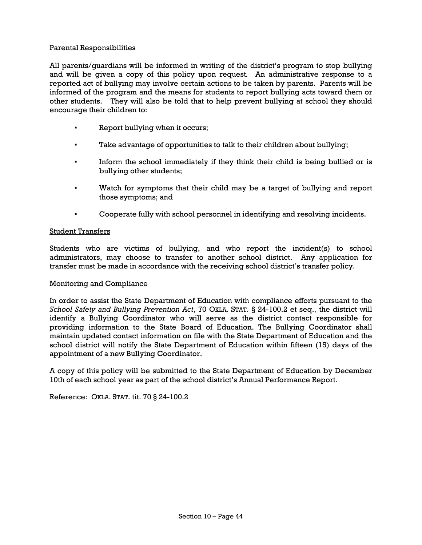### Parental Responsibilities

All parents/guardians will be informed in writing of the district's program to stop bullying and will be given a copy of this policy upon request*.* An administrative response to a reported act of bullying may involve certain actions to be taken by parents. Parents will be informed of the program and the means for students to report bullying acts toward them or other students. They will also be told that to help prevent bullying at school they should encourage their children to:

- Report bullying when it occurs;
- Take advantage of opportunities to talk to their children about bullying;
- Inform the school immediately if they think their child is being bullied or is bullying other students;
- Watch for symptoms that their child may be a target of bullying and report those symptoms; and
- Cooperate fully with school personnel in identifying and resolving incidents.

### Student Transfers

Students who are victims of bullying, and who report the incident(s) to school administrators, may choose to transfer to another school district. Any application for transfer must be made in accordance with the receiving school district's transfer policy.

### Monitoring and Compliance

In order to assist the State Department of Education with compliance efforts pursuant to the *School Safety and Bullying Prevention Act*, 70 OKLA. STAT. § 24-100.2 et seq., the district will identify a Bullying Coordinator who will serve as the district contact responsible for providing information to the State Board of Education. The Bullying Coordinator shall maintain updated contact information on file with the State Department of Education and the school district will notify the State Department of Education within fifteen (15) days of the appointment of a new Bullying Coordinator.

A copy of this policy will be submitted to the State Department of Education by December 10th of each school year as part of the school district's Annual Performance Report.

Reference: OKLA. STAT. tit. 70 § 24-100.2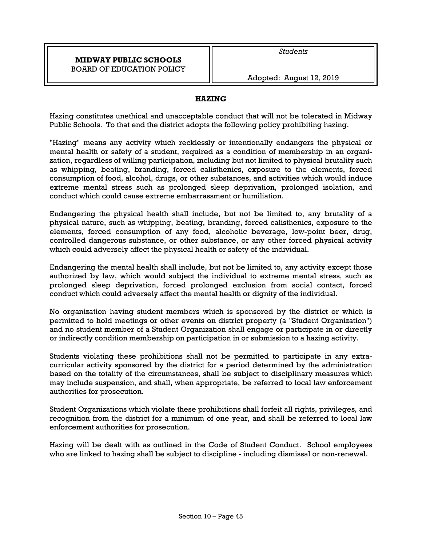### **HAZING**

Hazing constitutes unethical and unacceptable conduct that will not be tolerated in Midway Public Schools. To that end the district adopts the following policy prohibiting hazing.

"Hazing" means any activity which recklessly or intentionally endangers the physical or mental health or safety of a student, required as a condition of membership in an organization, regardless of willing participation, including but not limited to physical brutality such as whipping, beating, branding, forced calisthenics, exposure to the elements, forced consumption of food, alcohol, drugs, or other substances, and activities which would induce extreme mental stress such as prolonged sleep deprivation, prolonged isolation, and conduct which could cause extreme embarrassment or humiliation.

Endangering the physical health shall include, but not be limited to, any brutality of a physical nature, such as whipping, beating, branding, forced calisthenics, exposure to the elements, forced consumption of any food, alcoholic beverage, low-point beer, drug, controlled dangerous substance, or other substance, or any other forced physical activity which could adversely affect the physical health or safety of the individual.

Endangering the mental health shall include, but not be limited to, any activity except those authorized by law, which would subject the individual to extreme mental stress, such as prolonged sleep deprivation, forced prolonged exclusion from social contact, forced conduct which could adversely affect the mental health or dignity of the individual.

No organization having student members which is sponsored by the district or which is permitted to hold meetings or other events on district property (a "Student Organization") and no student member of a Student Organization shall engage or participate in or directly or indirectly condition membership on participation in or submission to a hazing activity.

Students violating these prohibitions shall not be permitted to participate in any extracurricular activity sponsored by the district for a period determined by the administration based on the totality of the circumstances, shall be subject to disciplinary measures which may include suspension, and shall, when appropriate, be referred to local law enforcement authorities for prosecution.

Student Organizations which violate these prohibitions shall forfeit all rights, privileges, and recognition from the district for a minimum of one year, and shall be referred to local law enforcement authorities for prosecution.

Hazing will be dealt with as outlined in the Code of Student Conduct. School employees who are linked to hazing shall be subject to discipline - including dismissal or non-renewal.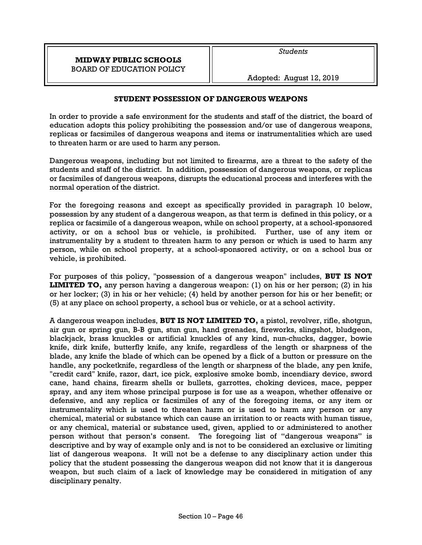Adopted: August 12, 2019

## **STUDENT POSSESSION OF DANGEROUS WEAPONS**

In order to provide a safe environment for the students and staff of the district, the board of education adopts this policy prohibiting the possession and/or use of dangerous weapons, replicas or facsimiles of dangerous weapons and items or instrumentalities which are used to threaten harm or are used to harm any person.

Dangerous weapons, including but not limited to firearms, are a threat to the safety of the students and staff of the district. In addition, possession of dangerous weapons, or replicas or facsimiles of dangerous weapons, disrupts the educational process and interferes with the normal operation of the district.

For the foregoing reasons and except as specifically provided in paragraph 10 below, possession by any student of a dangerous weapon, as that term is defined in this policy, or a replica or facsimile of a dangerous weapon, while on school property, at a school-sponsored activity, or on a school bus or vehicle, is prohibited. Further, use of any item or instrumentality by a student to threaten harm to any person or which is used to harm any person, while on school property, at a school-sponsored activity, or on a school bus or vehicle, is prohibited.

For purposes of this policy, "possession of a dangerous weapon" includes, **BUT IS NOT LIMITED TO,** any person having a dangerous weapon: (1) on his or her person; (2) in his or her locker; (3) in his or her vehicle; (4) held by another person for his or her benefit; or (5) at any place on school property, a school bus or vehicle, or at a school activity.

A dangerous weapon includes, **BUT IS NOT LIMITED TO,** a pistol, revolver, rifle, shotgun, air gun or spring gun, B-B gun, stun gun, hand grenades, fireworks, slingshot, bludgeon, blackjack, brass knuckles or artificial knuckles of any kind, nun-chucks, dagger, bowie knife, dirk knife, butterfly knife, any knife, regardless of the length or sharpness of the blade, any knife the blade of which can be opened by a flick of a button or pressure on the handle, any pocketknife, regardless of the length or sharpness of the blade, any pen knife, "credit card" knife, razor, dart, ice pick, explosive smoke bomb, incendiary device, sword cane, hand chains, firearm shells or bullets, garrottes, choking devices, mace, pepper spray, and any item whose principal purpose is for use as a weapon, whether offensive or defensive, and any replica or facsimiles of any of the foregoing items, or any item or instrumentality which is used to threaten harm or is used to harm any person or any chemical, material or substance which can cause an irritation to or reacts with human tissue, or any chemical, material or substance used, given, applied to or administered to another person without that person's consent. The foregoing list of "dangerous weapons" is descriptive and by way of example only and is not to be considered an exclusive or limiting list of dangerous weapons. It will not be a defense to any disciplinary action under this policy that the student possessing the dangerous weapon did not know that it is dangerous weapon, but such claim of a lack of knowledge may be considered in mitigation of any disciplinary penalty.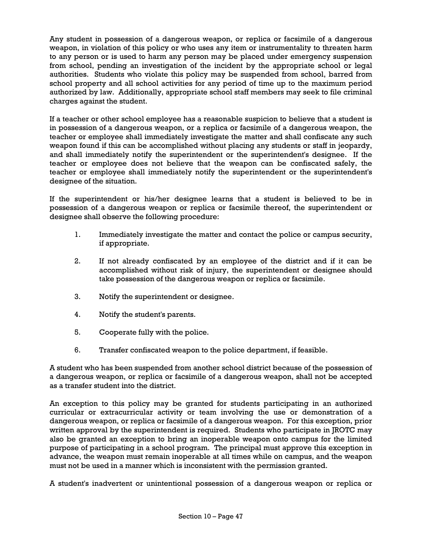Any student in possession of a dangerous weapon, or replica or facsimile of a dangerous weapon, in violation of this policy or who uses any item or instrumentality to threaten harm to any person or is used to harm any person may be placed under emergency suspension from school, pending an investigation of the incident by the appropriate school or legal authorities. Students who violate this policy may be suspended from school, barred from school property and all school activities for any period of time up to the maximum period authorized by law. Additionally, appropriate school staff members may seek to file criminal charges against the student.

If a teacher or other school employee has a reasonable suspicion to believe that a student is in possession of a dangerous weapon, or a replica or facsimile of a dangerous weapon, the teacher or employee shall immediately investigate the matter and shall confiscate any such weapon found if this can be accomplished without placing any students or staff in jeopardy, and shall immediately notify the superintendent or the superintendent's designee. If the teacher or employee does not believe that the weapon can be confiscated safely, the teacher or employee shall immediately notify the superintendent or the superintendent's designee of the situation.

If the superintendent or his/her designee learns that a student is believed to be in possession of a dangerous weapon or replica or facsimile thereof, the superintendent or designee shall observe the following procedure:

- 1. Immediately investigate the matter and contact the police or campus security, if appropriate.
- 2. If not already confiscated by an employee of the district and if it can be accomplished without risk of injury, the superintendent or designee should take possession of the dangerous weapon or replica or facsimile.
- 3. Notify the superintendent or designee.
- 4. Notify the student's parents.
- 5. Cooperate fully with the police.
- 6. Transfer confiscated weapon to the police department, if feasible.

A student who has been suspended from another school district because of the possession of a dangerous weapon, or replica or facsimile of a dangerous weapon, shall not be accepted as a transfer student into the district.

An exception to this policy may be granted for students participating in an authorized curricular or extracurricular activity or team involving the use or demonstration of a dangerous weapon, or replica or facsimile of a dangerous weapon. For this exception, prior written approval by the superintendent is required. Students who participate in JROTC may also be granted an exception to bring an inoperable weapon onto campus for the limited purpose of participating in a school program. The principal must approve this exception in advance, the weapon must remain inoperable at all times while on campus, and the weapon must not be used in a manner which is inconsistent with the permission granted.

A student's inadvertent or unintentional possession of a dangerous weapon or replica or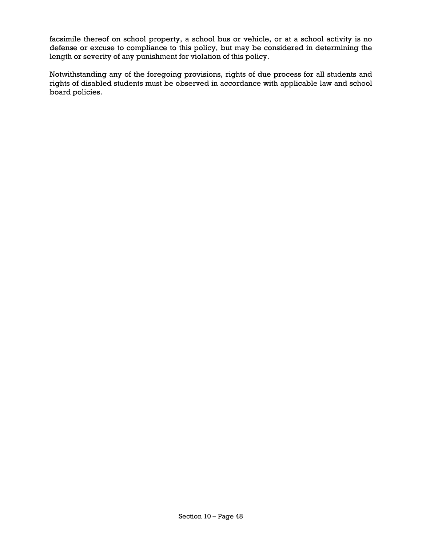facsimile thereof on school property, a school bus or vehicle, or at a school activity is no defense or excuse to compliance to this policy, but may be considered in determining the length or severity of any punishment for violation of this policy.

Notwithstanding any of the foregoing provisions, rights of due process for all students and rights of disabled students must be observed in accordance with applicable law and school board policies.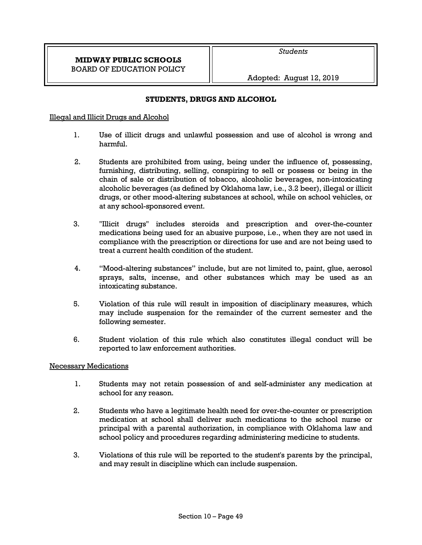### **STUDENTS, DRUGS AND ALCOHOL**

### Illegal and Illicit Drugs and Alcohol

- 1. Use of illicit drugs and unlawful possession and use of alcohol is wrong and harmful.
- 2. Students are prohibited from using, being under the influence of, possessing, furnishing, distributing, selling, conspiring to sell or possess or being in the chain of sale or distribution of tobacco, alcoholic beverages, non-intoxicating alcoholic beverages (as defined by Oklahoma law, i.e., 3.2 beer), illegal or illicit drugs, or other mood-altering substances at school, while on school vehicles, or at any school-sponsored event.
- 3. "Illicit drugs" includes steroids and prescription and over-the-counter medications being used for an abusive purpose, i.e., when they are not used in compliance with the prescription or directions for use and are not being used to treat a current health condition of the student.
- 4. "Mood-altering substances" include, but are not limited to, paint, glue, aerosol sprays, salts, incense, and other substances which may be used as an intoxicating substance.
- 5. Violation of this rule will result in imposition of disciplinary measures, which may include suspension for the remainder of the current semester and the following semester.
- 6. Student violation of this rule which also constitutes illegal conduct will be reported to law enforcement authorities.

### Necessary Medications

- 1. Students may not retain possession of and self-administer any medication at school for any reason.
- 2. Students who have a legitimate health need for over-the-counter or prescription medication at school shall deliver such medications to the school nurse or principal with a parental authorization, in compliance with Oklahoma law and school policy and procedures regarding administering medicine to students.
- 3. Violations of this rule will be reported to the student's parents by the principal, and may result in discipline which can include suspension.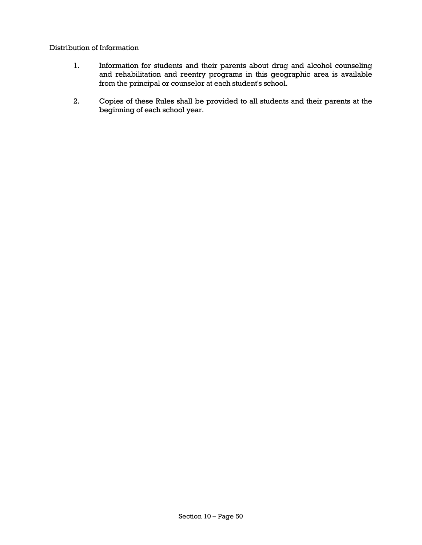### Distribution of Information

- 1. Information for students and their parents about drug and alcohol counseling and rehabilitation and reentry programs in this geographic area is available from the principal or counselor at each student's school.
- 2. Copies of these Rules shall be provided to all students and their parents at the beginning of each school year.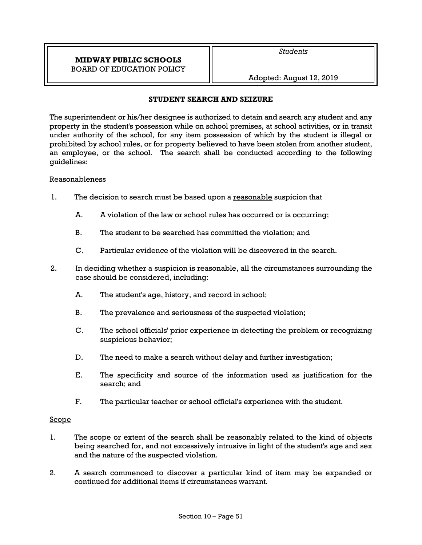Adopted: August 12, 2019

### **STUDENT SEARCH AND SEIZURE**

The superintendent or his/her designee is authorized to detain and search any student and any property in the student's possession while on school premises, at school activities, or in transit under authority of the school, for any item possession of which by the student is illegal or prohibited by school rules, or for property believed to have been stolen from another student, an employee, or the school. The search shall be conducted according to the following guidelines:

### Reasonableness

- 1. The decision to search must be based upon a reasonable suspicion that
	- A. A violation of the law or school rules has occurred or is occurring;
	- B. The student to be searched has committed the violation; and
	- C. Particular evidence of the violation will be discovered in the search.
- 2. In deciding whether a suspicion is reasonable, all the circumstances surrounding the case should be considered, including:
	- A. The student's age, history, and record in school;
	- B. The prevalence and seriousness of the suspected violation;
	- C. The school officials' prior experience in detecting the problem or recognizing suspicious behavior;
	- D. The need to make a search without delay and further investigation;
	- E. The specificity and source of the information used as justification for the search; and
	- F. The particular teacher or school official's experience with the student.

### Scope

- 1. The scope or extent of the search shall be reasonably related to the kind of objects being searched for, and not excessively intrusive in light of the student's age and sex and the nature of the suspected violation.
- 2. A search commenced to discover a particular kind of item may be expanded or continued for additional items if circumstances warrant.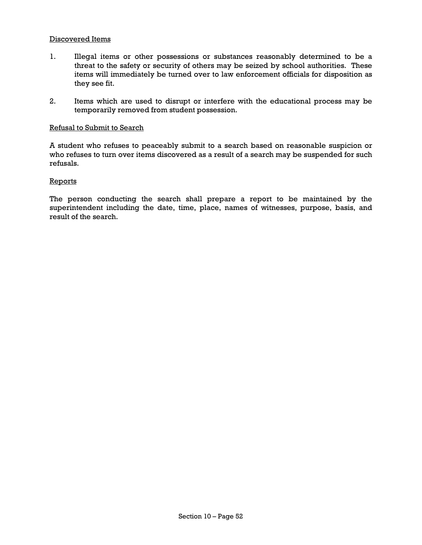#### Discovered Items

- 1. Illegal items or other possessions or substances reasonably determined to be a threat to the safety or security of others may be seized by school authorities. These items will immediately be turned over to law enforcement officials for disposition as they see fit.
- 2. Items which are used to disrupt or interfere with the educational process may be temporarily removed from student possession.

#### Refusal to Submit to Search

A student who refuses to peaceably submit to a search based on reasonable suspicion or who refuses to turn over items discovered as a result of a search may be suspended for such refusals.

#### **Reports**

The person conducting the search shall prepare a report to be maintained by the superintendent including the date, time, place, names of witnesses, purpose, basis, and result of the search.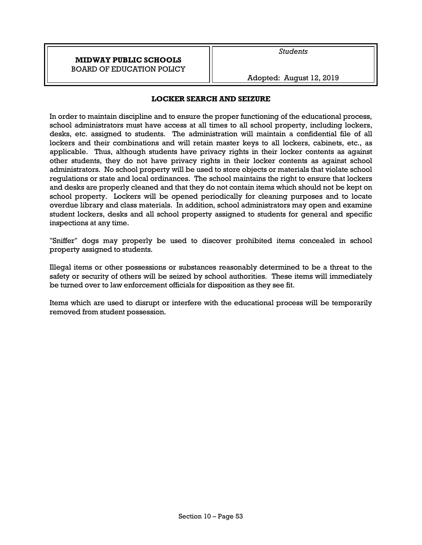Adopted: August 12, 2019

# **LOCKER SEARCH AND SEIZURE**

In order to maintain discipline and to ensure the proper functioning of the educational process, school administrators must have access at all times to all school property, including lockers, desks, etc. assigned to students. The administration will maintain a confidential file of all lockers and their combinations and will retain master keys to all lockers, cabinets, etc., as applicable. Thus, although students have privacy rights in their locker contents as against other students, they do not have privacy rights in their locker contents as against school administrators. No school property will be used to store objects or materials that violate school regulations or state and local ordinances. The school maintains the right to ensure that lockers and desks are properly cleaned and that they do not contain items which should not be kept on school property. Lockers will be opened periodically for cleaning purposes and to locate overdue library and class materials. In addition, school administrators may open and examine student lockers, desks and all school property assigned to students for general and specific inspections at any time.

"Sniffer" dogs may properly be used to discover prohibited items concealed in school property assigned to students.

Illegal items or other possessions or substances reasonably determined to be a threat to the safety or security of others will be seized by school authorities. These items will immediately be turned over to law enforcement officials for disposition as they see fit.

Items which are used to disrupt or interfere with the educational process will be temporarily removed from student possession.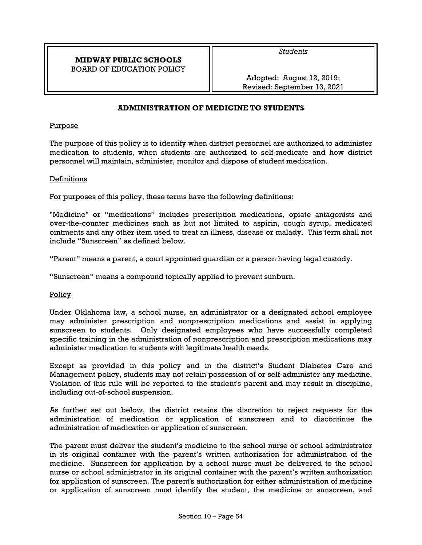*Students* 

Adopted: August 12, 2019; Revised: September 13, 2021

## **ADMINISTRATION OF MEDICINE TO STUDENTS**

#### Purpose

The purpose of this policy is to identify when district personnel are authorized to administer medication to students, when students are authorized to self-medicate and how district personnel will maintain, administer, monitor and dispose of student medication.

#### Definitions

For purposes of this policy, these terms have the following definitions:

"Medicine" or "medications" includes prescription medications, opiate antagonists and over-the-counter medicines such as but not limited to aspirin, cough syrup, medicated ointments and any other item used to treat an illness, disease or malady. This term shall not include "Sunscreen" as defined below.

"Parent" means a parent, a court appointed guardian or a person having legal custody.

"Sunscreen" means a compound topically applied to prevent sunburn.

Policy

Under Oklahoma law, a school nurse, an administrator or a designated school employee may administer prescription and nonprescription medications and assist in applying sunscreen to students. Only designated employees who have successfully completed specific training in the administration of nonprescription and prescription medications may administer medication to students with legitimate health needs.

Except as provided in this policy and in the district's Student Diabetes Care and Management policy, students may not retain possession of or self-administer any medicine. Violation of this rule will be reported to the student's parent and may result in discipline, including out-of-school suspension.

As further set out below, the district retains the discretion to reject requests for the administration of medication or application of sunscreen and to discontinue the administration of medication or application of sunscreen.

The parent must deliver the student's medicine to the school nurse or school administrator in its original container with the parent's written authorization for administration of the medicine. Sunscreen for application by a school nurse must be delivered to the school nurse or school administrator in its original container with the parent's written authorization for application of sunscreen. The parent's authorization for either administration of medicine or application of sunscreen must identify the student, the medicine or sunscreen, and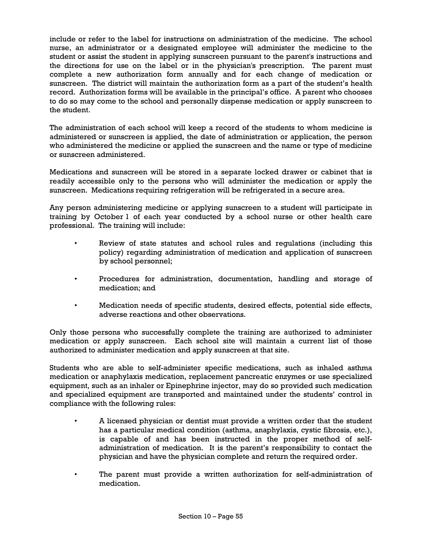include or refer to the label for instructions on administration of the medicine. The school nurse, an administrator or a designated employee will administer the medicine to the student or assist the student in applying sunscreen pursuant to the parent's instructions and the directions for use on the label or in the physician's prescription. The parent must complete a new authorization form annually and for each change of medication or sunscreen. The district will maintain the authorization form as a part of the student's health record. Authorization forms will be available in the principal's office. A parent who chooses to do so may come to the school and personally dispense medication or apply sunscreen to the student.

The administration of each school will keep a record of the students to whom medicine is administered or sunscreen is applied, the date of administration or application, the person who administered the medicine or applied the sunscreen and the name or type of medicine or sunscreen administered.

Medications and sunscreen will be stored in a separate locked drawer or cabinet that is readily accessible only to the persons who will administer the medication or apply the sunscreen. Medications requiring refrigeration will be refrigerated in a secure area.

Any person administering medicine or applying sunscreen to a student will participate in training by October 1 of each year conducted by a school nurse or other health care professional. The training will include:

- Review of state statutes and school rules and regulations (including this policy) regarding administration of medication and application of sunscreen by school personnel;
- Procedures for administration, documentation, handling and storage of medication; and
- Medication needs of specific students, desired effects, potential side effects, adverse reactions and other observations.

Only those persons who successfully complete the training are authorized to administer medication or apply sunscreen. Each school site will maintain a current list of those authorized to administer medication and apply sunscreen at that site.

Students who are able to self-administer specific medications, such as inhaled asthma medication or anaphylaxis medication, replacement pancreatic enzymes or use specialized equipment, such as an inhaler or Epinephrine injector, may do so provided such medication and specialized equipment are transported and maintained under the students' control in compliance with the following rules:

- A licensed physician or dentist must provide a written order that the student has a particular medical condition (asthma, anaphylaxis, cystic fibrosis, etc.), is capable of and has been instructed in the proper method of selfadministration of medication. It is the parent's responsibility to contact the physician and have the physician complete and return the required order.
- The parent must provide a written authorization for self-administration of medication.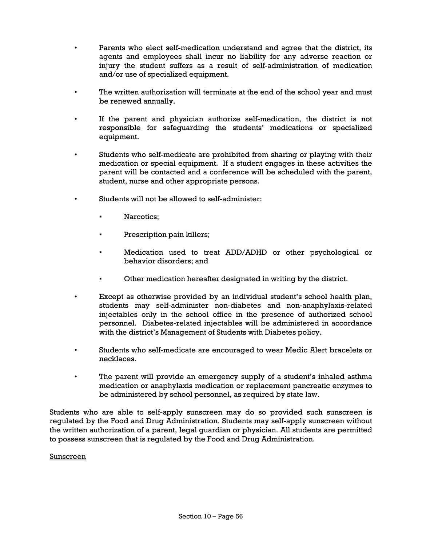- Parents who elect self-medication understand and agree that the district, its agents and employees shall incur no liability for any adverse reaction or injury the student suffers as a result of self-administration of medication and/or use of specialized equipment.
- The written authorization will terminate at the end of the school year and must be renewed annually.
- If the parent and physician authorize self-medication, the district is not responsible for safeguarding the students' medications or specialized equipment.
- Students who self-medicate are prohibited from sharing or playing with their medication or special equipment. If a student engages in these activities the parent will be contacted and a conference will be scheduled with the parent, student, nurse and other appropriate persons.
- Students will not be allowed to self-administer:
	- Narcotics:
	- Prescription pain killers;
	- Medication used to treat ADD/ADHD or other psychological or behavior disorders; and
	- Other medication hereafter designated in writing by the district.
- Except as otherwise provided by an individual student's school health plan, students may self-administer non-diabetes and non-anaphylaxis-related injectables only in the school office in the presence of authorized school personnel. Diabetes-related injectables will be administered in accordance with the district's Management of Students with Diabetes policy.
- Students who self-medicate are encouraged to wear Medic Alert bracelets or necklaces.
- The parent will provide an emergency supply of a student's inhaled asthma medication or anaphylaxis medication or replacement pancreatic enzymes to be administered by school personnel, as required by state law.

Students who are able to self-apply sunscreen may do so provided such sunscreen is regulated by the Food and Drug Administration. Students may self-apply sunscreen without the written authorization of a parent, legal guardian or physician. All students are permitted to possess sunscreen that is regulated by the Food and Drug Administration.

Sunscreen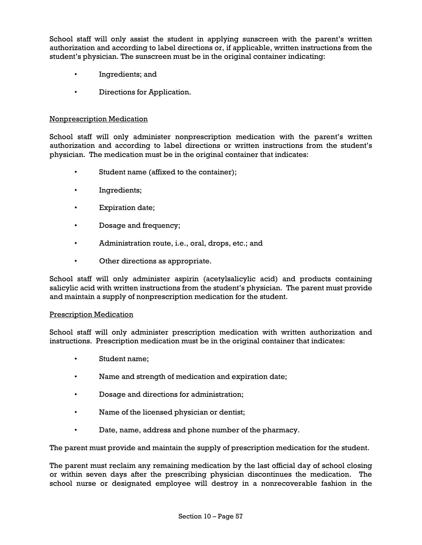School staff will only assist the student in applying sunscreen with the parent's written authorization and according to label directions or, if applicable, written instructions from the student's physician. The sunscreen must be in the original container indicating:

- Ingredients; and
- Directions for Application.

### Nonprescription Medication

School staff will only administer nonprescription medication with the parent's written authorization and according to label directions or written instructions from the student's physician. The medication must be in the original container that indicates:

- Student name (affixed to the container);
- Ingredients;
- Expiration date;
- Dosage and frequency;
- Administration route, i.e., oral, drops, etc.; and
- Other directions as appropriate.

School staff will only administer aspirin (acetylsalicylic acid) and products containing salicylic acid with written instructions from the student's physician. The parent must provide and maintain a supply of nonprescription medication for the student.

### Prescription Medication

School staff will only administer prescription medication with written authorization and instructions. Prescription medication must be in the original container that indicates:

- Student name;
- Name and strength of medication and expiration date;
- Dosage and directions for administration;
- Name of the licensed physician or dentist;
- Date, name, address and phone number of the pharmacy.

The parent must provide and maintain the supply of prescription medication for the student.

The parent must reclaim any remaining medication by the last official day of school closing or within seven days after the prescribing physician discontinues the medication. The school nurse or designated employee will destroy in a nonrecoverable fashion in the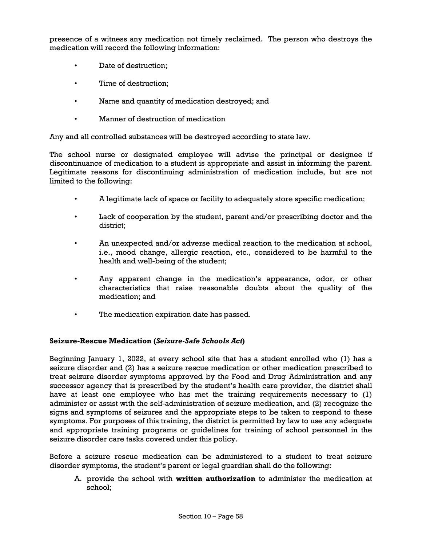presence of a witness any medication not timely reclaimed. The person who destroys the medication will record the following information:

- Date of destruction;
- Time of destruction;
- Name and quantity of medication destroyed; and
- Manner of destruction of medication

Any and all controlled substances will be destroyed according to state law.

The school nurse or designated employee will advise the principal or designee if discontinuance of medication to a student is appropriate and assist in informing the parent. Legitimate reasons for discontinuing administration of medication include, but are not limited to the following:

- A legitimate lack of space or facility to adequately store specific medication;
- Lack of cooperation by the student, parent and/or prescribing doctor and the district;
- An unexpected and/or adverse medical reaction to the medication at school, i.e., mood change, allergic reaction, etc., considered to be harmful to the health and well-being of the student;
- Any apparent change in the medication's appearance, odor, or other characteristics that raise reasonable doubts about the quality of the medication; and
- The medication expiration date has passed.

### **Seizure-Rescue Medication (***Seizure-Safe Schools Act***)**

Beginning January 1, 2022, at every school site that has a student enrolled who (1) has a seizure disorder and (2) has a seizure rescue medication or other medication prescribed to treat seizure disorder symptoms approved by the Food and Drug Administration and any successor agency that is prescribed by the student's health care provider, the district shall have at least one employee who has met the training requirements necessary to (1) administer or assist with the self-administration of seizure medication, and (2) recognize the signs and symptoms of seizures and the appropriate steps to be taken to respond to these symptoms. For purposes of this training, the district is permitted by law to use any adequate and appropriate training programs or guidelines for training of school personnel in the seizure disorder care tasks covered under this policy.

Before a seizure rescue medication can be administered to a student to treat seizure disorder symptoms, the student's parent or legal guardian shall do the following:

A. provide the school with **written authorization** to administer the medication at school;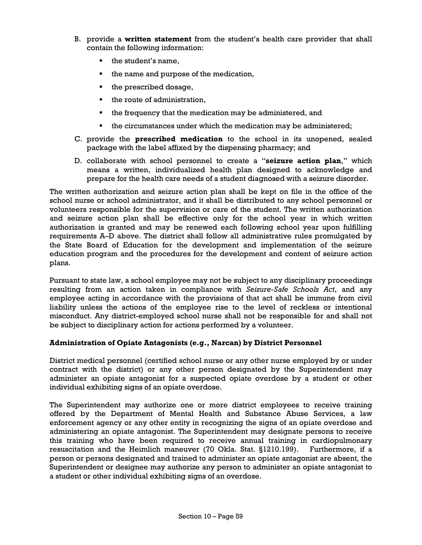- B. provide a **written statement** from the student's health care provider that shall contain the following information:
	- the student's name,
	- the name and purpose of the medication,
	- $\blacksquare$  the prescribed dosage,
	- $\blacksquare$  the route of administration.
	- the frequency that the medication may be administered, and
	- the circumstances under which the medication may be administered;
- C. provide the **prescribed medication** to the school in its unopened, sealed package with the label affixed by the dispensing pharmacy; and
- D. collaborate with school personnel to create a "**seizure action plan**," which means a written, individualized health plan designed to acknowledge and prepare for the health care needs of a student diagnosed with a seizure disorder.

The written authorization and seizure action plan shall be kept on file in the office of the school nurse or school administrator, and it shall be distributed to any school personnel or volunteers responsible for the supervision or care of the student. The written authorization and seizure action plan shall be effective only for the school year in which written authorization is granted and may be renewed each following school year upon fulfilling requirements A–D above. The district shall follow all administrative rules promulgated by the State Board of Education for the development and implementation of the seizure education program and the procedures for the development and content of seizure action plans.

Pursuant to state law, a school employee may not be subject to any disciplinary proceedings resulting from an action taken in compliance with *Seizure-Safe Schools Act*, and any employee acting in accordance with the provisions of that act shall be immune from civil liability unless the actions of the employee rise to the level of reckless or intentional misconduct. Any district-employed school nurse shall not be responsible for and shall not be subject to disciplinary action for actions performed by a volunteer.

### **Administration of Opiate Antagonists (e.g., Narcan) by District Personnel**

District medical personnel (certified school nurse or any other nurse employed by or under contract with the district) or any other person designated by the Superintendent may administer an opiate antagonist for a suspected opiate overdose by a student or other individual exhibiting signs of an opiate overdose.

The Superintendent may authorize one or more district employees to receive training offered by the Department of Mental Health and Substance Abuse Services, a law enforcement agency or any other entity in recognizing the signs of an opiate overdose and administering an opiate antagonist. The Superintendent may designate persons to receive this training who have been required to receive annual training in cardiopulmonary resuscitation and the Heimlich maneuver (70 Okla. Stat. §1210.199). Furthermore, if a person or persons designated and trained to administer an opiate antagonist are absent, the Superintendent or designee may authorize any person to administer an opiate antagonist to a student or other individual exhibiting signs of an overdose.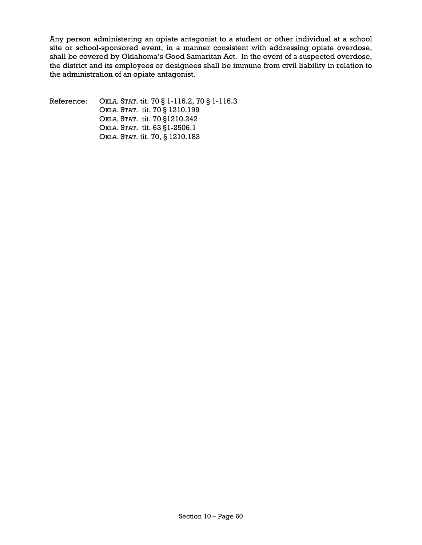Any person administering an opiate antagonist to a student or other individual at a school site or school-sponsored event, in a manner consistent with addressing opiate overdose, shall be covered by Oklahoma's Good Samaritan Act. In the event of a suspected overdose, the district and its employees or designees shall be immune from civil liability in relation to the administration of an opiate antagonist.

Reference: OKLA. STAT. tit. 70 § 1-116.2, 70 § 1-116.3 OKLA. STAT. tit. 70 § 1210.199 OKLA. STAT. tit. 70 §1210.242 OKLA. STAT. tit. 63 §1-2506.1 OKLA. STAT. tit. 70, § 1210.183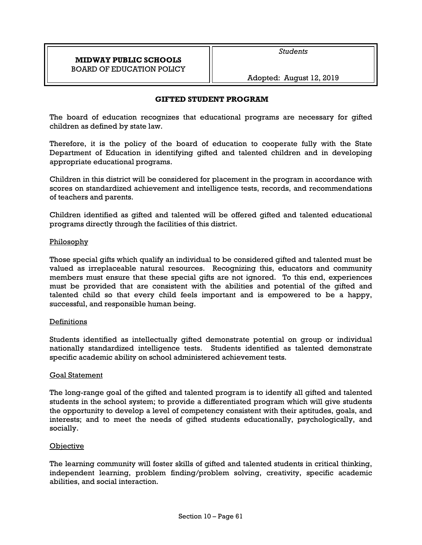*Students* 

Adopted: August 12, 2019

### **GIFTED STUDENT PROGRAM**

The board of education recognizes that educational programs are necessary for gifted children as defined by state law.

Therefore, it is the policy of the board of education to cooperate fully with the State Department of Education in identifying gifted and talented children and in developing appropriate educational programs.

Children in this district will be considered for placement in the program in accordance with scores on standardized achievement and intelligence tests, records, and recommendations of teachers and parents.

Children identified as gifted and talented will be offered gifted and talented educational programs directly through the facilities of this district.

### Philosophy

Those special gifts which qualify an individual to be considered gifted and talented must be valued as irreplaceable natural resources. Recognizing this, educators and community members must ensure that these special gifts are not ignored. To this end, experiences must be provided that are consistent with the abilities and potential of the gifted and talented child so that every child feels important and is empowered to be a happy, successful, and responsible human being.

### Definitions

Students identified as intellectually gifted demonstrate potential on group or individual nationally standardized intelligence tests. Students identified as talented demonstrate specific academic ability on school administered achievement tests.

### Goal Statement

The long-range goal of the gifted and talented program is to identify all gifted and talented students in the school system; to provide a differentiated program which will give students the opportunity to develop a level of competency consistent with their aptitudes, goals, and interests; and to meet the needs of gifted students educationally, psychologically, and socially.

# **Objective**

The learning community will foster skills of gifted and talented students in critical thinking, independent learning, problem finding/problem solving, creativity, specific academic abilities, and social interaction.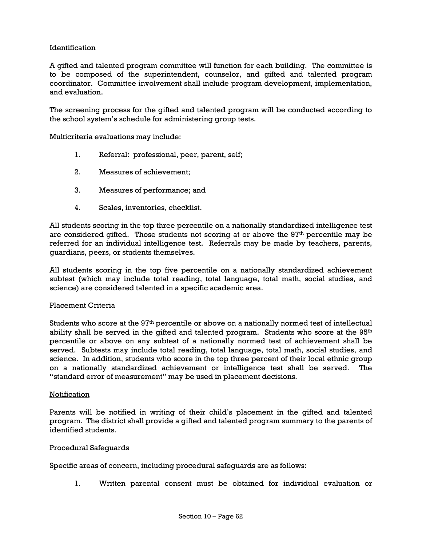## **Identification**

A gifted and talented program committee will function for each building. The committee is to be composed of the superintendent, counselor, and gifted and talented program coordinator. Committee involvement shall include program development, implementation, and evaluation.

The screening process for the gifted and talented program will be conducted according to the school system's schedule for administering group tests.

Multicriteria evaluations may include:

- 1. Referral: professional, peer, parent, self;
- 2. Measures of achievement;
- 3. Measures of performance; and
- 4. Scales, inventories, checklist.

All students scoring in the top three percentile on a nationally standardized intelligence test are considered gifted. Those students not scoring at or above the 97<sup>th</sup> percentile may be referred for an individual intelligence test. Referrals may be made by teachers, parents, guardians, peers, or students themselves.

All students scoring in the top five percentile on a nationally standardized achievement subtest (which may include total reading, total language, total math, social studies, and science) are considered talented in a specific academic area.

### Placement Criteria

Students who score at the 97th percentile or above on a nationally normed test of intellectual ability shall be served in the gifted and talented program. Students who score at the 95<sup>th</sup> percentile or above on any subtest of a nationally normed test of achievement shall be served. Subtests may include total reading, total language, total math, social studies, and science. In addition, students who score in the top three percent of their local ethnic group on a nationally standardized achievement or intelligence test shall be served. The "standard error of measurement" may be used in placement decisions.

#### Notification

Parents will be notified in writing of their child's placement in the gifted and talented program. The district shall provide a gifted and talented program summary to the parents of identified students.

#### Procedural Safeguards

Specific areas of concern, including procedural safeguards are as follows:

1. Written parental consent must be obtained for individual evaluation or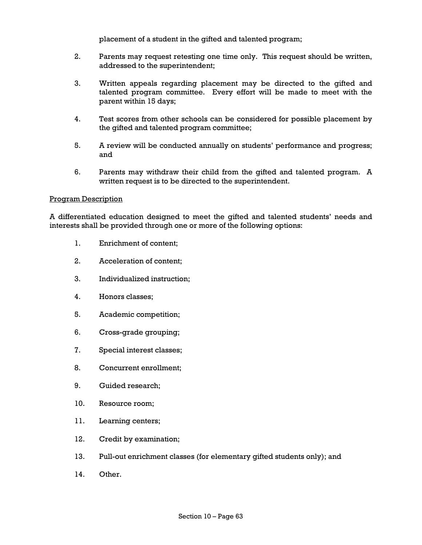placement of a student in the gifted and talented program;

- 2. Parents may request retesting one time only. This request should be written, addressed to the superintendent;
- 3. Written appeals regarding placement may be directed to the gifted and talented program committee. Every effort will be made to meet with the parent within 15 days;
- 4. Test scores from other schools can be considered for possible placement by the gifted and talented program committee;
- 5. A review will be conducted annually on students' performance and progress; and
- 6. Parents may withdraw their child from the gifted and talented program. A written request is to be directed to the superintendent.

#### Program Description

A differentiated education designed to meet the gifted and talented students' needs and interests shall be provided through one or more of the following options:

- 1. Enrichment of content;
- 2. Acceleration of content;
- 3. Individualized instruction;
- 4. Honors classes;
- 5. Academic competition;
- 6. Cross-grade grouping;
- 7. Special interest classes;
- 8. Concurrent enrollment;
- 9. Guided research;
- 10. Resource room;
- 11. Learning centers;
- 12. Credit by examination;
- 13. Pull-out enrichment classes (for elementary gifted students only); and
- 14. Other.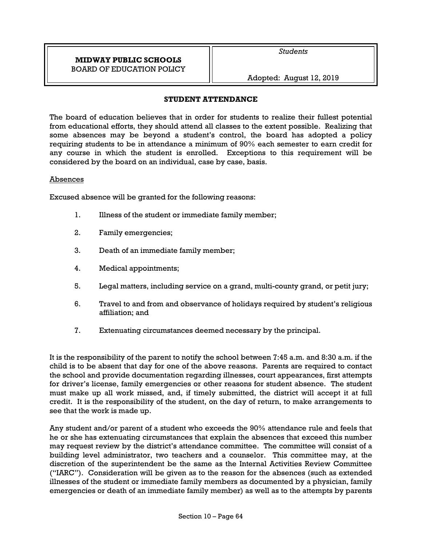Adopted: August 12, 2019

### **STUDENT ATTENDANCE**

The board of education believes that in order for students to realize their fullest potential from educational efforts, they should attend all classes to the extent possible. Realizing that some absences may be beyond a student's control, the board has adopted a policy requiring students to be in attendance a minimum of 90% each semester to earn credit for any course in which the student is enrolled. Exceptions to this requirement will be considered by the board on an individual, case by case, basis.

### Absences

Excused absence will be granted for the following reasons:

- 1. Illness of the student or immediate family member;
- 2. Family emergencies;
- 3. Death of an immediate family member;
- 4. Medical appointments;
- 5. Legal matters, including service on a grand, multi-county grand, or petit jury;
- 6. Travel to and from and observance of holidays required by student's religious affiliation; and
- 7. Extenuating circumstances deemed necessary by the principal.

It is the responsibility of the parent to notify the school between 7:45 a.m. and 8:30 a.m. if the child is to be absent that day for one of the above reasons. Parents are required to contact the school and provide documentation regarding illnesses, court appearances, first attempts for driver's license, family emergencies or other reasons for student absence. The student must make up all work missed, and, if timely submitted, the district will accept it at full credit. It is the responsibility of the student, on the day of return, to make arrangements to see that the work is made up.

Any student and/or parent of a student who exceeds the 90% attendance rule and feels that he or she has extenuating circumstances that explain the absences that exceed this number may request review by the district's attendance committee. The committee will consist of a building level administrator, two teachers and a counselor. This committee may, at the discretion of the superintendent be the same as the Internal Activities Review Committee ("IARC"). Consideration will be given as to the reason for the absences (such as extended illnesses of the student or immediate family members as documented by a physician, family emergencies or death of an immediate family member) as well as to the attempts by parents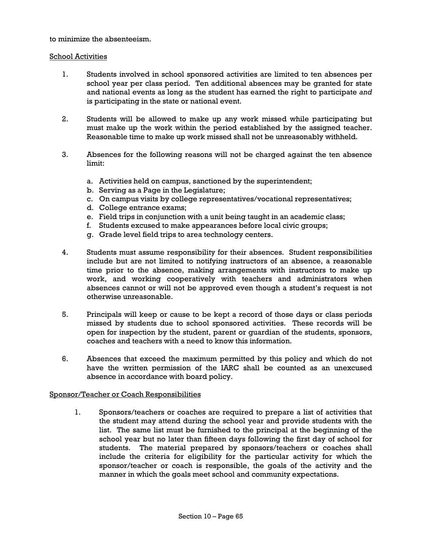to minimize the absenteeism.

### School Activities

- 1. Students involved in school sponsored activities are limited to ten absences per school year per class period. Ten additional absences may be granted for state and national events as long as the student has earned the right to participate *and* is participating in the state or national event.
- 2. Students will be allowed to make up any work missed while participating but must make up the work within the period established by the assigned teacher. Reasonable time to make up work missed shall not be unreasonably withheld.
- 3. Absences for the following reasons will not be charged against the ten absence limit:
	- a. Activities held on campus, sanctioned by the superintendent;
	- b. Serving as a Page in the Legislature;
	- c. On campus visits by college representatives/vocational representatives;
	- d. College entrance exams;
	- e. Field trips in conjunction with a unit being taught in an academic class;
	- f. Students excused to make appearances before local civic groups;
	- g. Grade level field trips to area technology centers.
- 4. Students must assume responsibility for their absences. Student responsibilities include but are not limited to notifying instructors of an absence, a reasonable time prior to the absence, making arrangements with instructors to make up work, and working cooperatively with teachers and administrators when absences cannot or will not be approved even though a student's request is not otherwise unreasonable.
- 5. Principals will keep or cause to be kept a record of those days or class periods missed by students due to school sponsored activities. These records will be open for inspection by the student, parent or guardian of the students, sponsors, coaches and teachers with a need to know this information.
- 6. Absences that exceed the maximum permitted by this policy and which do not have the written permission of the IARC shall be counted as an unexcused absence in accordance with board policy.

### Sponsor/Teacher or Coach Responsibilities

1. Sponsors/teachers or coaches are required to prepare a list of activities that the student may attend during the school year and provide students with the list. The same list must be furnished to the principal at the beginning of the school year but no later than fifteen days following the first day of school for students. The material prepared by sponsors/teachers or coaches shall include the criteria for eligibility for the particular activity for which the sponsor/teacher or coach is responsible, the goals of the activity and the manner in which the goals meet school and community expectations.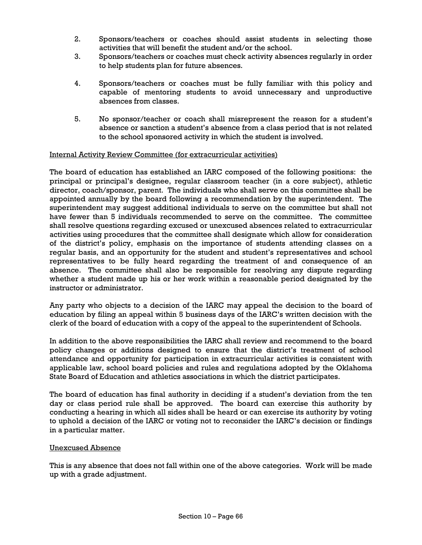- 2. Sponsors/teachers or coaches should assist students in selecting those activities that will benefit the student and/or the school.
- 3. Sponsors/teachers or coaches must check activity absences regularly in order to help students plan for future absences.
- 4. Sponsors/teachers or coaches must be fully familiar with this policy and capable of mentoring students to avoid unnecessary and unproductive absences from classes.
- 5. No sponsor/teacher or coach shall misrepresent the reason for a student's absence or sanction a student's absence from a class period that is not related to the school sponsored activity in which the student is involved.

### Internal Activity Review Committee (for extracurricular activities)

The board of education has established an IARC composed of the following positions: the principal or principal's designee, regular classroom teacher (in a core subject), athletic director, coach/sponsor, parent. The individuals who shall serve on this committee shall be appointed annually by the board following a recommendation by the superintendent. The superintendent may suggest additional individuals to serve on the committee but shall not have fewer than 5 individuals recommended to serve on the committee. The committee shall resolve questions regarding excused or unexcused absences related to extracurricular activities using procedures that the committee shall designate which allow for consideration of the district's policy, emphasis on the importance of students attending classes on a regular basis, and an opportunity for the student and student's representatives and school representatives to be fully heard regarding the treatment of and consequence of an absence. The committee shall also be responsible for resolving any dispute regarding whether a student made up his or her work within a reasonable period designated by the instructor or administrator.

Any party who objects to a decision of the IARC may appeal the decision to the board of education by filing an appeal within 5 business days of the IARC's written decision with the clerk of the board of education with a copy of the appeal to the superintendent of Schools.

In addition to the above responsibilities the IARC shall review and recommend to the board policy changes or additions designed to ensure that the district's treatment of school attendance and opportunity for participation in extracurricular activities is consistent with applicable law, school board policies and rules and regulations adopted by the Oklahoma State Board of Education and athletics associations in which the district participates.

The board of education has final authority in deciding if a student's deviation from the ten day or class period rule shall be approved. The board can exercise this authority by conducting a hearing in which all sides shall be heard or can exercise its authority by voting to uphold a decision of the IARC or voting not to reconsider the IARC's decision or findings in a particular matter.

### Unexcused Absence

This is any absence that does not fall within one of the above categories. Work will be made up with a grade adjustment.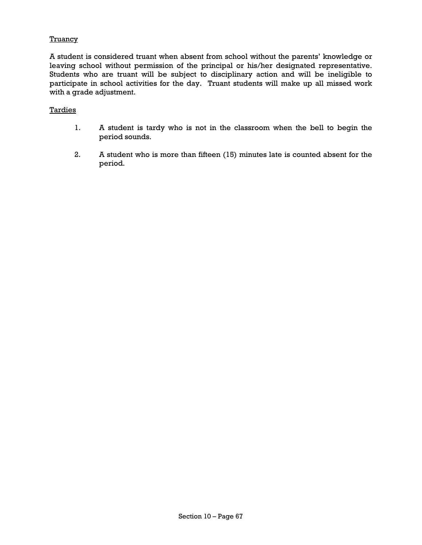### **Truancy**

A student is considered truant when absent from school without the parents' knowledge or leaving school without permission of the principal or his/her designated representative. Students who are truant will be subject to disciplinary action and will be ineligible to participate in school activities for the day. Truant students will make up all missed work with a grade adjustment.

### **Tardies**

- 1. A student is tardy who is not in the classroom when the bell to begin the period sounds.
- 2. A student who is more than fifteen (15) minutes late is counted absent for the period.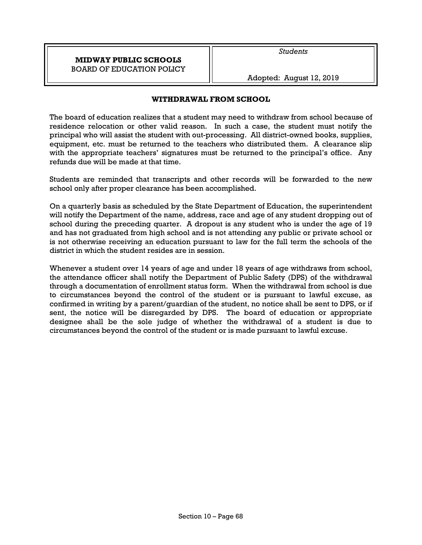Adopted: August 12, 2019

### **WITHDRAWAL FROM SCHOOL**

The board of education realizes that a student may need to withdraw from school because of residence relocation or other valid reason. In such a case, the student must notify the principal who will assist the student with out-processing. All district-owned books, supplies, equipment, etc. must be returned to the teachers who distributed them. A clearance slip with the appropriate teachers' signatures must be returned to the principal's office. Any refunds due will be made at that time.

Students are reminded that transcripts and other records will be forwarded to the new school only after proper clearance has been accomplished.

On a quarterly basis as scheduled by the State Department of Education, the superintendent will notify the Department of the name, address, race and age of any student dropping out of school during the preceding quarter. A dropout is any student who is under the age of 19 and has not graduated from high school and is not attending any public or private school or is not otherwise receiving an education pursuant to law for the full term the schools of the district in which the student resides are in session.

Whenever a student over 14 years of age and under 18 years of age withdraws from school, the attendance officer shall notify the Department of Public Safety (DPS) of the withdrawal through a documentation of enrollment status form. When the withdrawal from school is due to circumstances beyond the control of the student or is pursuant to lawful excuse, as confirmed in writing by a parent/guardian of the student, no notice shall be sent to DPS, or if sent, the notice will be disregarded by DPS. The board of education or appropriate designee shall be the sole judge of whether the withdrawal of a student is due to circumstances beyond the control of the student or is made pursuant to lawful excuse.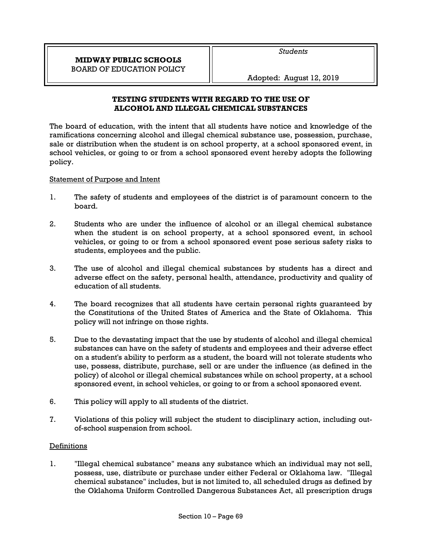Adopted: August 12, 2019

# **TESTING STUDENTS WITH REGARD TO THE USE OF ALCOHOL AND ILLEGAL CHEMICAL SUBSTANCES**

The board of education, with the intent that all students have notice and knowledge of the ramifications concerning alcohol and illegal chemical substance use, possession, purchase, sale or distribution when the student is on school property, at a school sponsored event, in school vehicles, or going to or from a school sponsored event hereby adopts the following policy.

# Statement of Purpose and Intent

- 1. The safety of students and employees of the district is of paramount concern to the board.
- 2. Students who are under the influence of alcohol or an illegal chemical substance when the student is on school property, at a school sponsored event, in school vehicles, or going to or from a school sponsored event pose serious safety risks to students, employees and the public.
- 3. The use of alcohol and illegal chemical substances by students has a direct and adverse effect on the safety, personal health, attendance, productivity and quality of education of all students.
- 4. The board recognizes that all students have certain personal rights guaranteed by the Constitutions of the United States of America and the State of Oklahoma. This policy will not infringe on those rights.
- 5. Due to the devastating impact that the use by students of alcohol and illegal chemical substances can have on the safety of students and employees and their adverse effect on a student's ability to perform as a student, the board will not tolerate students who use, possess, distribute, purchase, sell or are under the influence (as defined in the policy) of alcohol or illegal chemical substances while on school property, at a school sponsored event, in school vehicles, or going to or from a school sponsored event.
- 6. This policy will apply to all students of the district.
- 7. Violations of this policy will subject the student to disciplinary action, including outof-school suspension from school.

# **Definitions**

1. "Illegal chemical substance" means any substance which an individual may not sell, possess, use, distribute or purchase under either Federal or Oklahoma law. "Illegal chemical substance" includes, but is not limited to, all scheduled drugs as defined by the Oklahoma Uniform Controlled Dangerous Substances Act, all prescription drugs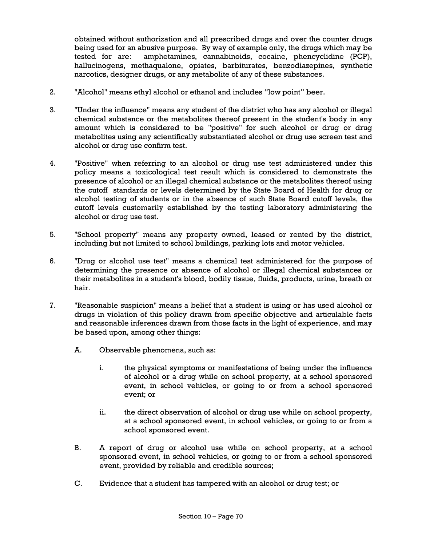obtained without authorization and all prescribed drugs and over the counter drugs being used for an abusive purpose. By way of example only, the drugs which may be tested for are: amphetamines, cannabinoids, cocaine, phencyclidine (PCP), hallucinogens, methaqualone, opiates, barbiturates, benzodiazepines, synthetic narcotics, designer drugs, or any metabolite of any of these substances.

- 2. "Alcohol" means ethyl alcohol or ethanol and includes "low point" beer.
- 3. "Under the influence" means any student of the district who has any alcohol or illegal chemical substance or the metabolites thereof present in the student's body in any amount which is considered to be "positive" for such alcohol or drug or drug metabolites using any scientifically substantiated alcohol or drug use screen test and alcohol or drug use confirm test.
- 4. "Positive" when referring to an alcohol or drug use test administered under this policy means a toxicological test result which is considered to demonstrate the presence of alcohol or an illegal chemical substance or the metabolites thereof using the cutoff standards or levels determined by the State Board of Health for drug or alcohol testing of students or in the absence of such State Board cutoff levels, the cutoff levels customarily established by the testing laboratory administering the alcohol or drug use test.
- 5. "School property" means any property owned, leased or rented by the district, including but not limited to school buildings, parking lots and motor vehicles.
- 6. "Drug or alcohol use test" means a chemical test administered for the purpose of determining the presence or absence of alcohol or illegal chemical substances or their metabolites in a student's blood, bodily tissue, fluids, products, urine, breath or hair.
- 7. "Reasonable suspicion" means a belief that a student is using or has used alcohol or drugs in violation of this policy drawn from specific objective and articulable facts and reasonable inferences drawn from those facts in the light of experience, and may be based upon, among other things:
	- A. Observable phenomena, such as:
		- i. the physical symptoms or manifestations of being under the influence of alcohol or a drug while on school property, at a school sponsored event, in school vehicles, or going to or from a school sponsored event; or
		- ii. the direct observation of alcohol or drug use while on school property, at a school sponsored event, in school vehicles, or going to or from a school sponsored event.
	- B. A report of drug or alcohol use while on school property, at a school sponsored event, in school vehicles, or going to or from a school sponsored event, provided by reliable and credible sources;
	- C. Evidence that a student has tampered with an alcohol or drug test; or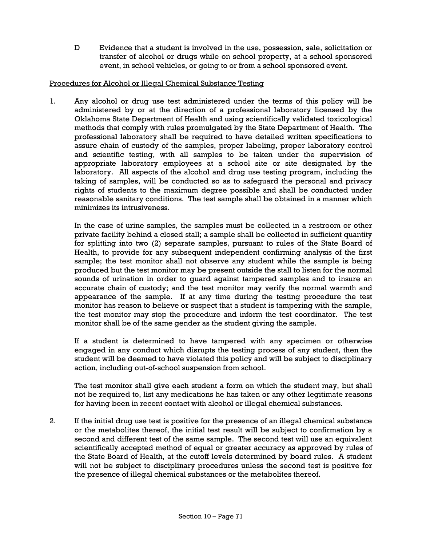D Evidence that a student is involved in the use, possession, sale, solicitation or transfer of alcohol or drugs while on school property, at a school sponsored event, in school vehicles, or going to or from a school sponsored event.

## Procedures for Alcohol or Illegal Chemical Substance Testing

1. Any alcohol or drug use test administered under the terms of this policy will be administered by or at the direction of a professional laboratory licensed by the Oklahoma State Department of Health and using scientifically validated toxicological methods that comply with rules promulgated by the State Department of Health. The professional laboratory shall be required to have detailed written specifications to assure chain of custody of the samples, proper labeling, proper laboratory control and scientific testing, with all samples to be taken under the supervision of appropriate laboratory employees at a school site or site designated by the laboratory. All aspects of the alcohol and drug use testing program, including the taking of samples, will be conducted so as to safeguard the personal and privacy rights of students to the maximum degree possible and shall be conducted under reasonable sanitary conditions. The test sample shall be obtained in a manner which minimizes its intrusiveness.

In the case of urine samples, the samples must be collected in a restroom or other private facility behind a closed stall; a sample shall be collected in sufficient quantity for splitting into two (2) separate samples, pursuant to rules of the State Board of Health, to provide for any subsequent independent confirming analysis of the first sample; the test monitor shall not observe any student while the sample is being produced but the test monitor may be present outside the stall to listen for the normal sounds of urination in order to guard against tampered samples and to insure an accurate chain of custody; and the test monitor may verify the normal warmth and appearance of the sample. If at any time during the testing procedure the test monitor has reason to believe or suspect that a student is tampering with the sample, the test monitor may stop the procedure and inform the test coordinator. The test monitor shall be of the same gender as the student giving the sample.

If a student is determined to have tampered with any specimen or otherwise engaged in any conduct which disrupts the testing process of any student, then the student will be deemed to have violated this policy and will be subject to disciplinary action, including out-of-school suspension from school.

The test monitor shall give each student a form on which the student may, but shall not be required to, list any medications he has taken or any other legitimate reasons for having been in recent contact with alcohol or illegal chemical substances.

2. If the initial drug use test is positive for the presence of an illegal chemical substance or the metabolites thereof, the initial test result will be subject to confirmation by a second and different test of the same sample. The second test will use an equivalent scientifically accepted method of equal or greater accuracy as approved by rules of the State Board of Health, at the cutoff levels determined by board rules. A student will not be subject to disciplinary procedures unless the second test is positive for the presence of illegal chemical substances or the metabolites thereof.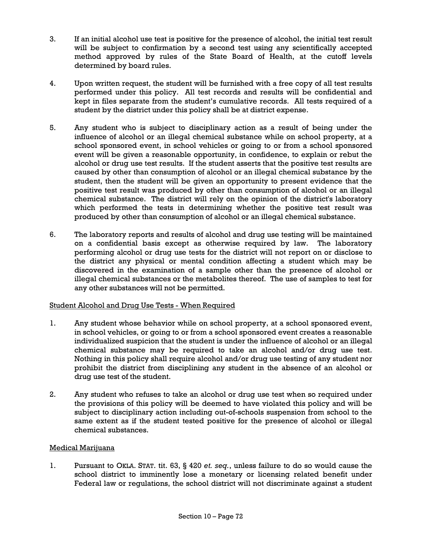- 3. If an initial alcohol use test is positive for the presence of alcohol, the initial test result will be subject to confirmation by a second test using any scientifically accepted method approved by rules of the State Board of Health, at the cutoff levels determined by board rules.
- 4. Upon written request, the student will be furnished with a free copy of all test results performed under this policy. All test records and results will be confidential and kept in files separate from the student's cumulative records. All tests required of a student by the district under this policy shall be at district expense.
- 5. Any student who is subject to disciplinary action as a result of being under the influence of alcohol or an illegal chemical substance while on school property, at a school sponsored event, in school vehicles or going to or from a school sponsored event will be given a reasonable opportunity, in confidence, to explain or rebut the alcohol or drug use test results. If the student asserts that the positive test results are caused by other than consumption of alcohol or an illegal chemical substance by the student, then the student will be given an opportunity to present evidence that the positive test result was produced by other than consumption of alcohol or an illegal chemical substance. The district will rely on the opinion of the district's laboratory which performed the tests in determining whether the positive test result was produced by other than consumption of alcohol or an illegal chemical substance.
- 6. The laboratory reports and results of alcohol and drug use testing will be maintained on a confidential basis except as otherwise required by law. The laboratory performing alcohol or drug use tests for the district will not report on or disclose to the district any physical or mental condition affecting a student which may be discovered in the examination of a sample other than the presence of alcohol or illegal chemical substances or the metabolites thereof. The use of samples to test for any other substances will not be permitted.

# Student Alcohol and Drug Use Tests - When Required

- 1. Any student whose behavior while on school property, at a school sponsored event, in school vehicles, or going to or from a school sponsored event creates a reasonable individualized suspicion that the student is under the influence of alcohol or an illegal chemical substance may be required to take an alcohol and/or drug use test. Nothing in this policy shall require alcohol and/or drug use testing of any student nor prohibit the district from disciplining any student in the absence of an alcohol or drug use test of the student.
- 2. Any student who refuses to take an alcohol or drug use test when so required under the provisions of this policy will be deemed to have violated this policy and will be subject to disciplinary action including out-of-schools suspension from school to the same extent as if the student tested positive for the presence of alcohol or illegal chemical substances.

# Medical Marijuana

1. Pursuant to OKLA. STAT. tit. 63, § 420 *et. seq.*, unless failure to do so would cause the school district to imminently lose a monetary or licensing related benefit under Federal law or regulations, the school district will not discriminate against a student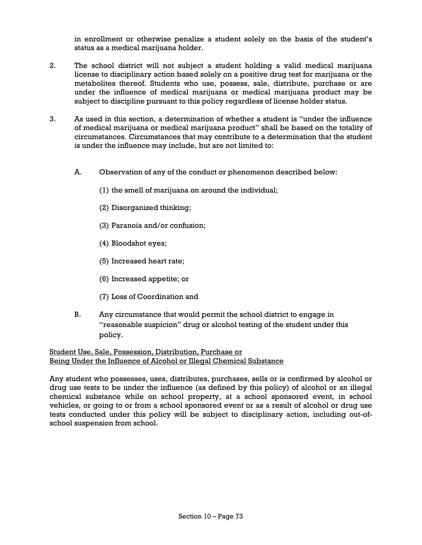in enrollment or otherwise penalize a student solely on the basis of the student's status as a medical marijuana holder.

- 2. The school district will not subject a student holding a valid medical marijuana license to disciplinary action based solely on a positive drug test for marijuana or the metabolites thereof. Students who use, possess, sale, distribute, purchase or are under the influence of medical marijuana or medical marijuana product may be subject to discipline pursuant to this policy regardless of license holder status.
- 3. As used in this section, a determination of whether a student is "under the influence of medical marijuana or medical marijuana product" shall be based on the totality of circumstances. Circumstances that may contribute to a determination that the student is under the influence may include, but are not limited to:
	- A. Observation of any of the conduct or phenomenon described below:
		- (1) the smell of marijuana on around the individual;
		- (2) Disorganized thinking;
		- (3) Paranoia and/or confusion;
		- (4) Bloodshot eyes;
		- (5) Increased heart rate;
		- (6) Increased appetite; or
		- (7) Loss of Coordination and
	- B. Any circumstance that would permit the school district to engage in "reasonable suspicion" drug or alcohol testing of the student under this policy.

Student Use, Sale, Possession, Distribution, Purchase or Being Under the Influence of Alcohol or Illegal Chemical Substance

Any student who possesses, uses, distributes, purchases, sells or is confirmed by alcohol or drug use tests to be under the influence (as defined by this policy) of alcohol or an illegal chemical substance while on school property, at a school sponsored event, in school vehicles, or going to or from a school sponsored event or as a result of alcohol or drug use tests conducted under this policy will be subject to disciplinary action, including out-ofschool suspension from school.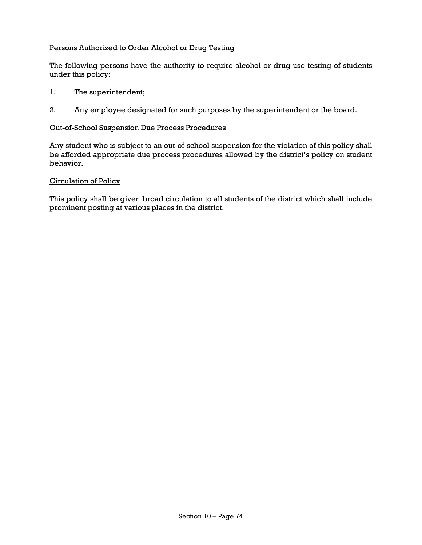## Persons Authorized to Order Alcohol or Drug Testing

The following persons have the authority to require alcohol or drug use testing of students under this policy:

- 1. The superintendent;
- 2. Any employee designated for such purposes by the superintendent or the board.

#### Out-of-School Suspension Due Process Procedures

Any student who is subject to an out-of-school suspension for the violation of this policy shall be afforded appropriate due process procedures allowed by the district's policy on student behavior.

#### Circulation of Policy

This policy shall be given broad circulation to all students of the district which shall include prominent posting at various places in the district.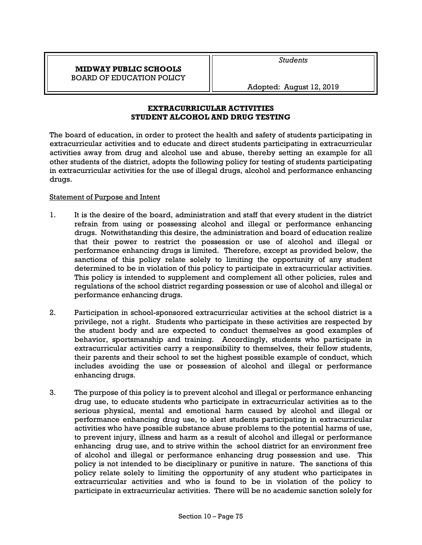*Students* 

Adopted: August 12, 2019

**EXTRACURRICULAR ACTIVITIES STUDENT ALCOHOL AND DRUG TESTING** 

The board of education, in order to protect the health and safety of students participating in extracurricular activities and to educate and direct students participating in extracurricular activities away from drug and alcohol use and abuse, thereby setting an example for all other students of the district, adopts the following policy for testing of students participating in extracurricular activities for the use of illegal drugs, alcohol and performance enhancing drugs.

## Statement of Purpose and Intent

- 1. It is the desire of the board, administration and staff that every student in the district refrain from using or possessing alcohol and illegal or performance enhancing drugs. Notwithstanding this desire, the administration and board of education realize that their power to restrict the possession or use of alcohol and illegal or performance enhancing drugs is limited. Therefore, except as provided below, the sanctions of this policy relate solely to limiting the opportunity of any student determined to be in violation of this policy to participate in extracurricular activities. This policy is intended to supplement and complement all other policies, rules and regulations of the school district regarding possession or use of alcohol and illegal or performance enhancing drugs.
- 2. Participation in school-sponsored extracurricular activities at the school district is a privilege, not a right. Students who participate in these activities are respected by the student body and are expected to conduct themselves as good examples of behavior, sportsmanship and training. Accordingly, students who participate in extracurricular activities carry a responsibility to themselves, their fellow students, their parents and their school to set the highest possible example of conduct, which includes avoiding the use or possession of alcohol and illegal or performance enhancing drugs.
- 3. The purpose of this policy is to prevent alcohol and illegal or performance enhancing drug use, to educate students who participate in extracurricular activities as to the serious physical, mental and emotional harm caused by alcohol and illegal or performance enhancing drug use, to alert students participating in extracurricular activities who have possible substance abuse problems to the potential harms of use, to prevent injury, illness and harm as a result of alcohol and illegal or performance enhancing drug use, and to strive within the school district for an environment free of alcohol and illegal or performance enhancing drug possession and use. This policy is not intended to be disciplinary or punitive in nature. The sanctions of this policy relate solely to limiting the opportunity of any student who participates in extracurricular activities and who is found to be in violation of the policy to participate in extracurricular activities. There will be no academic sanction solely for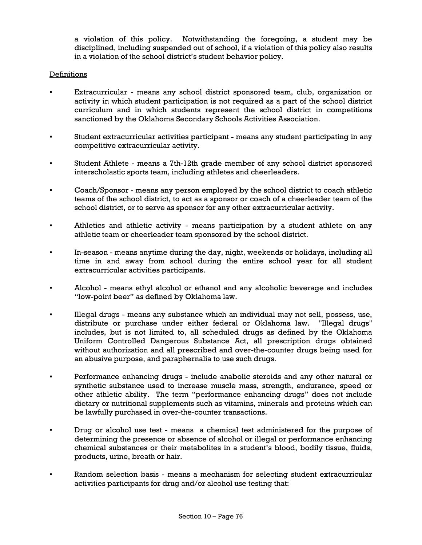a violation of this policy. Notwithstanding the foregoing, a student may be disciplined, including suspended out of school, if a violation of this policy also results in a violation of the school district's student behavior policy.

#### Definitions

- Extracurricular means any school district sponsored team, club, organization or activity in which student participation is not required as a part of the school district curriculum and in which students represent the school district in competitions sanctioned by the Oklahoma Secondary Schools Activities Association.
- Student extracurricular activities participant means any student participating in any competitive extracurricular activity.
- Student Athlete means a 7th-12th grade member of any school district sponsored interscholastic sports team, including athletes and cheerleaders.
- Coach/Sponsor means any person employed by the school district to coach athletic teams of the school district, to act as a sponsor or coach of a cheerleader team of the school district, or to serve as sponsor for any other extracurricular activity.
- Athletics and athletic activity means participation by a student athlete on any athletic team or cheerleader team sponsored by the school district.
- In-season means anytime during the day, night, weekends or holidays, including all time in and away from school during the entire school year for all student extracurricular activities participants.
- Alcohol means ethyl alcohol or ethanol and any alcoholic beverage and includes "low-point beer" as defined by Oklahoma law.
- Illegal drugs means any substance which an individual may not sell, possess, use, distribute or purchase under either federal or Oklahoma law. "Illegal drugs" includes, but is not limited to, all scheduled drugs as defined by the Oklahoma Uniform Controlled Dangerous Substance Act, all prescription drugs obtained without authorization and all prescribed and over-the-counter drugs being used for an abusive purpose, and paraphernalia to use such drugs.
- Performance enhancing drugs include anabolic steroids and any other natural or synthetic substance used to increase muscle mass, strength, endurance, speed or other athletic ability. The term "performance enhancing drugs" does not include dietary or nutritional supplements such as vitamins, minerals and proteins which can be lawfully purchased in over-the-counter transactions.
- Drug or alcohol use test means a chemical test administered for the purpose of determining the presence or absence of alcohol or illegal or performance enhancing chemical substances or their metabolites in a student's blood, bodily tissue, fluids, products, urine, breath or hair.
- Random selection basis means a mechanism for selecting student extracurricular activities participants for drug and/or alcohol use testing that: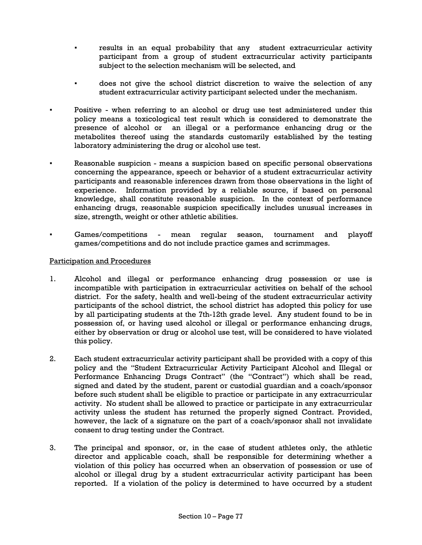- results in an equal probability that any student extracurricular activity participant from a group of student extracurricular activity participants subject to the selection mechanism will be selected, and
- does not give the school district discretion to waive the selection of any student extracurricular activity participant selected under the mechanism.
- Positive when referring to an alcohol or drug use test administered under this policy means a toxicological test result which is considered to demonstrate the presence of alcohol or an illegal or a performance enhancing drug or the metabolites thereof using the standards customarily established by the testing laboratory administering the drug or alcohol use test.
- Reasonable suspicion means a suspicion based on specific personal observations concerning the appearance, speech or behavior of a student extracurricular activity participants and reasonable inferences drawn from those observations in the light of experience. Information provided by a reliable source, if based on personal knowledge, shall constitute reasonable suspicion. In the context of performance enhancing drugs, reasonable suspicion specifically includes unusual increases in size, strength, weight or other athletic abilities.
- Games/competitions mean regular season, tournament and playoff games/competitions and do not include practice games and scrimmages.

### Participation and Procedures

- 1. Alcohol and illegal or performance enhancing drug possession or use is incompatible with participation in extracurricular activities on behalf of the school district. For the safety, health and well-being of the student extracurricular activity participants of the school district, the school district has adopted this policy for use by all participating students at the 7th-12th grade level. Any student found to be in possession of, or having used alcohol or illegal or performance enhancing drugs, either by observation or drug or alcohol use test, will be considered to have violated this policy.
- 2. Each student extracurricular activity participant shall be provided with a copy of this policy and the "Student Extracurricular Activity Participant Alcohol and Illegal or Performance Enhancing Drugs Contract" (the "Contract") which shall be read, signed and dated by the student, parent or custodial guardian and a coach/sponsor before such student shall be eligible to practice or participate in any extracurricular activity. No student shall be allowed to practice or participate in any extracurricular activity unless the student has returned the properly signed Contract. Provided, however, the lack of a signature on the part of a coach/sponsor shall not invalidate consent to drug testing under the Contract.
- 3. The principal and sponsor, or, in the case of student athletes only, the athletic director and applicable coach, shall be responsible for determining whether a violation of this policy has occurred when an observation of possession or use of alcohol or illegal drug by a student extracurricular activity participant has been reported. If a violation of the policy is determined to have occurred by a student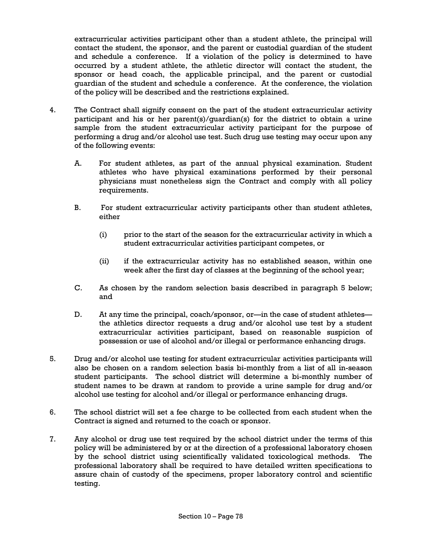extracurricular activities participant other than a student athlete, the principal will contact the student, the sponsor, and the parent or custodial guardian of the student and schedule a conference. If a violation of the policy is determined to have occurred by a student athlete, the athletic director will contact the student, the sponsor or head coach, the applicable principal, and the parent or custodial guardian of the student and schedule a conference. At the conference, the violation of the policy will be described and the restrictions explained.

- 4. The Contract shall signify consent on the part of the student extracurricular activity participant and his or her parent(s)/quardian(s) for the district to obtain a urine sample from the student extracurricular activity participant for the purpose of performing a drug and/or alcohol use test. Such drug use testing may occur upon any of the following events:
	- A. For student athletes, as part of the annual physical examination. Student athletes who have physical examinations performed by their personal physicians must nonetheless sign the Contract and comply with all policy requirements.
	- B. For student extracurricular activity participants other than student athletes, either
		- (i) prior to the start of the season for the extracurricular activity in which a student extracurricular activities participant competes, or
		- (ii) if the extracurricular activity has no established season, within one week after the first day of classes at the beginning of the school year;
	- C. As chosen by the random selection basis described in paragraph 5 below; and
	- D. At any time the principal, coach/sponsor, or—in the case of student athletes the athletics director requests a drug and/or alcohol use test by a student extracurricular activities participant, based on reasonable suspicion of possession or use of alcohol and/or illegal or performance enhancing drugs.
- 5. Drug and/or alcohol use testing for student extracurricular activities participants will also be chosen on a random selection basis bi-monthly from a list of all in-season student participants. The school district will determine a bi-monthly number of student names to be drawn at random to provide a urine sample for drug and/or alcohol use testing for alcohol and/or illegal or performance enhancing drugs.
- 6. The school district will set a fee charge to be collected from each student when the Contract is signed and returned to the coach or sponsor.
- 7. Any alcohol or drug use test required by the school district under the terms of this policy will be administered by or at the direction of a professional laboratory chosen by the school district using scientifically validated toxicological methods. The professional laboratory shall be required to have detailed written specifications to assure chain of custody of the specimens, proper laboratory control and scientific testing.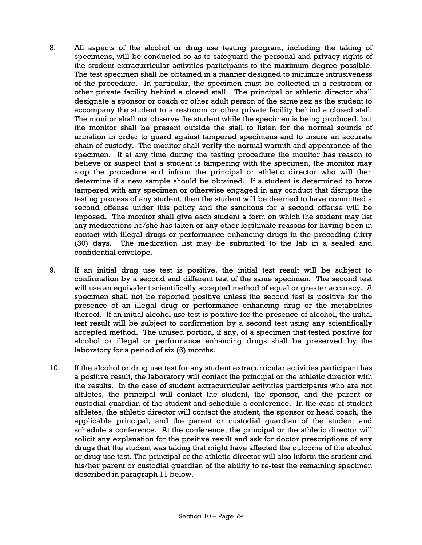- 8. All aspects of the alcohol or drug use testing program, including the taking of specimens, will be conducted so as to safeguard the personal and privacy rights of the student extracurricular activities participants to the maximum degree possible. The test specimen shall be obtained in a manner designed to minimize intrusiveness of the procedure. In particular, the specimen must be collected in a restroom or other private facility behind a closed stall. The principal or athletic director shall designate a sponsor or coach or other adult person of the same sex as the student to accompany the student to a restroom or other private facility behind a closed stall. The monitor shall not observe the student while the specimen is being produced, but the monitor shall be present outside the stall to listen for the normal sounds of urination in order to guard against tampered specimens and to insure an accurate chain of custody. The monitor shall verify the normal warmth and appearance of the specimen. If at any time during the testing procedure the monitor has reason to believe or suspect that a student is tampering with the specimen, the monitor may stop the procedure and inform the principal or athletic director who will then determine if a new sample should be obtained. If a student is determined to have tampered with any specimen or otherwise engaged in any conduct that disrupts the testing process of any student, then the student will be deemed to have committed a second offense under this policy and the sanctions for a second offense will be imposed. The monitor shall give each student a form on which the student may list any medications he/she has taken or any other legitimate reasons for having been in contact with illegal drugs or performance enhancing drugs in the preceding thirty (30) days. The medication list may be submitted to the lab in a sealed and confidential envelope.
- 9. If an initial drug use test is positive, the initial test result will be subject to confirmation by a second and different test of the same specimen. The second test will use an equivalent scientifically accepted method of equal or greater accuracy. A specimen shall not be reported positive unless the second test is positive for the presence of an illegal drug or performance enhancing drug or the metabolites thereof. If an initial alcohol use test is positive for the presence of alcohol, the initial test result will be subject to confirmation by a second test using any scientifically accepted method. The unused portion, if any, of a specimen that tested positive for alcohol or illegal or performance enhancing drugs shall be preserved by the laboratory for a period of six (6) months.
- 10. If the alcohol or drug use test for any student extracurricular activities participant has a positive result, the laboratory will contact the principal or the athletic director with the results. In the case of student extracurricular activities participants who are not athletes, the principal will contact the student, the sponsor, and the parent or custodial guardian of the student and schedule a conference. In the case of student athletes, the athletic director will contact the student, the sponsor or head coach, the applicable principal, and the parent or custodial guardian of the student and schedule a conference. At the conference, the principal or the athletic director will solicit any explanation for the positive result and ask for doctor prescriptions of any drugs that the student was taking that might have affected the outcome of the alcohol or drug use test. The principal or the athletic director will also inform the student and his/her parent or custodial guardian of the ability to re-test the remaining specimen described in paragraph 11 below.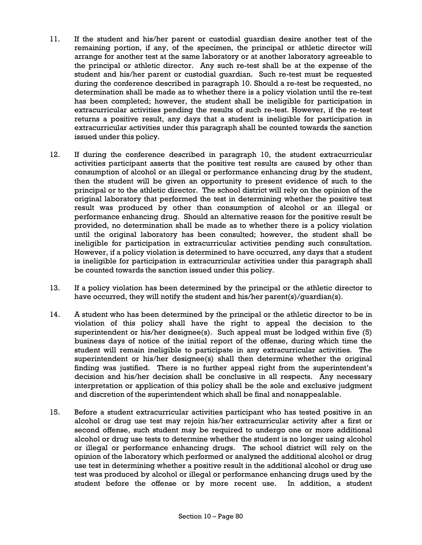- 11. If the student and his/her parent or custodial guardian desire another test of the remaining portion, if any, of the specimen, the principal or athletic director will arrange for another test at the same laboratory or at another laboratory agreeable to the principal or athletic director. Any such re-test shall be at the expense of the student and his/her parent or custodial guardian. Such re-test must be requested during the conference described in paragraph 10. Should a re-test be requested, no determination shall be made as to whether there is a policy violation until the re-test has been completed; however, the student shall be ineligible for participation in extracurricular activities pending the results of such re-test. However, if the re-test returns a positive result, any days that a student is ineligible for participation in extracurricular activities under this paragraph shall be counted towards the sanction issued under this policy.
- 12. If during the conference described in paragraph 10, the student extracurricular activities participant asserts that the positive test results are caused by other than consumption of alcohol or an illegal or performance enhancing drug by the student, then the student will be given an opportunity to present evidence of such to the principal or to the athletic director. The school district will rely on the opinion of the original laboratory that performed the test in determining whether the positive test result was produced by other than consumption of alcohol or an illegal or performance enhancing drug. Should an alternative reason for the positive result be provided, no determination shall be made as to whether there is a policy violation until the original laboratory has been consulted; however, the student shall be ineligible for participation in extracurricular activities pending such consultation. However, if a policy violation is determined to have occurred, any days that a student is ineligible for participation in extracurricular activities under this paragraph shall be counted towards the sanction issued under this policy.
- 13. If a policy violation has been determined by the principal or the athletic director to have occurred, they will notify the student and his/her parent(s)/guardian(s).
- 14. A student who has been determined by the principal or the athletic director to be in violation of this policy shall have the right to appeal the decision to the superintendent or his/her designee(s). Such appeal must be lodged within five (5) business days of notice of the initial report of the offense, during which time the student will remain ineligible to participate in any extracurricular activities. The superintendent or his/her designee(s) shall then determine whether the original finding was justified. There is no further appeal right from the superintendent's decision and his/her decision shall be conclusive in all respects. Any necessary interpretation or application of this policy shall be the sole and exclusive judgment and discretion of the superintendent which shall be final and nonappealable.
- 15. Before a student extracurricular activities participant who has tested positive in an alcohol or drug use test may rejoin his/her extracurricular activity after a first or second offense, such student may be required to undergo one or more additional alcohol or drug use tests to determine whether the student is no longer using alcohol or illegal or performance enhancing drugs. The school district will rely on the opinion of the laboratory which performed or analyzed the additional alcohol or drug use test in determining whether a positive result in the additional alcohol or drug use test was produced by alcohol or illegal or performance enhancing drugs used by the student before the offense or by more recent use. In addition, a student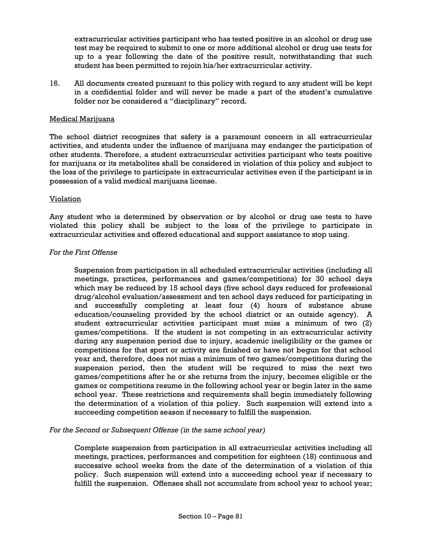extracurricular activities participant who has tested positive in an alcohol or drug use test may be required to submit to one or more additional alcohol or drug use tests for up to a year following the date of the positive result, notwithstanding that such student has been permitted to rejoin his/her extracurricular activity.

16. All documents created pursuant to this policy with regard to any student will be kept in a confidential folder and will never be made a part of the student's cumulative folder nor be considered a "disciplinary" record.

### Medical Marijuana

The school district recognizes that safety is a paramount concern in all extracurricular activities, and students under the influence of marijuana may endanger the participation of other students. Therefore, a student extracurricular activities participant who tests positive for marijuana or its metabolites shall be considered in violation of this policy and subject to the loss of the privilege to participate in extracurricular activities even if the participant is in possession of a valid medical marijuana license.

### Violation

Any student who is determined by observation or by alcohol or drug use tests to have violated this policy shall be subject to the loss of the privilege to participate in extracurricular activities and offered educational and support assistance to stop using.

#### *For the First Offense*

Suspension from participation in all scheduled extracurricular activities (including all meetings, practices, performances and games/competitions) for 30 school days which may be reduced by 15 school days (five school days reduced for professional drug/alcohol evaluation/assessment and ten school days reduced for participating in and successfully completing at least four (4) hours of substance abuse education/counseling provided by the school district or an outside agency). A student extracurricular activities participant must miss a minimum of two (2) games/competitions. If the student is not competing in an extracurricular activity during any suspension period due to injury, academic ineligibility or the games or competitions for that sport or activity are finished or have not begun for that school year and, therefore, does not miss a minimum of two games/competitions during the suspension period, then the student will be required to miss the next two games/competitions after he or she returns from the injury, becomes eligible or the games or competitions resume in the following school year or begin later in the same school year. These restrictions and requirements shall begin immediately following the determination of a violation of this policy. Such suspension will extend into a succeeding competition season if necessary to fulfill the suspension.

### *For the Second or Subsequent Offense (in the same school year)*

Complete suspension from participation in all extracurricular activities including all meetings, practices, performances and competition for eighteen (18) continuous and successive school weeks from the date of the determination of a violation of this policy. Such suspension will extend into a succeeding school year if necessary to fulfill the suspension. Offenses shall not accumulate from school year to school year;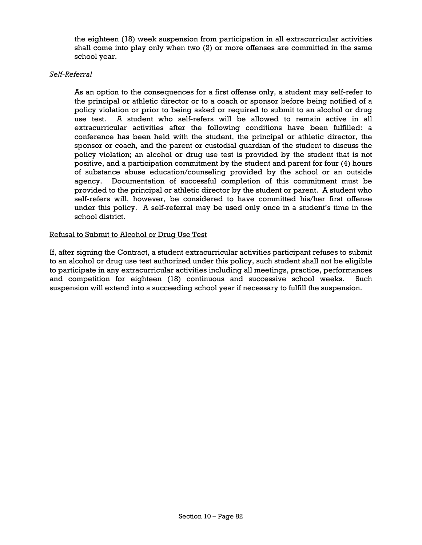the eighteen (18) week suspension from participation in all extracurricular activities shall come into play only when two (2) or more offenses are committed in the same school year.

### *Self-Referral*

As an option to the consequences for a first offense only, a student may self-refer to the principal or athletic director or to a coach or sponsor before being notified of a policy violation or prior to being asked or required to submit to an alcohol or drug use test. A student who self-refers will be allowed to remain active in all extracurricular activities after the following conditions have been fulfilled: a conference has been held with the student, the principal or athletic director, the sponsor or coach, and the parent or custodial guardian of the student to discuss the policy violation; an alcohol or drug use test is provided by the student that is not positive, and a participation commitment by the student and parent for four (4) hours of substance abuse education/counseling provided by the school or an outside agency. Documentation of successful completion of this commitment must be provided to the principal or athletic director by the student or parent. A student who self-refers will, however, be considered to have committed his/her first offense under this policy. A self-referral may be used only once in a student's time in the school district.

### Refusal to Submit to Alcohol or Drug Use Test

If, after signing the Contract, a student extracurricular activities participant refuses to submit to an alcohol or drug use test authorized under this policy, such student shall not be eligible to participate in any extracurricular activities including all meetings, practice, performances and competition for eighteen (18) continuous and successive school weeks. Such suspension will extend into a succeeding school year if necessary to fulfill the suspension.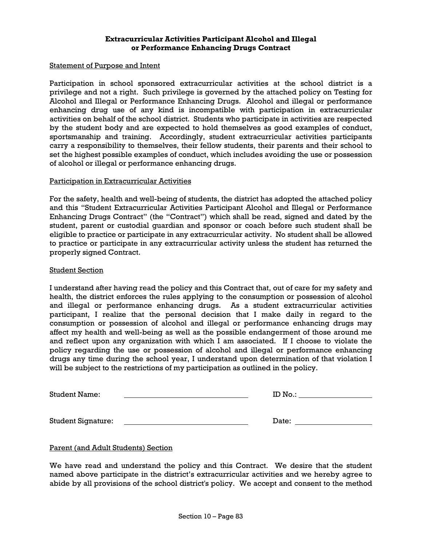#### **Extracurricular Activities Participant Alcohol and Illegal or Performance Enhancing Drugs Contract**

#### Statement of Purpose and Intent

Participation in school sponsored extracurricular activities at the school district is a privilege and not a right. Such privilege is governed by the attached policy on Testing for Alcohol and Illegal or Performance Enhancing Drugs. Alcohol and illegal or performance enhancing drug use of any kind is incompatible with participation in extracurricular activities on behalf of the school district. Students who participate in activities are respected by the student body and are expected to hold themselves as good examples of conduct, sportsmanship and training. Accordingly, student extracurricular activities participants carry a responsibility to themselves, their fellow students, their parents and their school to set the highest possible examples of conduct, which includes avoiding the use or possession of alcohol or illegal or performance enhancing drugs.

#### Participation in Extracurricular Activities

For the safety, health and well-being of students, the district has adopted the attached policy and this "Student Extracurricular Activities Participant Alcohol and Illegal or Performance Enhancing Drugs Contract" (the "Contract") which shall be read, signed and dated by the student, parent or custodial guardian and sponsor or coach before such student shall be eligible to practice or participate in any extracurricular activity. No student shall be allowed to practice or participate in any extracurricular activity unless the student has returned the properly signed Contract.

#### Student Section

I understand after having read the policy and this Contract that, out of care for my safety and health, the district enforces the rules applying to the consumption or possession of alcohol and illegal or performance enhancing drugs. As a student extracurricular activities participant, I realize that the personal decision that I make daily in regard to the consumption or possession of alcohol and illegal or performance enhancing drugs may affect my health and well-being as well as the possible endangerment of those around me and reflect upon any organization with which I am associated. If I choose to violate the policy regarding the use or possession of alcohol and illegal or performance enhancing drugs any time during the school year, I understand upon determination of that violation I will be subject to the restrictions of my participation as outlined in the policy.

| <b>Student Name:</b> | m<br>ய<br>N<br><b>UV 7.</b> |  |
|----------------------|-----------------------------|--|
|                      |                             |  |

Student Signature: No. 2006 and Student Signature: Date: Date: Date: Date: 2006 and 2007 and 2008 and 2008 and 2008 and 2008 and 2008 and 2008 and 2008 and 2008 and 2008 and 2008 and 2008 and 2008 and 2008 and 2008 and 200

## Parent (and Adult Students) Section

We have read and understand the policy and this Contract. We desire that the student named above participate in the district's extracurricular activities and we hereby agree to abide by all provisions of the school district's policy. We accept and consent to the method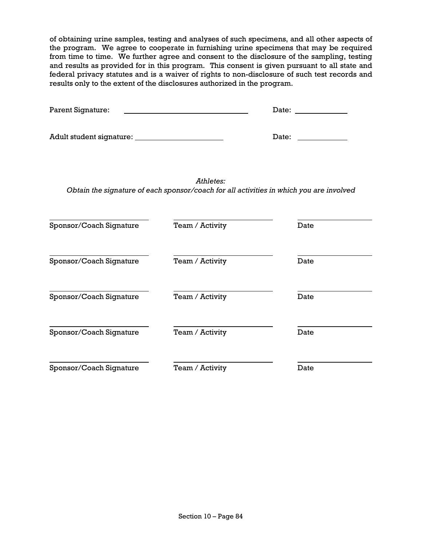of obtaining urine samples, testing and analyses of such specimens, and all other aspects of the program. We agree to cooperate in furnishing urine specimens that may be required from time to time. We further agree and consent to the disclosure of the sampling, testing and results as provided for in this program. This consent is given pursuant to all state and federal privacy statutes and is a waiver of rights to non-disclosure of such test records and results only to the extent of the disclosures authorized in the program.

| Parent Signature:       |                                                                                                                                                                                                                                |                                                                                         |
|-------------------------|--------------------------------------------------------------------------------------------------------------------------------------------------------------------------------------------------------------------------------|-----------------------------------------------------------------------------------------|
|                         | Date: the contract of the contract of the contract of the contract of the contract of the contract of the contract of the contract of the contract of the contract of the contract of the contract of the contract of the cont |                                                                                         |
|                         | Athletes:                                                                                                                                                                                                                      | Obtain the signature of each sponsor/coach for all activities in which you are involved |
| Sponsor/Coach Signature | Team / Activity                                                                                                                                                                                                                | Date                                                                                    |
| Sponsor/Coach Signature | Team / Activity                                                                                                                                                                                                                | Date                                                                                    |
| Sponsor/Coach Signature | Team / Activity                                                                                                                                                                                                                | Date                                                                                    |
| Sponsor/Coach Signature | Team / Activity                                                                                                                                                                                                                | Date                                                                                    |
| Sponsor/Coach Signature | Team / Activity                                                                                                                                                                                                                | Date                                                                                    |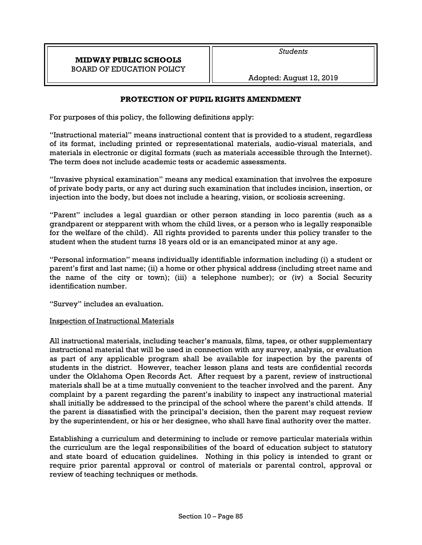# **PROTECTION OF PUPIL RIGHTS AMENDMENT**

For purposes of this policy, the following definitions apply:

"Instructional material" means instructional content that is provided to a student, regardless of its format, including printed or representational materials, audio-visual materials, and materials in electronic or digital formats (such as materials accessible through the Internet). The term does not include academic tests or academic assessments.

"Invasive physical examination" means any medical examination that involves the exposure of private body parts, or any act during such examination that includes incision, insertion, or injection into the body, but does not include a hearing, vision, or scoliosis screening.

"Parent" includes a legal guardian or other person standing in loco parentis (such as a grandparent or stepparent with whom the child lives, or a person who is legally responsible for the welfare of the child). All rights provided to parents under this policy transfer to the student when the student turns 18 years old or is an emancipated minor at any age.

"Personal information" means individually identifiable information including (i) a student or parent's first and last name; (ii) a home or other physical address (including street name and the name of the city or town); (iii) a telephone number); or (iv) a Social Security identification number.

"Survey" includes an evaluation.

# Inspection of Instructional Materials

All instructional materials, including teacher's manuals, films, tapes, or other supplementary instructional material that will be used in connection with any survey, analysis, or evaluation as part of any applicable program shall be available for inspection by the parents of students in the district. However, teacher lesson plans and tests are confidential records under the Oklahoma Open Records Act. After request by a parent, review of instructional materials shall be at a time mutually convenient to the teacher involved and the parent. Any complaint by a parent regarding the parent's inability to inspect any instructional material shall initially be addressed to the principal of the school where the parent's child attends. If the parent is dissatisfied with the principal's decision, then the parent may request review by the superintendent, or his or her designee, who shall have final authority over the matter.

Establishing a curriculum and determining to include or remove particular materials within the curriculum are the legal responsibilities of the board of education subject to statutory and state board of education guidelines. Nothing in this policy is intended to grant or require prior parental approval or control of materials or parental control, approval or review of teaching techniques or methods.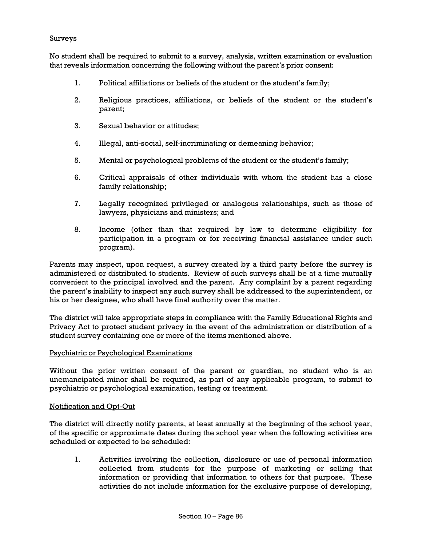### **Surveys**

No student shall be required to submit to a survey, analysis, written examination or evaluation that reveals information concerning the following without the parent's prior consent:

- 1. Political affiliations or beliefs of the student or the student's family;
- 2. Religious practices, affiliations, or beliefs of the student or the student's parent;
- 3. Sexual behavior or attitudes;
- 4. Illegal, anti-social, self-incriminating or demeaning behavior;
- 5. Mental or psychological problems of the student or the student's family;
- 6. Critical appraisals of other individuals with whom the student has a close family relationship;
- 7. Legally recognized privileged or analogous relationships, such as those of lawyers, physicians and ministers; and
- 8. Income (other than that required by law to determine eligibility for participation in a program or for receiving financial assistance under such program).

Parents may inspect, upon request, a survey created by a third party before the survey is administered or distributed to students. Review of such surveys shall be at a time mutually convenient to the principal involved and the parent. Any complaint by a parent regarding the parent's inability to inspect any such survey shall be addressed to the superintendent, or his or her designee, who shall have final authority over the matter.

The district will take appropriate steps in compliance with the Family Educational Rights and Privacy Act to protect student privacy in the event of the administration or distribution of a student survey containing one or more of the items mentioned above.

#### Psychiatric or Psychological Examinations

Without the prior written consent of the parent or guardian, no student who is an unemancipated minor shall be required, as part of any applicable program, to submit to psychiatric or psychological examination, testing or treatment.

#### Notification and Opt-Out

The district will directly notify parents, at least annually at the beginning of the school year, of the specific or approximate dates during the school year when the following activities are scheduled or expected to be scheduled:

1. Activities involving the collection, disclosure or use of personal information collected from students for the purpose of marketing or selling that information or providing that information to others for that purpose. These activities do not include information for the exclusive purpose of developing,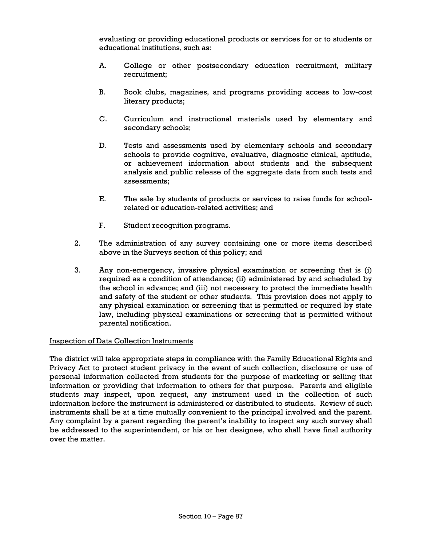evaluating or providing educational products or services for or to students or educational institutions, such as:

- A. College or other postsecondary education recruitment, military recruitment;
- B. Book clubs, magazines, and programs providing access to low-cost literary products;
- C. Curriculum and instructional materials used by elementary and secondary schools;
- D. Tests and assessments used by elementary schools and secondary schools to provide cognitive, evaluative, diagnostic clinical, aptitude, or achievement information about students and the subsequent analysis and public release of the aggregate data from such tests and assessments;
- E. The sale by students of products or services to raise funds for schoolrelated or education-related activities; and
- F. Student recognition programs.
- 2. The administration of any survey containing one or more items described above in the Surveys section of this policy; and
- 3. Any non-emergency, invasive physical examination or screening that is (i) required as a condition of attendance; (ii) administered by and scheduled by the school in advance; and (iii) not necessary to protect the immediate health and safety of the student or other students. This provision does not apply to any physical examination or screening that is permitted or required by state law, including physical examinations or screening that is permitted without parental notification.

### Inspection of Data Collection Instruments

The district will take appropriate steps in compliance with the Family Educational Rights and Privacy Act to protect student privacy in the event of such collection, disclosure or use of personal information collected from students for the purpose of marketing or selling that information or providing that information to others for that purpose. Parents and eligible students may inspect, upon request, any instrument used in the collection of such information before the instrument is administered or distributed to students. Review of such instruments shall be at a time mutually convenient to the principal involved and the parent. Any complaint by a parent regarding the parent's inability to inspect any such survey shall be addressed to the superintendent, or his or her designee, who shall have final authority over the matter.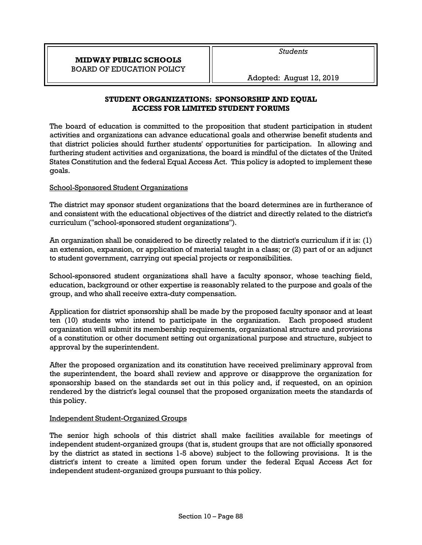# **STUDENT ORGANIZATIONS: SPONSORSHIP AND EQUAL ACCESS FOR LIMITED STUDENT FORUMS**

The board of education is committed to the proposition that student participation in student activities and organizations can advance educational goals and otherwise benefit students and that district policies should further students' opportunities for participation. In allowing and furthering student activities and organizations, the board is mindful of the dictates of the United States Constitution and the federal Equal Access Act. This policy is adopted to implement these goals.

# School-Sponsored Student Organizations

The district may sponsor student organizations that the board determines are in furtherance of and consistent with the educational objectives of the district and directly related to the district's curriculum ("school-sponsored student organizations").

An organization shall be considered to be directly related to the district's curriculum if it is: (1) an extension, expansion, or application of material taught in a class; or (2) part of or an adjunct to student government, carrying out special projects or responsibilities.

School-sponsored student organizations shall have a faculty sponsor, whose teaching field, education, background or other expertise is reasonably related to the purpose and goals of the group, and who shall receive extra-duty compensation.

Application for district sponsorship shall be made by the proposed faculty sponsor and at least ten (10) students who intend to participate in the organization. Each proposed student organization will submit its membership requirements, organizational structure and provisions of a constitution or other document setting out organizational purpose and structure, subject to approval by the superintendent.

After the proposed organization and its constitution have received preliminary approval from the superintendent, the board shall review and approve or disapprove the organization for sponsorship based on the standards set out in this policy and, if requested, on an opinion rendered by the district's legal counsel that the proposed organization meets the standards of this policy.

# Independent Student-Organized Groups

The senior high schools of this district shall make facilities available for meetings of independent student-organized groups (that is, student groups that are not officially sponsored by the district as stated in sections 1-5 above) subject to the following provisions. It is the district's intent to create a limited open forum under the federal Equal Access Act for independent student-organized groups pursuant to this policy.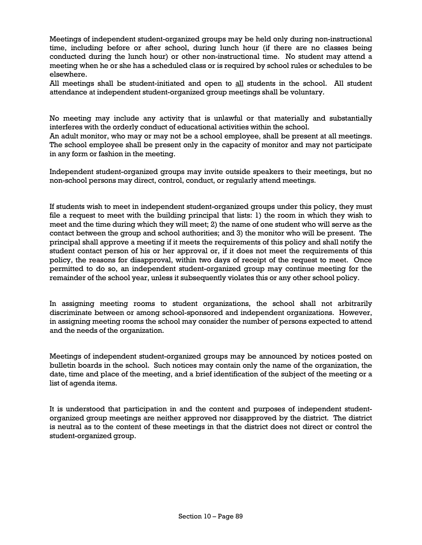Meetings of independent student-organized groups may be held only during non-instructional time, including before or after school, during lunch hour (if there are no classes being conducted during the lunch hour) or other non-instructional time. No student may attend a meeting when he or she has a scheduled class or is required by school rules or schedules to be elsewhere.

All meetings shall be student-initiated and open to all students in the school. All student attendance at independent student-organized group meetings shall be voluntary.

No meeting may include any activity that is unlawful or that materially and substantially interferes with the orderly conduct of educational activities within the school.

An adult monitor, who may or may not be a school employee, shall be present at all meetings. The school employee shall be present only in the capacity of monitor and may not participate in any form or fashion in the meeting.

Independent student-organized groups may invite outside speakers to their meetings, but no non-school persons may direct, control, conduct, or regularly attend meetings.

If students wish to meet in independent student-organized groups under this policy, they must file a request to meet with the building principal that lists: 1) the room in which they wish to meet and the time during which they will meet; 2) the name of one student who will serve as the contact between the group and school authorities; and 3) the monitor who will be present. The principal shall approve a meeting if it meets the requirements of this policy and shall notify the student contact person of his or her approval or, if it does not meet the requirements of this policy, the reasons for disapproval, within two days of receipt of the request to meet. Once permitted to do so, an independent student-organized group may continue meeting for the remainder of the school year, unless it subsequently violates this or any other school policy.

In assigning meeting rooms to student organizations, the school shall not arbitrarily discriminate between or among school-sponsored and independent organizations. However, in assigning meeting rooms the school may consider the number of persons expected to attend and the needs of the organization.

Meetings of independent student-organized groups may be announced by notices posted on bulletin boards in the school. Such notices may contain only the name of the organization, the date, time and place of the meeting, and a brief identification of the subject of the meeting or a list of agenda items.

It is understood that participation in and the content and purposes of independent studentorganized group meetings are neither approved nor disapproved by the district. The district is neutral as to the content of these meetings in that the district does not direct or control the student-organized group.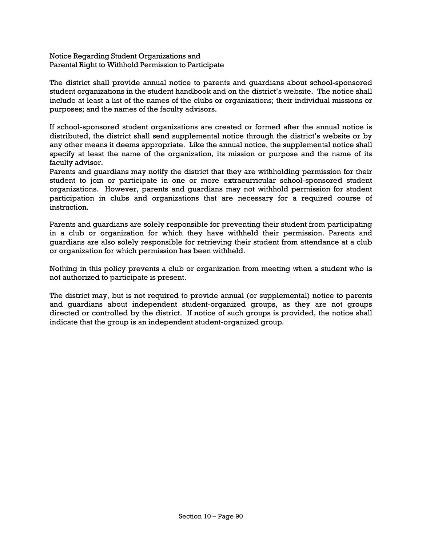Notice Regarding Student Organizations and Parental Right to Withhold Permission to Participate

The district shall provide annual notice to parents and guardians about school-sponsored student organizations in the student handbook and on the district's website. The notice shall include at least a list of the names of the clubs or organizations; their individual missions or purposes; and the names of the faculty advisors.

If school-sponsored student organizations are created or formed after the annual notice is distributed, the district shall send supplemental notice through the district's website or by any other means it deems appropriate. Like the annual notice, the supplemental notice shall specify at least the name of the organization, its mission or purpose and the name of its faculty advisor.

Parents and guardians may notify the district that they are withholding permission for their student to join or participate in one or more extracurricular school-sponsored student organizations. However, parents and guardians may not withhold permission for student participation in clubs and organizations that are necessary for a required course of instruction.

Parents and guardians are solely responsible for preventing their student from participating in a club or organization for which they have withheld their permission. Parents and guardians are also solely responsible for retrieving their student from attendance at a club or organization for which permission has been withheld.

Nothing in this policy prevents a club or organization from meeting when a student who is not authorized to participate is present.

The district may, but is not required to provide annual (or supplemental) notice to parents and guardians about independent student-organized groups, as they are not groups directed or controlled by the district. If notice of such groups is provided, the notice shall indicate that the group is an independent student-organized group.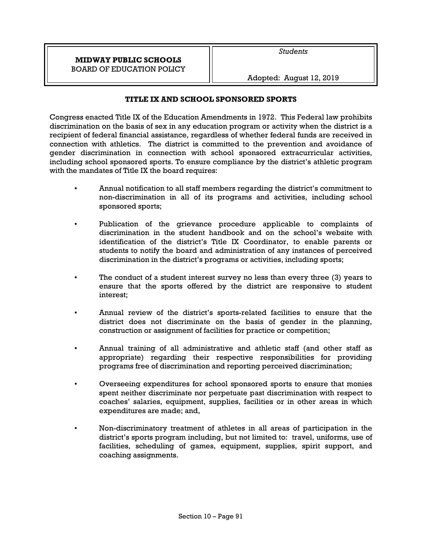# **TITLE IX AND SCHOOL SPONSORED SPORTS**

Congress enacted Title IX of the Education Amendments in 1972. This Federal law prohibits discrimination on the basis of sex in any education program or activity when the district is a recipient of federal financial assistance, regardless of whether federal funds are received in connection with athletics. The district is committed to the prevention and avoidance of gender discrimination in connection with school sponsored extracurricular activities, including school sponsored sports. To ensure compliance by the district's athletic program with the mandates of Title IX the board requires:

- Annual notification to all staff members regarding the district's commitment to non-discrimination in all of its programs and activities, including school sponsored sports;
- Publication of the grievance procedure applicable to complaints of discrimination in the student handbook and on the school's website with identification of the district's Title IX Coordinator, to enable parents or students to notify the board and administration of any instances of perceived discrimination in the district's programs or activities, including sports;
- The conduct of a student interest survey no less than every three (3) years to ensure that the sports offered by the district are responsive to student interest;
- Annual review of the district's sports-related facilities to ensure that the district does not discriminate on the basis of gender in the planning, construction or assignment of facilities for practice or competition;
- Annual training of all administrative and athletic staff (and other staff as appropriate) regarding their respective responsibilities for providing programs free of discrimination and reporting perceived discrimination;
- Overseeing expenditures for school sponsored sports to ensure that monies spent neither discriminate nor perpetuate past discrimination with respect to coaches' salaries, equipment, supplies, facilities or in other areas in which expenditures are made; and,
- Non-discriminatory treatment of athletes in all areas of participation in the district's sports program including, but not limited to: travel, uniforms, use of facilities, scheduling of games, equipment, supplies, spirit support, and coaching assignments.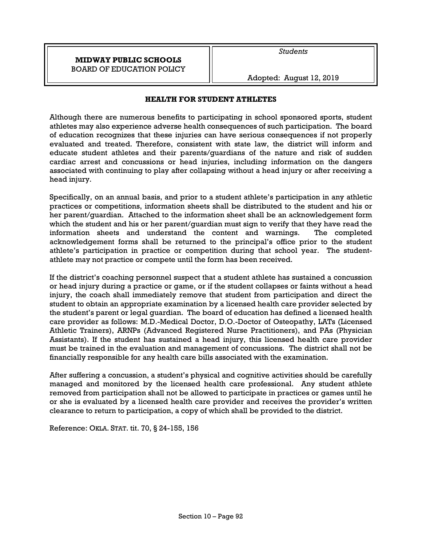Adopted: August 12, 2019

## **HEALTH FOR STUDENT ATHLETES**

Although there are numerous benefits to participating in school sponsored sports, student athletes may also experience adverse health consequences of such participation. The board of education recognizes that these injuries can have serious consequences if not properly evaluated and treated. Therefore, consistent with state law, the district will inform and educate student athletes and their parents/guardians of the nature and risk of sudden cardiac arrest and concussions or head injuries, including information on the dangers associated with continuing to play after collapsing without a head injury or after receiving a head injury.

Specifically, on an annual basis, and prior to a student athlete's participation in any athletic practices or competitions, information sheets shall be distributed to the student and his or her parent/guardian. Attached to the information sheet shall be an acknowledgement form which the student and his or her parent/guardian must sign to verify that they have read the information sheets and understand the content and warnings. The completed acknowledgement forms shall be returned to the principal's office prior to the student athlete's participation in practice or competition during that school year. The studentathlete may not practice or compete until the form has been received.

If the district's coaching personnel suspect that a student athlete has sustained a concussion or head injury during a practice or game, or if the student collapses or faints without a head injury, the coach shall immediately remove that student from participation and direct the student to obtain an appropriate examination by a licensed health care provider selected by the student's parent or legal guardian. The board of education has defined a licensed health care provider as follows: M.D.-Medical Doctor, D.O.-Doctor of Osteopathy, LATs (Licensed Athletic Trainers), ARNPs (Advanced Registered Nurse Practitioners), and PAs (Physician Assistants). If the student has sustained a head injury, this licensed health care provider must be trained in the evaluation and management of concussions. The district shall not be financially responsible for any health care bills associated with the examination.

After suffering a concussion, a student's physical and cognitive activities should be carefully managed and monitored by the licensed health care professional. Any student athlete removed from participation shall not be allowed to participate in practices or games until he or she is evaluated by a licensed health care provider and receives the provider's written clearance to return to participation, a copy of which shall be provided to the district.

Reference: OKLA. STAT. tit. 70, § 24-155, 156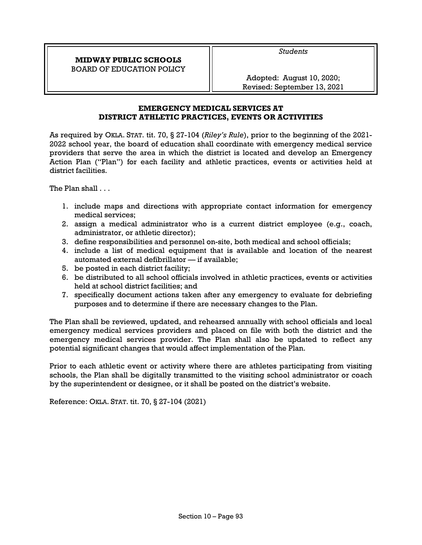Adopted: August 10, 2020; Revised: September 13, 2021

*Students* 

# **EMERGENCY MEDICAL SERVICES AT DISTRICT ATHLETIC PRACTICES, EVENTS OR ACTIVITIES**

As required by OKLA. STAT. tit. 70, § 27-104 (*Riley's Rule*), prior to the beginning of the 2021- 2022 school year, the board of education shall coordinate with emergency medical service providers that serve the area in which the district is located and develop an Emergency Action Plan ("Plan") for each facility and athletic practices, events or activities held at district facilities.

The Plan shall . . .

- 1. include maps and directions with appropriate contact information for emergency medical services;
- 2. assign a medical administrator who is a current district employee (e.g., coach, administrator, or athletic director);
- 3. define responsibilities and personnel on-site, both medical and school officials;
- 4. include a list of medical equipment that is available and location of the nearest automated external defibrillator — if available;
- 5. be posted in each district facility;
- 6. be distributed to all school officials involved in athletic practices, events or activities held at school district facilities; and
- 7. specifically document actions taken after any emergency to evaluate for debriefing purposes and to determine if there are necessary changes to the Plan.

The Plan shall be reviewed, updated, and rehearsed annually with school officials and local emergency medical services providers and placed on file with both the district and the emergency medical services provider. The Plan shall also be updated to reflect any potential significant changes that would affect implementation of the Plan.

Prior to each athletic event or activity where there are athletes participating from visiting schools, the Plan shall be digitally transmitted to the visiting school administrator or coach by the superintendent or designee, or it shall be posted on the district's website.

Reference: OKLA. STAT. tit. 70, § 27-104 (2021)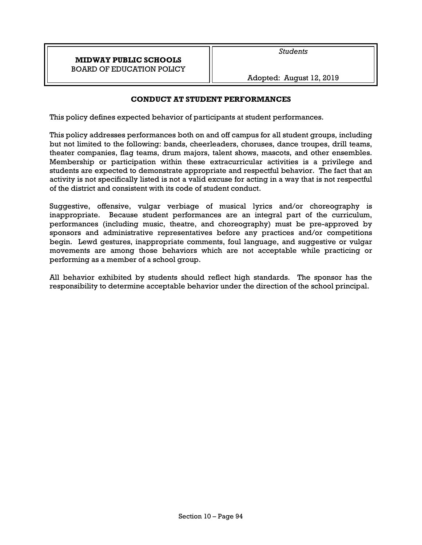## **CONDUCT AT STUDENT PERFORMANCES**

This policy defines expected behavior of participants at student performances.

This policy addresses performances both on and off campus for all student groups, including but not limited to the following: bands, cheerleaders, choruses, dance troupes, drill teams, theater companies, flag teams, drum majors, talent shows, mascots, and other ensembles. Membership or participation within these extracurricular activities is a privilege and students are expected to demonstrate appropriate and respectful behavior. The fact that an activity is not specifically listed is not a valid excuse for acting in a way that is not respectful of the district and consistent with its code of student conduct.

Suggestive, offensive, vulgar verbiage of musical lyrics and/or choreography is inappropriate. Because student performances are an integral part of the curriculum, performances (including music, theatre, and choreography) must be pre-approved by sponsors and administrative representatives before any practices and/or competitions begin. Lewd gestures, inappropriate comments, foul language, and suggestive or vulgar movements are among those behaviors which are not acceptable while practicing or performing as a member of a school group.

All behavior exhibited by students should reflect high standards. The sponsor has the responsibility to determine acceptable behavior under the direction of the school principal.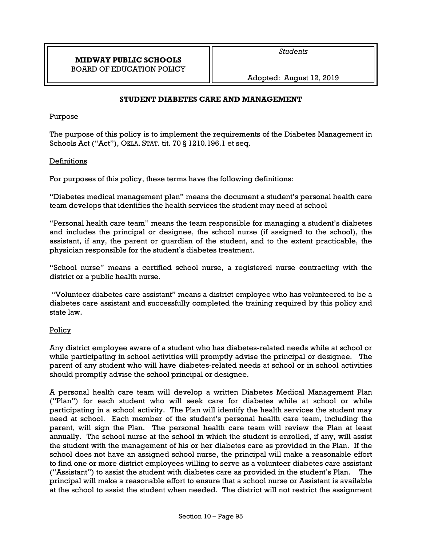*Students* 

Adopted: August 12, 2019

## **STUDENT DIABETES CARE AND MANAGEMENT**

### Purpose

The purpose of this policy is to implement the requirements of the Diabetes Management in Schools Act ("Act"), OKLA. STAT. tit. 70 § 1210.196.1 et seq.

### Definitions

For purposes of this policy, these terms have the following definitions:

"Diabetes medical management plan" means the document a student's personal health care team develops that identifies the health services the student may need at school

"Personal health care team" means the team responsible for managing a student's diabetes and includes the principal or designee, the school nurse (if assigned to the school), the assistant, if any, the parent or guardian of the student, and to the extent practicable, the physician responsible for the student's diabetes treatment.

"School nurse" means a certified school nurse, a registered nurse contracting with the district or a public health nurse.

 "Volunteer diabetes care assistant" means a district employee who has volunteered to be a diabetes care assistant and successfully completed the training required by this policy and state law.

### Policy

Any district employee aware of a student who has diabetes-related needs while at school or while participating in school activities will promptly advise the principal or designee. The parent of any student who will have diabetes-related needs at school or in school activities should promptly advise the school principal or designee.

A personal health care team will develop a written Diabetes Medical Management Plan ("Plan") for each student who will seek care for diabetes while at school or while participating in a school activity. The Plan will identify the health services the student may need at school. Each member of the student's personal health care team, including the parent, will sign the Plan. The personal health care team will review the Plan at least annually. The school nurse at the school in which the student is enrolled, if any, will assist the student with the management of his or her diabetes care as provided in the Plan. If the school does not have an assigned school nurse, the principal will make a reasonable effort to find one or more district employees willing to serve as a volunteer diabetes care assistant ("Assistant") to assist the student with diabetes care as provided in the student's Plan. The principal will make a reasonable effort to ensure that a school nurse or Assistant is available at the school to assist the student when needed. The district will not restrict the assignment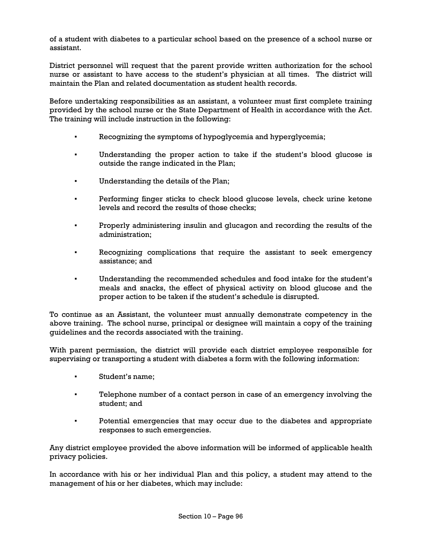of a student with diabetes to a particular school based on the presence of a school nurse or assistant.

District personnel will request that the parent provide written authorization for the school nurse or assistant to have access to the student's physician at all times. The district will maintain the Plan and related documentation as student health records.

Before undertaking responsibilities as an assistant, a volunteer must first complete training provided by the school nurse or the State Department of Health in accordance with the Act. The training will include instruction in the following:

- Recognizing the symptoms of hypoglycemia and hyperglycemia;
- Understanding the proper action to take if the student's blood glucose is outside the range indicated in the Plan;
- Understanding the details of the Plan;
- Performing finger sticks to check blood glucose levels, check urine ketone levels and record the results of those checks;
- Properly administering insulin and glucagon and recording the results of the administration;
- Recognizing complications that require the assistant to seek emergency assistance; and
- Understanding the recommended schedules and food intake for the student's meals and snacks, the effect of physical activity on blood glucose and the proper action to be taken if the student's schedule is disrupted.

To continue as an Assistant, the volunteer must annually demonstrate competency in the above training. The school nurse, principal or designee will maintain a copy of the training guidelines and the records associated with the training.

With parent permission, the district will provide each district employee responsible for supervising or transporting a student with diabetes a form with the following information:

- Student's name;
- Telephone number of a contact person in case of an emergency involving the student; and
- Potential emergencies that may occur due to the diabetes and appropriate responses to such emergencies.

Any district employee provided the above information will be informed of applicable health privacy policies.

In accordance with his or her individual Plan and this policy, a student may attend to the management of his or her diabetes, which may include: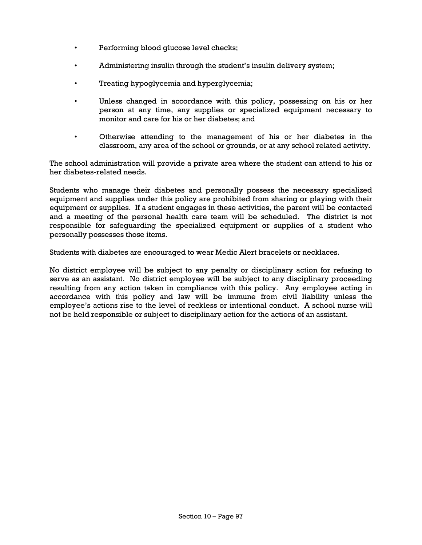- Performing blood glucose level checks;
- Administering insulin through the student's insulin delivery system;
- Treating hypoglycemia and hyperglycemia;
- Unless changed in accordance with this policy, possessing on his or her person at any time, any supplies or specialized equipment necessary to monitor and care for his or her diabetes; and
- Otherwise attending to the management of his or her diabetes in the classroom, any area of the school or grounds, or at any school related activity.

The school administration will provide a private area where the student can attend to his or her diabetes-related needs.

Students who manage their diabetes and personally possess the necessary specialized equipment and supplies under this policy are prohibited from sharing or playing with their equipment or supplies. If a student engages in these activities, the parent will be contacted and a meeting of the personal health care team will be scheduled. The district is not responsible for safeguarding the specialized equipment or supplies of a student who personally possesses those items.

Students with diabetes are encouraged to wear Medic Alert bracelets or necklaces.

No district employee will be subject to any penalty or disciplinary action for refusing to serve as an assistant. No district employee will be subject to any disciplinary proceeding resulting from any action taken in compliance with this policy. Any employee acting in accordance with this policy and law will be immune from civil liability unless the employee's actions rise to the level of reckless or intentional conduct. A school nurse will not be held responsible or subject to disciplinary action for the actions of an assistant.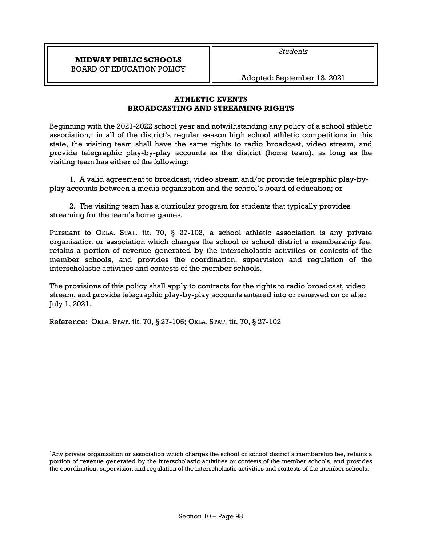*Students* 

Adopted: September 13, 2021

## **ATHLETIC EVENTS BROADCASTING AND STREAMING RIGHTS**

Beginning with the 2021-2022 school year and notwithstanding any policy of a school athletic association,<sup>1</sup> in all of the district's regular season high school athletic competitions in this state, the visiting team shall have the same rights to radio broadcast, video stream, and provide telegraphic play-by-play accounts as the district (home team), as long as the visiting team has either of the following:

1. A valid agreement to broadcast, video stream and/or provide telegraphic play-byplay accounts between a media organization and the school's board of education; or

2. The visiting team has a curricular program for students that typically provides streaming for the team's home games.

Pursuant to OKLA. STAT. tit. 70, § 27-102, a school athletic association is any private organization or association which charges the school or school district a membership fee, retains a portion of revenue generated by the interscholastic activities or contests of the member schools, and provides the coordination, supervision and regulation of the interscholastic activities and contests of the member schools.

The provisions of this policy shall apply to contracts for the rights to radio broadcast, video stream, and provide telegraphic play-by-play accounts entered into or renewed on or after July 1, 2021.

Reference: OKLA. STAT. tit. 70, § 27-105; OKLA. STAT. tit. 70, § 27-102

<sup>1</sup>Any private organization or association which charges the school or school district a membership fee, retains a portion of revenue generated by the interscholastic activities or contests of the member schools, and provides the coordination, supervision and regulation of the interscholastic activities and contests of the member schools.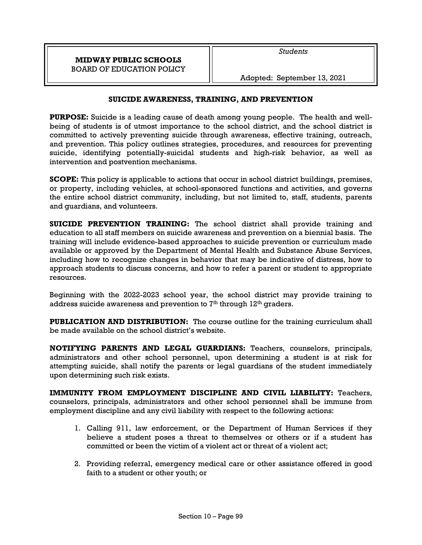## **SUICIDE AWARENESS, TRAINING, AND PREVENTION**

**PURPOSE:** Suicide is a leading cause of death among young people. The health and wellbeing of students is of utmost importance to the school district, and the school district is committed to actively preventing suicide through awareness, effective training, outreach, and prevention. This policy outlines strategies, procedures, and resources for preventing suicide, identifying potentially-suicidal students and high-risk behavior, as well as intervention and postvention mechanisms.

**SCOPE:** This policy is applicable to actions that occur in school district buildings, premises, or property, including vehicles, at school-sponsored functions and activities, and governs the entire school district community, including, but not limited to, staff, students, parents and guardians, and volunteers.

**SUICIDE PREVENTION TRAINING:** The school district shall provide training and education to all staff members on suicide awareness and prevention on a biennial basis. The training will include evidence-based approaches to suicide prevention or curriculum made available or approved by the Department of Mental Health and Substance Abuse Services, including how to recognize changes in behavior that may be indicative of distress, how to approach students to discuss concerns, and how to refer a parent or student to appropriate resources.

Beginning with the 2022-2023 school year, the school district may provide training to address suicide awareness and prevention to  $7<sup>th</sup>$  through  $12<sup>th</sup>$  graders.

**PUBLICATION AND DISTRIBUTION:** The course outline for the training curriculum shall be made available on the school district's website.

**NOTIFYING PARENTS AND LEGAL GUARDIANS:** Teachers, counselors, principals, administrators and other school personnel, upon determining a student is at risk for attempting suicide, shall notify the parents or legal guardians of the student immediately upon determining such risk exists.

**IMMUNITY FROM EMPLOYMENT DISCIPLINE AND CIVIL LIABILITY:** Teachers, counselors, principals, administrators and other school personnel shall be immune from employment discipline and any civil liability with respect to the following actions:

- 1. Calling 911, law enforcement, or the Department of Human Services if they believe a student poses a threat to themselves or others or if a student has committed or been the victim of a violent act or threat of a violent act;
- 2. Providing referral, emergency medical care or other assistance offered in good faith to a student or other youth; or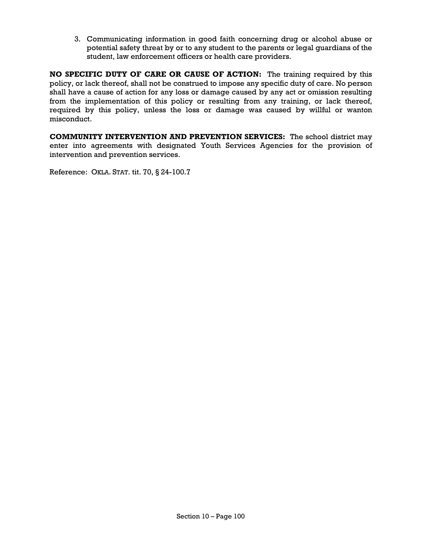3. Communicating information in good faith concerning drug or alcohol abuse or potential safety threat by or to any student to the parents or legal guardians of the student, law enforcement officers or health care providers.

**NO SPECIFIC DUTY OF CARE OR CAUSE OF ACTION:** The training required by this policy, or lack thereof, shall not be construed to impose any specific duty of care. No person shall have a cause of action for any loss or damage caused by any act or omission resulting from the implementation of this policy or resulting from any training, or lack thereof, required by this policy, unless the loss or damage was caused by willful or wanton misconduct.

**COMMUNITY INTERVENTION AND PREVENTION SERVICES:** The school district may enter into agreements with designated Youth Services Agencies for the provision of intervention and prevention services.

Reference: OKLA. STAT. tit. 70, § 24-100.7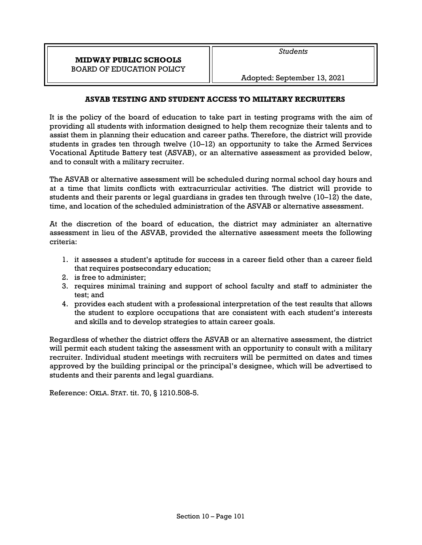Adopted: September 13, 2021

## **ASVAB TESTING AND STUDENT ACCESS TO MILITARY RECRUITERS**

It is the policy of the board of education to take part in testing programs with the aim of providing all students with information designed to help them recognize their talents and to assist them in planning their education and career paths. Therefore, the district will provide students in grades ten through twelve (10–12) an opportunity to take the Armed Services Vocational Aptitude Battery test (ASVAB), or an alternative assessment as provided below, and to consult with a military recruiter.

The ASVAB or alternative assessment will be scheduled during normal school day hours and at a time that limits conflicts with extracurricular activities. The district will provide to students and their parents or legal guardians in grades ten through twelve (10–12) the date, time, and location of the scheduled administration of the ASVAB or alternative assessment.

At the discretion of the board of education, the district may administer an alternative assessment in lieu of the ASVAB, provided the alternative assessment meets the following criteria:

- 1. it assesses a student's aptitude for success in a career field other than a career field that requires postsecondary education;
- 2. is free to administer;
- 3. requires minimal training and support of school faculty and staff to administer the test; and
- 4. provides each student with a professional interpretation of the test results that allows the student to explore occupations that are consistent with each student's interests and skills and to develop strategies to attain career goals.

Regardless of whether the district offers the ASVAB or an alternative assessment, the district will permit each student taking the assessment with an opportunity to consult with a military recruiter. Individual student meetings with recruiters will be permitted on dates and times approved by the building principal or the principal's designee, which will be advertised to students and their parents and legal guardians.

Reference: OKLA. STAT. tit. 70, § 1210.508-5.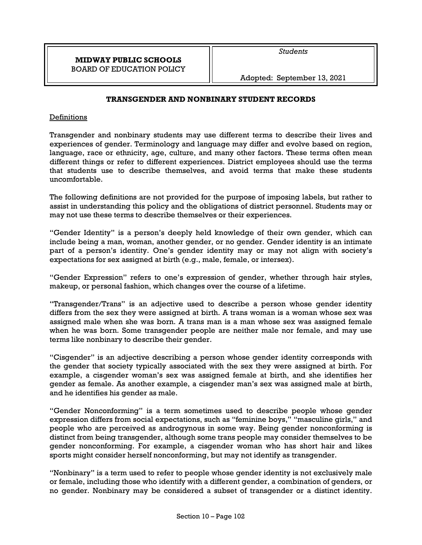## **TRANSGENDER AND NONBINARY STUDENT RECORDS**

## Definitions

Transgender and nonbinary students may use different terms to describe their lives and experiences of gender. Terminology and language may differ and evolve based on region, language, race or ethnicity, age, culture, and many other factors. These terms often mean different things or refer to different experiences. District employees should use the terms that students use to describe themselves, and avoid terms that make these students uncomfortable.

The following definitions are not provided for the purpose of imposing labels, but rather to assist in understanding this policy and the obligations of district personnel. Students may or may not use these terms to describe themselves or their experiences.

"Gender Identity" is a person's deeply held knowledge of their own gender, which can include being a man, woman, another gender, or no gender. Gender identity is an intimate part of a person's identity. One's gender identity may or may not align with society's expectations for sex assigned at birth (e.g., male, female, or intersex).

"Gender Expression" refers to one's expression of gender, whether through hair styles, makeup, or personal fashion, which changes over the course of a lifetime.

"Transgender/Trans" is an adjective used to describe a person whose gender identity differs from the sex they were assigned at birth. A trans woman is a woman whose sex was assigned male when she was born. A trans man is a man whose sex was assigned female when he was born. Some transgender people are neither male nor female, and may use terms like nonbinary to describe their gender.

"Cisgender" is an adjective describing a person whose gender identity corresponds with the gender that society typically associated with the sex they were assigned at birth. For example, a cisgender woman's sex was assigned female at birth, and she identifies her gender as female. As another example, a cisgender man's sex was assigned male at birth, and he identifies his gender as male.

"Gender Nonconforming" is a term sometimes used to describe people whose gender expression differs from social expectations, such as "feminine boys," "masculine girls," and people who are perceived as androgynous in some way. Being gender nonconforming is distinct from being transgender, although some trans people may consider themselves to be gender nonconforming. For example, a cisgender woman who has short hair and likes sports might consider herself nonconforming, but may not identify as transgender.

"Nonbinary" is a term used to refer to people whose gender identity is not exclusively male or female, including those who identify with a different gender, a combination of genders, or no gender. Nonbinary may be considered a subset of transgender or a distinct identity.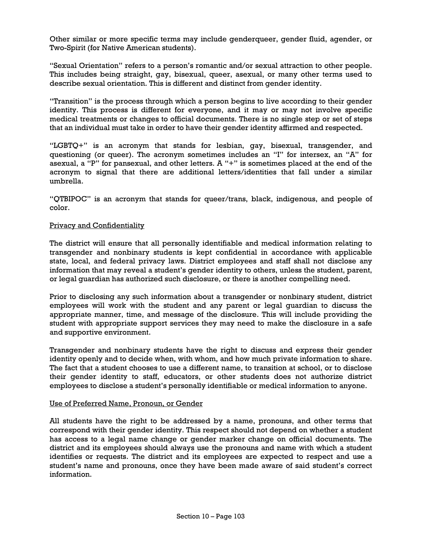Other similar or more specific terms may include genderqueer, gender fluid, agender, or Two-Spirit (for Native American students).

"Sexual Orientation" refers to a person's romantic and/or sexual attraction to other people. This includes being straight, gay, bisexual, queer, asexual, or many other terms used to describe sexual orientation. This is different and distinct from gender identity.

"Transition" is the process through which a person begins to live according to their gender identity. This process is different for everyone, and it may or may not involve specific medical treatments or changes to official documents. There is no single step or set of steps that an individual must take in order to have their gender identity affirmed and respected.

"LGBTQ+" is an acronym that stands for lesbian, gay, bisexual, transgender, and questioning (or queer). The acronym sometimes includes an "I" for intersex, an "A" for asexual, a "P" for pansexual, and other letters. A "+" is sometimes placed at the end of the acronym to signal that there are additional letters/identities that fall under a similar umbrella.

"QTBIPOC" is an acronym that stands for queer/trans, black, indigenous, and people of color.

#### Privacy and Confidentiality

The district will ensure that all personally identifiable and medical information relating to transgender and nonbinary students is kept confidential in accordance with applicable state, local, and federal privacy laws. District employees and staff shall not disclose any information that may reveal a student's gender identity to others, unless the student, parent, or legal guardian has authorized such disclosure, or there is another compelling need.

Prior to disclosing any such information about a transgender or nonbinary student, district employees will work with the student and any parent or legal guardian to discuss the appropriate manner, time, and message of the disclosure. This will include providing the student with appropriate support services they may need to make the disclosure in a safe and supportive environment.

Transgender and nonbinary students have the right to discuss and express their gender identity openly and to decide when, with whom, and how much private information to share. The fact that a student chooses to use a different name, to transition at school, or to disclose their gender identity to staff, educators, or other students does not authorize district employees to disclose a student's personally identifiable or medical information to anyone.

#### Use of Preferred Name, Pronoun, or Gender

All students have the right to be addressed by a name, pronouns, and other terms that correspond with their gender identity. This respect should not depend on whether a student has access to a legal name change or gender marker change on official documents. The district and its employees should always use the pronouns and name with which a student identifies or requests. The district and its employees are expected to respect and use a student's name and pronouns, once they have been made aware of said student's correct information.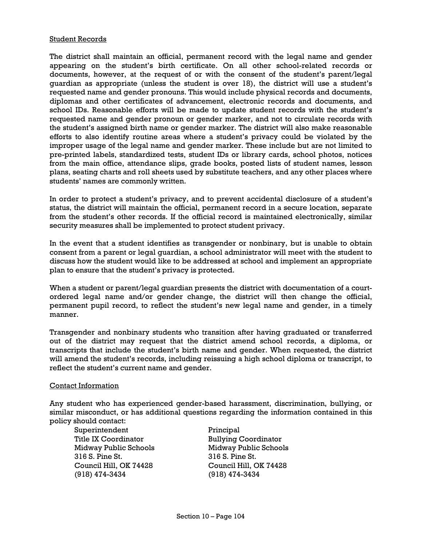#### Student Records

The district shall maintain an official, permanent record with the legal name and gender appearing on the student's birth certificate. On all other school-related records or documents, however, at the request of or with the consent of the student's parent/legal guardian as appropriate (unless the student is over 18), the district will use a student's requested name and gender pronouns. This would include physical records and documents, diplomas and other certificates of advancement, electronic records and documents, and school IDs. Reasonable efforts will be made to update student records with the student's requested name and gender pronoun or gender marker, and not to circulate records with the student's assigned birth name or gender marker. The district will also make reasonable efforts to also identify routine areas where a student's privacy could be violated by the improper usage of the legal name and gender marker. These include but are not limited to pre-printed labels, standardized tests, student IDs or library cards, school photos, notices from the main office, attendance slips, grade books, posted lists of student names, lesson plans, seating charts and roll sheets used by substitute teachers, and any other places where students' names are commonly written.

In order to protect a student's privacy, and to prevent accidental disclosure of a student's status, the district will maintain the official, permanent record in a secure location, separate from the student's other records. If the official record is maintained electronically, similar security measures shall be implemented to protect student privacy.

In the event that a student identifies as transgender or nonbinary, but is unable to obtain consent from a parent or legal guardian, a school administrator will meet with the student to discuss how the student would like to be addressed at school and implement an appropriate plan to ensure that the student's privacy is protected.

When a student or parent/legal guardian presents the district with documentation of a courtordered legal name and/or gender change, the district will then change the official, permanent pupil record, to reflect the student's new legal name and gender, in a timely manner.

Transgender and nonbinary students who transition after having graduated or transferred out of the district may request that the district amend school records, a diploma, or transcripts that include the student's birth name and gender. When requested, the district will amend the student's records, including reissuing a high school diploma or transcript, to reflect the student's current name and gender.

### Contact Information

Any student who has experienced gender-based harassment, discrimination, bullying, or similar misconduct, or has additional questions regarding the information contained in this policy should contact:

Superintendent Title IX Coordinator Midway Public Schools 316 S. Pine St. Council Hill, OK 74428 (918) 474-3434

Principal Bullying Coordinator Midway Public Schools 316 S. Pine St. Council Hill, OK 74428 (918) 474-3434